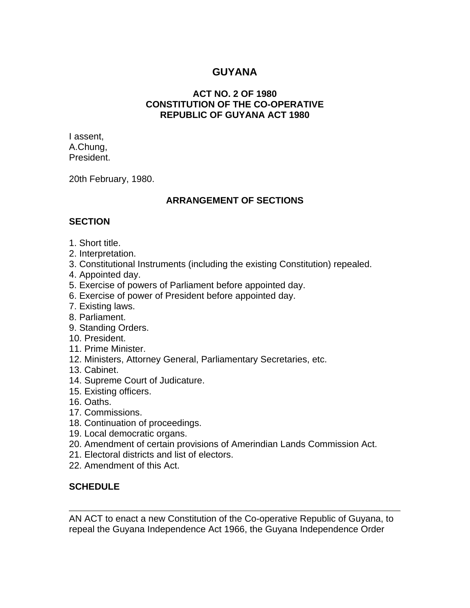# **GUYANA**

## **GUYANA ACT NO. 2 OF 1980 CONSTITUTION OF THE CO-OPERATIVE REPUBLIC OF GUYANA ACT 1980**

I assent, A.Chung, President.

20th February, 1980.

## **ARRANGEMENT OF SECTIONS**

# **SECTION**

- 1. Short title.
- 2. Interpretation.
- 3. Constitutional Instruments (including the existing Constitution) repealed.
- 4. Appointed day.
- 5. Exercise of powers of Parliament before appointed day.
- 6. Exercise of power of President before appointed day.
- 7. Existing laws.
- 8. Parliament.
- 9. Standing Orders.
- 10. President.
- 11. Prime Minister.
- 12. Ministers, Attorney General, Parliamentary Secretaries, etc.
- 13. Cabinet.
- 14. Supreme Court of Judicature.
- 15. Existing officers.
- 16. Oaths.
- 17. Commissions.
- 18. Continuation of proceedings.
- 19. Local democratic organs.
- 20. Amendment of certain provisions of Amerindian Lands Commission Act.
- 21. Electoral districts and list of electors.
- 22. Amendment of this Act.

# **SCHEDULE**

AN ACT to enact a new Constitution of the Co-operative Republic of Guyana, to repeal the Guyana Independence Act 1966, the Guyana Independence Order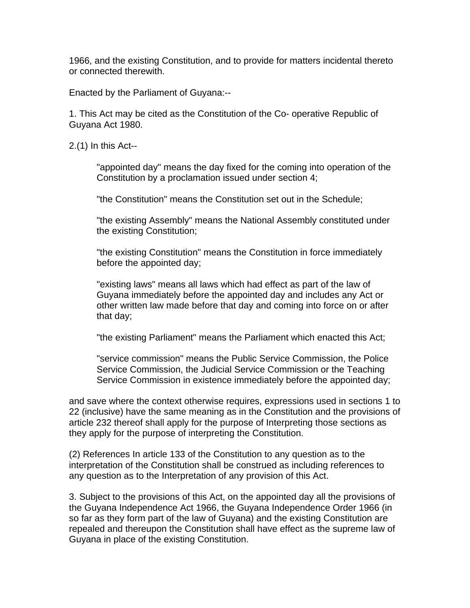1966, and the existing Constitution, and to provide for matters incidental thereto or connected therewith.

Enacted by the Parliament of Guyana:--

1. This Act may be cited as the Constitution of the Co- operative Republic of Guyana Act 1980.

2.(1) In this Act--

"appointed day" means the day fixed for the coming into operation of the Constitution by a proclamation issued under section 4;

"the Constitution" means the Constitution set out in the Schedule;

"the existing Assembly" means the National Assembly constituted under the existing Constitution;

"the existing Constitution" means the Constitution in force immediately before the appointed day;

"existing laws" means all laws which had effect as part of the law of Guyana immediately before the appointed day and includes any Act or other written law made before that day and coming into force on or after that day;

"the existing Parliament" means the Parliament which enacted this Act;

"service commission" means the Public Service Commission, the Police Service Commission, the Judicial Service Commission or the Teaching Service Commission in existence immediately before the appointed day;

and save where the context otherwise requires, expressions used in sections 1 to 22 (inclusive) have the same meaning as in the Constitution and the provisions of article 232 thereof shall apply for the purpose of Interpreting those sections as they apply for the purpose of interpreting the Constitution.

(2) References In article 133 of the Constitution to any question as to the interpretation of the Constitution shall be construed as including references to any question as to the Interpretation of any provision of this Act.

3. Subject to the provisions of this Act, on the appointed day all the provisions of the Guyana Independence Act 1966, the Guyana Independence Order 1966 (in so far as they form part of the law of Guyana) and the existing Constitution are repealed and thereupon the Constitution shall have effect as the supreme law of Guyana in place of the existing Constitution.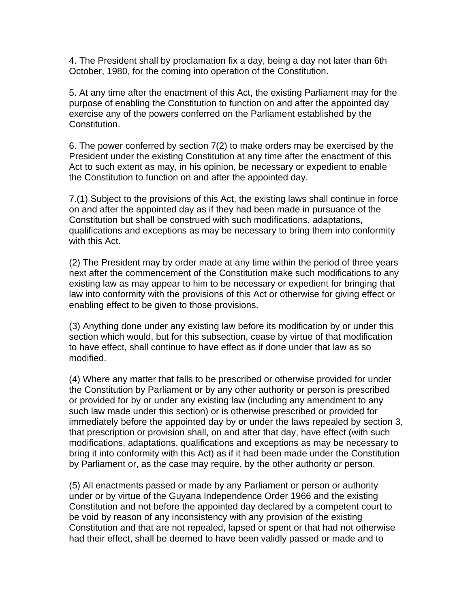4. The President shall by proclamation fix a day, being a day not later than 6th October, 1980, for the coming into operation of the Constitution.

5. At any time after the enactment of this Act, the existing Parliament may for the purpose of enabling the Constitution to function on and after the appointed day exercise any of the powers conferred on the Parliament established by the Constitution.

6. The power conferred by section 7(2) to make orders may be exercised by the President under the existing Constitution at any time after the enactment of this Act to such extent as may, in his opinion, be necessary or expedient to enable the Constitution to function on and after the appointed day.

7.(1) Subject to the provisions of this Act, the existing laws shall continue in force on and after the appointed day as if they had been made in pursuance of the Constitution but shall be construed with such modifications, adaptations, qualifications and exceptions as may be necessary to bring them into conformity with this Act.

(2) The President may by order made at any time within the period of three years next after the commencement of the Constitution make such modifications to any existing law as may appear to him to be necessary or expedient for bringing that law into conformity with the provisions of this Act or otherwise for giving effect or enabling effect to be given to those provisions.

(3) Anything done under any existing law before its modification by or under this section which would, but for this subsection, cease by virtue of that modification to have effect, shall continue to have effect as if done under that law as so modified.

(4) Where any matter that falls to be prescribed or otherwise provided for under the Constitution by Parliament or by any other authority or person is prescribed or provided for by or under any existing law (including any amendment to any such law made under this section) or is otherwise prescribed or provided for immediately before the appointed day by or under the laws repealed by section 3, that prescription or provision shall, on and after that day, have effect (with such modifications, adaptations, qualifications and exceptions as may be necessary to bring it into conformity with this Act) as if it had been made under the Constitution by Parliament or, as the case may require, by the other authority or person.

(5) All enactments passed or made by any Parliament or person or authority under or by virtue of the Guyana Independence Order 1966 and the existing Constitution and not before the appointed day declared by a competent court to be void by reason of any inconsistency with any provision of the existing Constitution and that are not repealed, lapsed or spent or that had not otherwise had their effect, shall be deemed to have been validly passed or made and to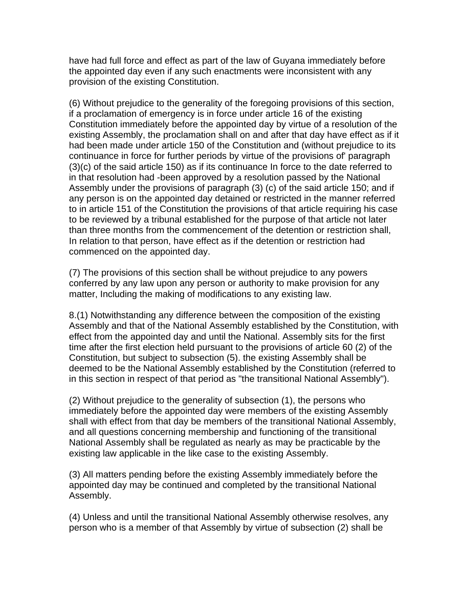have had full force and effect as part of the law of Guyana immediately before the appointed day even if any such enactments were inconsistent with any provision of the existing Constitution.

(6) Without prejudice to the generality of the foregoing provisions of this section, if a proclamation of emergency is in force under article 16 of the existing Constitution immediately before the appointed day by virtue of a resolution of the existing Assembly, the proclamation shall on and after that day have effect as if it had been made under article 150 of the Constitution and (without prejudice to its continuance in force for further periods by virtue of the provisions of' paragraph (3)(c) of the said article 150) as if its continuance In force to the date referred to in that resolution had -been approved by a resolution passed by the National Assembly under the provisions of paragraph (3) (c) of the said article 150; and if any person is on the appointed day detained or restricted in the manner referred to in article 151 of the Constitution the provisions of that article requiring his case to be reviewed by a tribunal established for the purpose of that article not later than three months from the commencement of the detention or restriction shall, In relation to that person, have effect as if the detention or restriction had commenced on the appointed day.

(7) The provisions of this section shall be without prejudice to any powers conferred by any law upon any person or authority to make provision for any matter, Including the making of modifications to any existing law.

8.(1) Notwithstanding any difference between the composition of the existing Assembly and that of the National Assembly established by the Constitution, with effect from the appointed day and until the National. Assembly sits for the first time after the first election held pursuant to the provisions of article 60 (2) of the Constitution, but subject to subsection (5). the existing Assembly shall be deemed to be the National Assembly established by the Constitution (referred to in this section in respect of that period as "the transitional National Assembly").

(2) Without prejudice to the generality of subsection (1), the persons who immediately before the appointed day were members of the existing Assembly shall with effect from that day be members of the transitional National Assembly, and all questions concerning membership and functioning of the transitional National Assembly shall be regulated as nearly as may be practicable by the existing law applicable in the like case to the existing Assembly.

(3) All matters pending before the existing Assembly immediately before the appointed day may be continued and completed by the transitional National Assembly.

(4) Unless and until the transitional National Assembly otherwise resolves, any person who is a member of that Assembly by virtue of subsection (2) shall be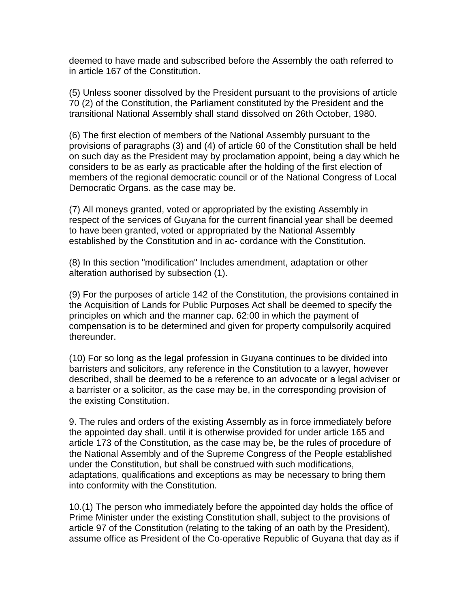deemed to have made and subscribed before the Assembly the oath referred to in article 167 of the Constitution.

(5) Unless sooner dissolved by the President pursuant to the provisions of article 70 (2) of the Constitution, the Parliament constituted by the President and the transitional National Assembly shall stand dissolved on 26th October, 1980.

(6) The first election of members of the National Assembly pursuant to the provisions of paragraphs (3) and (4) of article 60 of the Constitution shall be held on such day as the President may by proclamation appoint, being a day which he considers to be as early as practicable after the holding of the first election of members of the regional democratic council or of the National Congress of Local Democratic Organs. as the case may be.

(7) All moneys granted, voted or appropriated by the existing Assembly in respect of the services of Guyana for the current financial year shall be deemed to have been granted, voted or appropriated by the National Assembly established by the Constitution and in ac- cordance with the Constitution.

(8) In this section "modification" Includes amendment, adaptation or other alteration authorised by subsection (1).

(9) For the purposes of article 142 of the Constitution, the provisions contained in the Acquisition of Lands for Public Purposes Act shall be deemed to specify the principles on which and the manner cap. 62:00 in which the payment of compensation is to be determined and given for property compulsorily acquired thereunder.

(10) For so long as the legal profession in Guyana continues to be divided into barristers and solicitors, any reference in the Constitution to a lawyer, however described, shall be deemed to be a reference to an advocate or a legal adviser or a barrister or a solicitor, as the case may be, in the corresponding provision of the existing Constitution.

9. The rules and orders of the existing Assembly as in force immediately before the appointed day shall. until it is otherwise provided for under article 165 and article 173 of the Constitution, as the case may be, be the rules of procedure of the National Assembly and of the Supreme Congress of the People established under the Constitution, but shall be construed with such modifications, adaptations, qualifications and exceptions as may be necessary to bring them into conformity with the Constitution.

10.(1) The person who immediately before the appointed day holds the office of Prime Minister under the existing Constitution shall, subject to the provisions of article 97 of the Constitution (relating to the taking of an oath by the President), assume office as President of the Co-operative Republic of Guyana that day as if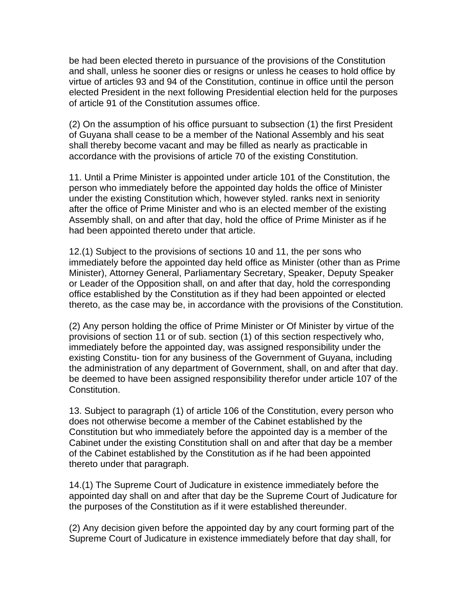be had been elected thereto in pursuance of the provisions of the Constitution and shall, unless he sooner dies or resigns or unless he ceases to hold office by virtue of articles 93 and 94 of the Constitution, continue in office until the person elected President in the next following Presidential election held for the purposes of article 91 of the Constitution assumes office.

(2) On the assumption of his office pursuant to subsection (1) the first President of Guyana shall cease to be a member of the National Assembly and his seat shall thereby become vacant and may be filled as nearly as practicable in accordance with the provisions of article 70 of the existing Constitution.

11. Until a Prime Minister is appointed under article 101 of the Constitution, the person who immediately before the appointed day holds the office of Minister under the existing Constitution which, however styled. ranks next in seniority after the office of Prime Minister and who is an elected member of the existing Assembly shall, on and after that day, hold the office of Prime Minister as if he had been appointed thereto under that article.

12.(1) Subject to the provisions of sections 10 and 11, the per sons who immediately before the appointed day held office as Minister (other than as Prime Minister), Attorney General, Parliamentary Secretary, Speaker, Deputy Speaker or Leader of the Opposition shall, on and after that day, hold the corresponding office established by the Constitution as if they had been appointed or elected thereto, as the case may be, in accordance with the provisions of the Constitution.

(2) Any person holding the office of Prime Minister or Of Minister by virtue of the provisions of section 11 or of sub. section (1) of this section respectively who, immediately before the appointed day, was assigned responsibility under the existing Constitu- tion for any business of the Government of Guyana, including the administration of any department of Government, shall, on and after that day. be deemed to have been assigned responsibility therefor under article 107 of the Constitution.

13. Subject to paragraph (1) of article 106 of the Constitution, every person who does not otherwise become a member of the Cabinet established by the Constitution but who immediately before the appointed day is a member of the Cabinet under the existing Constitution shall on and after that day be a member of the Cabinet established by the Constitution as if he had been appointed thereto under that paragraph.

14.(1) The Supreme Court of Judicature in existence immediately before the appointed day shall on and after that day be the Supreme Court of Judicature for the purposes of the Constitution as if it were established thereunder.

(2) Any decision given before the appointed day by any court forming part of the Supreme Court of Judicature in existence immediately before that day shall, for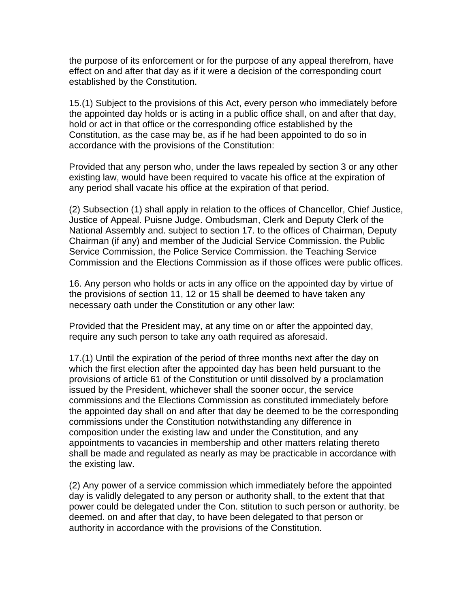the purpose of its enforcement or for the purpose of any appeal therefrom, have effect on and after that day as if it were a decision of the corresponding court established by the Constitution.

15.(1) Subject to the provisions of this Act, every person who immediately before the appointed day holds or is acting in a public office shall, on and after that day, hold or act in that office or the corresponding office established by the Constitution, as the case may be, as if he had been appointed to do so in accordance with the provisions of the Constitution:

Provided that any person who, under the laws repealed by section 3 or any other existing law, would have been required to vacate his office at the expiration of any period shall vacate his office at the expiration of that period.

Commission and the Elections Commission as if those offices were public offices. (2) Subsection (1) shall apply in relation to the offices of Chancellor, Chief Justice, Justice of Appeal. Puisne Judge. Ombudsman, Clerk and Deputy Clerk of the National Assembly and. subject to section 17. to the offices of Chairman, Deputy Chairman (if any) and member of the Judicial Service Commission. the Public Service Commission, the Police Service Commission. the Teaching Service

16. Any person who holds or acts in any office on the appointed day by virtue of the provisions of section 11, 12 or 15 shall be deemed to have taken any necessary oath under the Constitution or any other law:

Provided that the President may, at any time on or after the appointed day, require any such person to take any oath required as aforesaid.

17.(1) Until the expiration of the period of three months next after the day on which the first election after the appointed day has been held pursuant to the provisions of article 61 of the Constitution or until dissolved by a proclamation issued by the President, whichever shall the sooner occur, the service commissions and the Elections Commission as constituted immediately before the appointed day shall on and after that day be deemed to be the corresponding commissions under the Constitution notwithstanding any difference in composition under the existing law and under the Constitution, and any appointments to vacancies in membership and other matters relating thereto shall be made and regulated as nearly as may be practicable in accordance with the existing law.

(2) Any power of a service commission which immediately before the appointed day is validly delegated to any person or authority shall, to the extent that that power could be delegated under the Con. stitution to such person or authority. be deemed. on and after that day, to have been delegated to that person or authority in accordance with the provisions of the Constitution.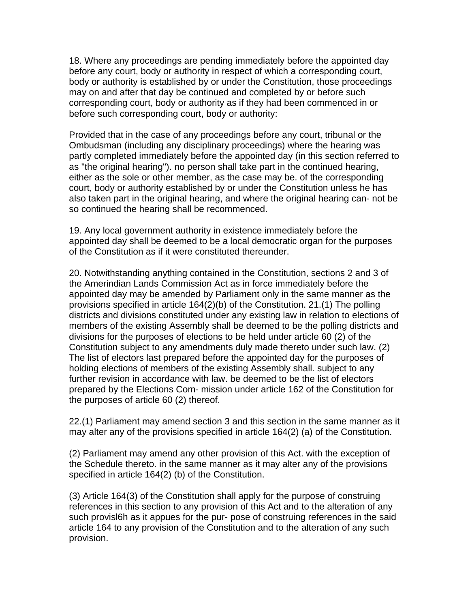18. Where any proceedings are pending immediately before the appointed day before any court, body or authority in respect of which a corresponding court, body or authority is established by or under the Constitution, those proceedings may on and after that day be continued and completed by or before such corresponding court, body or authority as if they had been commenced in or before such corresponding court, body or authority:

Provided that in the case of any proceedings before any court, tribunal or the Ombudsman (including any disciplinary proceedings) where the hearing was partly completed immediately before the appointed day (in this section referred to as "the original hearing"). no person shall take part in the continued hearing, either as the sole or other member, as the case may be. of the corresponding court, body or authority established by or under the Constitution unless he has also taken part in the original hearing, and where the original hearing can- not be so continued the hearing shall be recommenced.

19. Any local government authority in existence immediately before the appointed day shall be deemed to be a local democratic organ for the purposes of the Constitution as if it were constituted thereunder.

20. Notwithstanding anything contained in the Constitution, sections 2 and 3 of the Amerindian Lands Commission Act as in force immediately before the appointed day may be amended by Parliament only in the same manner as the provisions specified in article 164(2)(b) of the Constitution. 21.(1) The polling districts and divisions constituted under any existing law in relation to elections of members of the existing Assembly shall be deemed to be the polling districts and divisions for the purposes of elections to be held under article 60 (2) of the Constitution subject to any amendments duly made thereto under such law. (2) The list of electors last prepared before the appointed day for the purposes of holding elections of members of the existing Assembly shall. subject to any further revision in accordance with law. be deemed to be the list of electors prepared by the Elections Com- mission under article 162 of the Constitution for the purposes of article 60 (2) thereof.

22.(1) Parliament may amend section 3 and this section in the same manner as it may alter any of the provisions specified in article 164(2) (a) of the Constitution.

(2) Parliament may amend any other provision of this Act. with the exception of the Schedule thereto. in the same manner as it may alter any of the provisions specified in article 164(2) (b) of the Constitution.

(3) Article 164(3) of the Constitution shall apply for the purpose of construing references in this section to any provision of this Act and to the alteration of any such provisl6h as it appues for the pur- pose of construing references in the said article 164 to any provision of the Constitution and to the alteration of any such provision.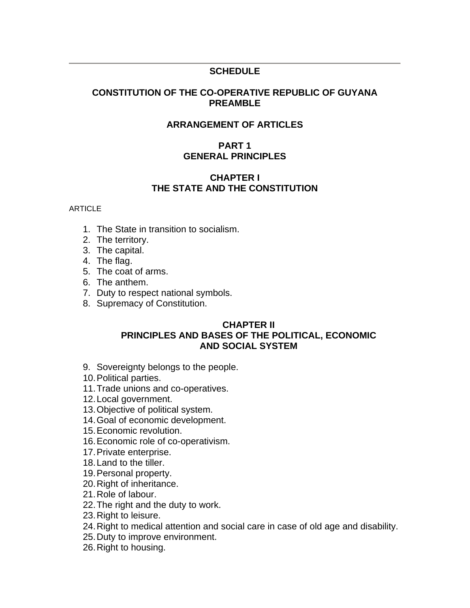# **SCHEDULE**

## **PREAMBLE CONSTITUTION OF THE CO-OPERATIVE REPUBLIC OF GUYANA**

## **ARRANGEMENT OF ARTICLES**

## **PART 1 GENERAL PRINCIPLES**

## **CHAPTER I THE STATE AND THE CONSTITUTION**

#### **ARTICLE**

- 1. The State in transition to socialism.
- 2. The territory.
- 3. The capital.
- 4. The flag.
- 5. The coat of arms.
- 6. The anthem.
- 7. Duty to respect national symbols.
- 8. Supremacy of Constitution.

#### **CHAPTER II PRINCIPLES AND BASES OF THE POLITICAL, ECONOMIC AND SOCIAL SYSTEM**

- 9. Sovereignty belongs to the people.
- 10.Political parties.
- 11.Trade unions and co-operatives.
- 12.Local government.
- 13.Objective of political system.
- 14.Goal of economic development.
- 15.Economic revolution.
- 16.Economic role of co-operativism.
- 17.Private enterprise.
- 18.Land to the tiller.
- 19.Personal property.
- 20.Right of inheritance.
- 21.Role of labour.
- 22.The right and the duty to work.
- 23.Right to leisure.
- 24.Right to medical attention and social care in case of old age and disability.
- 25.Duty to improve environment.
- 26.Right to housing.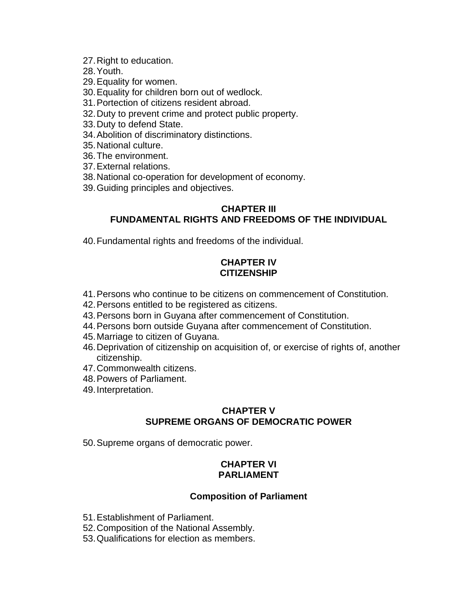- 27.Right to education.
- 28.Youth.
- 29.Equality for women.
- 30.Equality for children born out of wedlock.
- 31.Portection of citizens resident abroad.
- 32.Duty to prevent crime and protect public property.
- 33.Duty to defend State.
- 34.Abolition of discriminatory distinctions.
- 35.National culture.
- 36.The environment.
- 37.External relations.
- 38.National co-operation for development of economy.
- 39.Guiding principles and objectives.

## **CHAPTER III FUNDAMENTAL RIGHTS AND FREEDOMS OF THE INDIVIDUAL**

40.Fundamental rights and freedoms of the individual.

# **CHAPTER IV CITIZENSHIP**

- 41.Persons who continue to be citizens on commencement of Constitution.
- 42.Persons entitled to be registered as citizens.
- 43.Persons born in Guyana after commencement of Constitution.
- 44.Persons born outside Guyana after commencement of Constitution.
- 45.Marriage to citizen of Guyana.
- 46.Deprivation of citizenship on acquisition of, or exercise of rights of, another citizenship.
- 47.Commonwealth citizens.
- 48.Powers of Parliament.
- 49. Interpretation.

# **CHAPTER V SUPREME ORGANS OF DEMOCRATIC POWER**

50.Supreme organs of democratic power.

## **CHAPTER VI PARLIAMENT**

# **Composition of Parliament**

- 51.Establishment of Parliament.
- 52.Composition of the National Assembly.
- 53.Qualifications for election as members.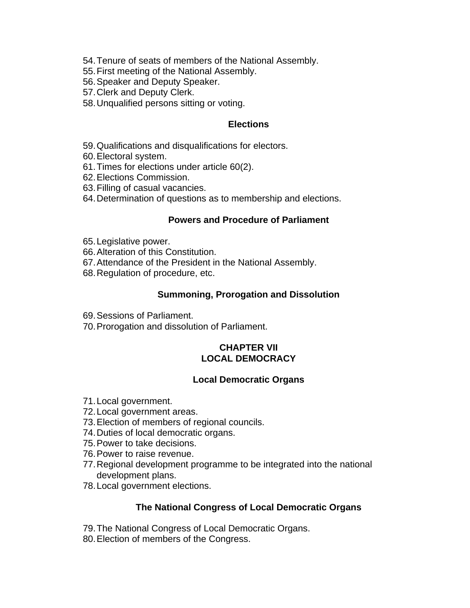- 54.Tenure of seats of members of the National Assembly.
- 55.First meeting of the National Assembly.
- 56.Speaker and Deputy Speaker.
- 57.Clerk and Deputy Clerk.
- 58.Unqualified persons sitting or voting.

#### **Elections**

- 59.Qualifications and disqualifications for electors.
- 60.Electoral system.
- 61.Times for elections under article 60(2).
- 62.Elections Commission.
- 63.Filling of casual vacancies.
- 64.Determination of questions as to membership and elections.

#### **Powers and Procedure of Parliament**

- 65. Legislative power.
- 66.Alteration of this Constitution.
- 67.Attendance of the President in the National Assembly.
- 68. Regulation of procedure, etc.

## **Summoning, Prorogation and Dissolution**

69.Sessions of Parliament.

70.Prorogation and dissolution of Parliament.

#### **CHAPTER VII LOCAL DEMOCRACY**

## **Local Democratic Organs**

- 71.Local government.
- 72.Local government areas.
- 73.Election of members of regional councils.
- 74.Duties of local democratic organs.
- 75.Power to take decisions.
- 76.Power to raise revenue.
- 77.Regional development programme to be integrated into the national development plans.
- 78.Local government elections.

# **The National Congress of Local Democratic Organs**

- 79.The National Congress of Local Democratic Organs.
- 80.Election of members of the Congress.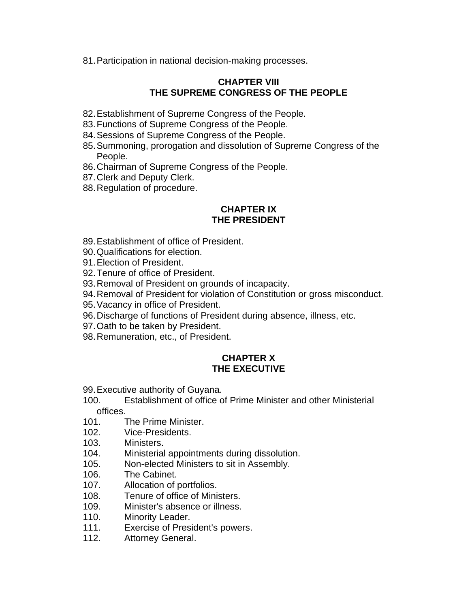81.Participation in national decision-making processes.

#### **CHAPTER VIII THE SUPREME CONGRESS OF THE PEOPLE**

- 82.Establishment of Supreme Congress of the People.
- 83. Functions of Supreme Congress of the People.
- 84.Sessions of Supreme Congress of the People.
- 85.Summoning, prorogation and dissolution of Supreme Congress of the People.
- 86.Chairman of Supreme Congress of the People.
- 87.Clerk and Deputy Clerk.
- 88.Regulation of procedure.

## **CHAPTER IX THE PRESIDENT**

- 89.Establishment of office of President.
- 90.Qualifications for election.
- 91.Election of President.
- 92.Tenure of office of President.
- 93.Removal of President on grounds of incapacity.
- 94.Removal of President for violation of Constitution or gross misconduct.
- 95.Vacancy in office of President.
- 96.Discharge of functions of President during absence, illness, etc.
- 97.Oath to be taken by President.
- 98.Remuneration, etc., of President.

## **CHAPTER X THE EXECUTIVE**

- 99.Executive authority of Guyana.
- 100. Establishment of office of Prime Minister and other Ministerial offices.
- 101. The Prime Minister.
- 102. Vice-Presidents.
- 103. Ministers.
- 
- 104. Ministerial appointments during dissolution. 105. Non-elected Ministers to sit in Assembly.
- 106. The Cabinet.
- 107. Allocation of portfolios.
- 108. Tenure of office of Ministers.
- 109. Minister's absence or illness.
- 110. Minority Leader.
- 111. Exercise of President's powers.
- 112. Attorney General.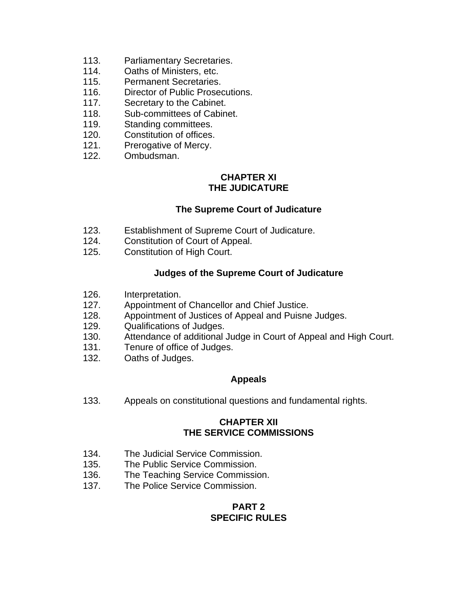- 113. Parliamentary Secretaries.
- 114. Oaths of Ministers, etc.
- 115. Permanent Secretaries.
- 116. Director of Public Prosecutions.
- 117. Secretary to the Cabinet.
- 118. Sub-committees of Cabinet.
- 119. Standing committees.
- 120. Constitution of offices.
- 121. Prerogative of Mercy.
- 122. Ombudsman.

## **CHAPTER XI THE JUDICATURE**

# **The Supreme Court of Judicature**

- 123. Establishment of Supreme Court of Judicature.
- 124. Constitution of Court of Appeal.
- 125. Constitution of High Court.

## **Judges of the Supreme Court of Judicature**

- 126. Interpretation.
- 127. Appointment of Chancellor and Chief Justice.
- 128. Appointment of Justices of Appeal and Puisne Judges.
- 129. Qualifications of Judges.
- 130. Attendance of additional Judge in Court of Appeal and High Court.
- 131. Tenure of office of Judges.
- 132. Oaths of Judges.

# **Appeals**

133. Appeals on constitutional questions and fundamental rights.

## **CHAPTER XII THE SERVICE COMMISSIONS**

- 134. The Judicial Service Commission.
- 135. The Public Service Commission.
- 136. The Teaching Service Commission.
- 137. The Police Service Commission.

# **SPECIFIC RULES PART 2**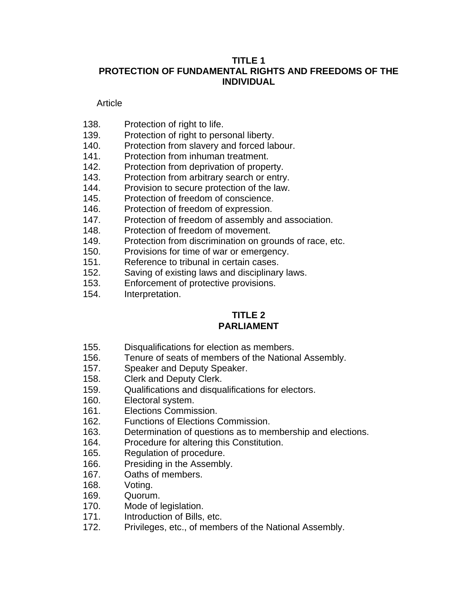## **TITLE 1 PROTECTION OF FUNDAMENTAL RIGHTS AND FREEDOMS OF THE INDIVIDUAL**

**Article** 

- 138. Protection of right to life.
- 139. Protection of right to personal liberty.
- 140. Protection from slavery and forced labour.
- 141. Protection from inhuman treatment.
- 142. Protection from deprivation of property.
- 143. Protection from arbitrary search or entry.
- 144. Provision to secure protection of the law.
- 145. Protection of freedom of conscience.
- 146. Protection of freedom of expression.
- 147. Protection of freedom of assembly and association.
- 148. Protection of freedom of movement.
- 149. Protection from discrimination on grounds of race, etc.
- 150. Provisions for time of war or emergency.
- 151. Reference to tribunal in certain cases.
- 152. Saving of existing laws and disciplinary laws.
- 153. Enforcement of protective provisions.
- 154. Interpretation.

# **TITLE 2 PARLIAMENT**

- 155. Disqualifications for election as members.
- 156. Tenure of seats of members of the National Assembly.
- 157. Speaker and Deputy Speaker.
- 158. Clerk and Deputy Clerk.
- 159. Qualifications and disqualifications for electors.
- 160. Electoral system.
- 161. Elections Commission.
- 162. Functions of Elections Commission.
- 163. Determination of questions as to membership and elections.
- 164. Procedure for altering this Constitution.
- 165. Regulation of procedure.
- 166. Presiding in the Assembly.
- 167. Oaths of members.
- 168. Voting.
- 169. Quorum.
- 170. Mode of legislation.
- 171. Introduction of Bills, etc.
- 172. Privileges, etc., of members of the National Assembly.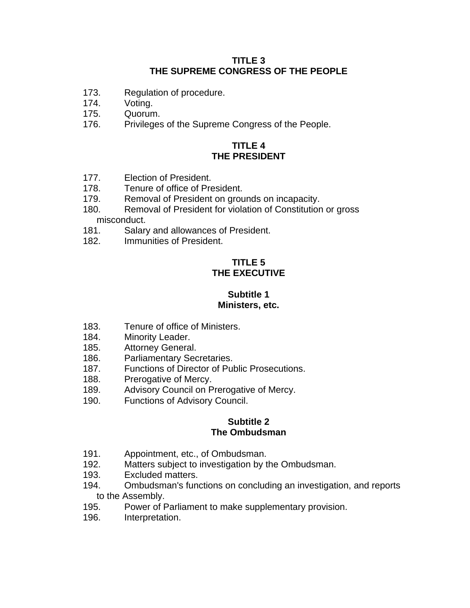## **TITLE 3 THE SUPREME CONGRESS OF THE PEOPLE**

- 173. Regulation of procedure.
- 174. Voting.
- 175. Quorum.
- 176. Privileges of the Supreme Congress of the People.

## **TITLE 4 THE PRESIDENT**

- 177. Election of President.
- 178. Tenure of office of President.
- 179. Removal of President on grounds on incapacity.
- 180. Removal of President for violation of Constitution or gross misconduct.
- 181. Salary and allowances of President.
- 182. Immunities of President.

## **THE EXECUTIVE TITLE 5**

#### **Subtitle 1 Ministers, etc.**

- 183. Tenure of office of Ministers.
- 184. Minority Leader.
- 185. Attorney General.
- 186. Parliamentary Secretaries.
- 187. Functions of Director of Public Prosecutions.
- 188. Prerogative of Mercy.
- 189. Advisory Council on Prerogative of Mercy.
- 190. Functions of Advisory Council.

#### **Subtitle 2 The Ombudsman**

- 191. Appointment, etc., of Ombudsman.
- 192. Matters subject to investigation by the Ombudsman.
- 193. Excluded matters.
- 194. Ombudsman's functions on concluding an investigation, and reports to the Assembly.
- 195. Power of Parliament to make supplementary provision.
- 196. Interpretation.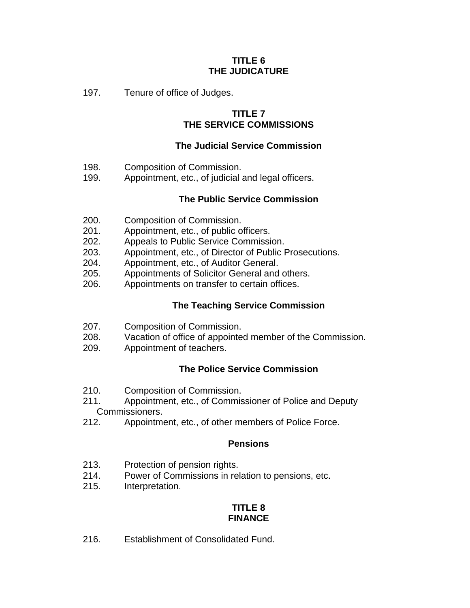## **TITLE 6 THE JUDICATURE**

197. Tenure of office of Judges.

## **TITLE 7 THE SERVICE COMMISSIONS**

# **The Judicial Service Commission**

- 198. Composition of Commission.
- 199. Appointment, etc., of judicial and legal officers.

## **The Public Service Commission**

- 200. Composition of Commission.
- 201. Appointment, etc., of public officers.
- 202. Appeals to Public Service Commission.
- 203. Appointment, etc., of Director of Public Prosecutions.
- 204. Appointment, etc., of Auditor General.
- 205. Appointments of Solicitor General and others.
- 206. Appointments on transfer to certain offices.

# **The Teaching Service Commission**

- 207. Composition of Commission.
- 208. Vacation of office of appointed member of the Commission.
- 209. Appointment of teachers.

# **The Police Service Commission**

- 210. Composition of Commission.
- 211. Appointment, etc., of Commissioner of Police and Deputy Commissioners.
- 212. Appointment, etc., of other members of Police Force.

# **Pensions**

- 213. Protection of pension rights.
- 214. Power of Commissions in relation to pensions, etc.
- 215. Interpretation.

## **TITLE 8 FINANCE**

216. Establishment of Consolidated Fund.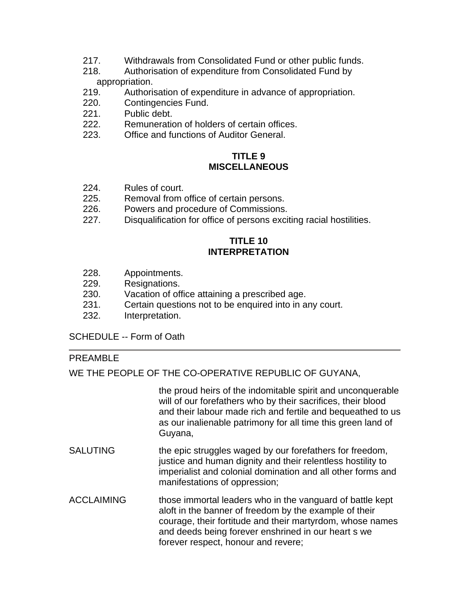- 217. Withdrawals from Consolidated Fund or other public funds.
- 218. Authorisation of expenditure from Consolidated Fund by appropriation.
- 219. Authorisation of expenditure in advance of appropriation.
- 220. Contingencies Fund.
- 221. Public debt.
- 222. Remuneration of holders of certain offices.
- 223. Office and functions of Auditor General.

## **TITLE 9 MISCELLANEOUS**

- 224. Rules of court.
- 225. Removal from office of certain persons.
- 226. Powers and procedure of Commissions.
- 227. Disqualification for office of persons exciting racial hostilities.

# **TITLE 10 INTERPRETATION**

- 228. Appointments.
- 229. Resignations.
- Vacation of office attaining a prescribed age.
- 230. Vacation of office attaining a prescribed age. 231. Certain questions not to be enquired into in any court.
- 232. Interpretation.

SCHEDULE -- Form of Oath

# **PREAMBLE**

WE THE PEOPLE OF THE CO-OPERATIVE REPUBLIC OF GUYANA,

the proud heirs of the indomitable spirit and unconquerable will of our forefathers who by their sacrifices, their blood and their labour made rich and fertile and bequeathed to us as our inalienable patrimony for all time this green land of Guyana,

- SALUTING the epic struggles waged by our forefathers for freedom, justice and human dignity and their relentless hostility to imperialist and colonial domination and all other forms and manifestations of oppression;
- ACCLAIMING those immortal leaders who in the vanguard of battle kept aloft in the banner of freedom by the example of their courage, their fortitude and their martyrdom, whose names and deeds being forever enshrined in our heart s we forever respect, honour and revere;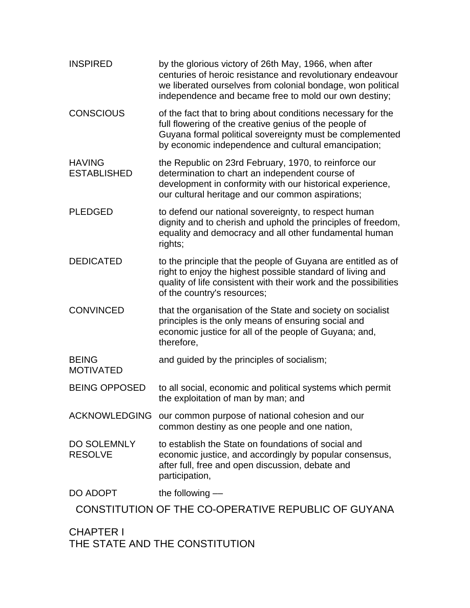| <b>INSPIRED</b>                                     | by the glorious victory of 26th May, 1966, when after<br>centuries of heroic resistance and revolutionary endeavour<br>we liberated ourselves from colonial bondage, won political<br>independence and became free to mold our own destiny; |
|-----------------------------------------------------|---------------------------------------------------------------------------------------------------------------------------------------------------------------------------------------------------------------------------------------------|
| <b>CONSCIOUS</b>                                    | of the fact that to bring about conditions necessary for the<br>full flowering of the creative genius of the people of<br>Guyana formal political sovereignty must be complemented<br>by economic independence and cultural emancipation;   |
| <b>HAVING</b><br><b>ESTABLISHED</b>                 | the Republic on 23rd February, 1970, to reinforce our<br>determination to chart an independent course of<br>development in conformity with our historical experience,<br>our cultural heritage and our common aspirations;                  |
| <b>PLEDGED</b>                                      | to defend our national sovereignty, to respect human<br>dignity and to cherish and uphold the principles of freedom,<br>equality and democracy and all other fundamental human<br>rights;                                                   |
| <b>DEDICATED</b>                                    | to the principle that the people of Guyana are entitled as of<br>right to enjoy the highest possible standard of living and<br>quality of life consistent with their work and the possibilities<br>of the country's resources;              |
| <b>CONVINCED</b>                                    | that the organisation of the State and society on socialist<br>principles is the only means of ensuring social and<br>economic justice for all of the people of Guyana; and,<br>therefore,                                                  |
| <b>BEING</b><br><b>MOTIVATED</b>                    | and guided by the principles of socialism;                                                                                                                                                                                                  |
| <b>BEING OPPOSED</b>                                | to all social, economic and political systems which permit<br>the exploitation of man by man; and                                                                                                                                           |
| <b>ACKNOWLEDGING</b>                                | our common purpose of national cohesion and our<br>common destiny as one people and one nation,                                                                                                                                             |
| <b>DO SOLEMNLY</b><br><b>RESOLVE</b>                | to establish the State on foundations of social and<br>economic justice, and accordingly by popular consensus,<br>after full, free and open discussion, debate and<br>participation,                                                        |
| DO ADOPT                                            | the following $-$                                                                                                                                                                                                                           |
| CONSTITUTION OF THE CO-OPERATIVE REPUBLIC OF GUYANA |                                                                                                                                                                                                                                             |

**CHAPTER I** CHAPTER I<br>THE STATE AND THE CONSTITUTION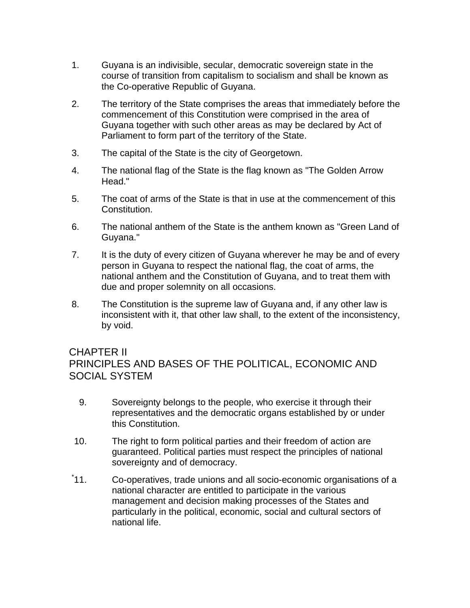- 1. Guyana is an indivisible, secular, democratic sovereign state in the course of transition from capitalism to socialism and shall be known as the Co-operative Republic of Guyana.
- 2. The territory of the State comprises the areas that immediately before the commencement of this Constitution were comprised in the area of Guyana together with such other areas as may be declared by Act of Parliament to form part of the territory of the State.
- 3. The capital of the State is the city of Georgetown.
- 4. The national flag of the State is the flag known as "The Golden Arrow Head."
- 5. The coat of arms of the State is that in use at the commencement of this Constitution.
- 6. The national anthem of the State is the anthem known as "Green Land of Guyana."
- 7. It is the duty of every citizen of Guyana wherever he may be and of every person in Guyana to respect the national flag, the coat of arms, the national anthem and the Constitution of Guyana, and to treat them with due and proper solemnity on all occasions.
- 8. The Constitution is the supreme law of Guyana and, if any other law is inconsistent with it, that other law shall, to the extent of the inconsistency, by void.

# **CHAPTER II**

 SOCIAL SYSTEM PRINCIPLES AND BASES OF THE POLITICAL, ECONOMIC AND

- 9. Sovereignty belongs to the people, who exercise it through their representatives and the democratic organs established by or under this Constitution.
- 10. The right to form political parties and their freedom of action are guaranteed. Political parties must respect the principles of national sovereignty and of democracy.
- ້11. 11. Co-operatives, trade unions and all socio-economic organisations of a national character are entitled to participate in the various management and decision making processes of the States and particularly in the political, economic, social and cultural sectors of national life.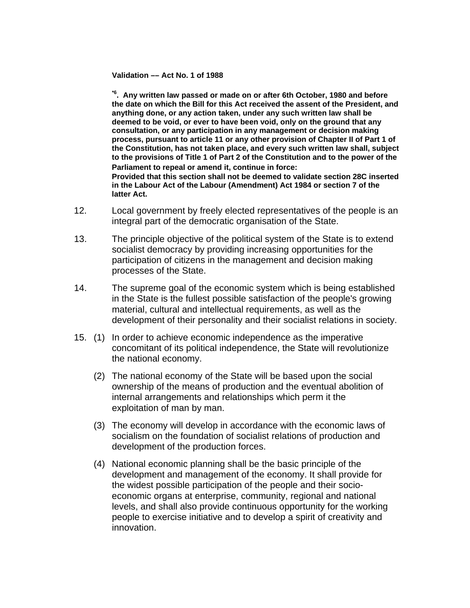**Validation –– Act No. 1 of 1988**

**\*6. Any written law passed or made on or after 6th October, 1980 and before the date on which the Bill for this Act received the assent of the President, and anything done, or any action taken, under any such written law shall be deemed to be void, or ever to have been void, only on the ground that any consultation, or any participation in any management or decision making process, pursuant to article 11 or any other provision of Chapter II of Part 1 of the Constitution, has not taken place, and every such written law shall, subject to the provisions of Title 1 of Part 2 of the Constitution and to the power of the Parliament to repeal or amend it, continue in force: Provided that this section shall not be deemed to validate section 28C inserted in the Labour Act of the Labour (Amendment) Act 1984 or section 7 of the latter Act.**

- 12. Local government by freely elected representatives of the people is an integral part of the democratic organisation of the State.
- 13. The principle objective of the political system of the State is to extend socialist democracy by providing increasing opportunities for the participation of citizens in the management and decision making processes of the State.
- 14. The supreme goal of the economic system which is being established in the State is the fullest possible satisfaction of the people's growing material, cultural and intellectual requirements, as well as the development of their personality and their socialist relations in society.
- 15. (1) In order to achieve economic independence as the imperative concomitant of its political independence, the State will revolutionize the national economy.
	- (2) The national economy of the State will be based upon the social ownership of the means of production and the eventual abolition of internal arrangements and relationships which perm it the exploitation of man by man.
	- (3) The economy will develop in accordance with the economic laws of socialism on the foundation of socialist relations of production and development of the production forces.
	- (4) National economic planning shall be the basic principle of the development and management of the economy. It shall provide for the widest possible participation of the people and their socioeconomic organs at enterprise, community, regional and national levels, and shall also provide continuous opportunity for the working people to exercise initiative and to develop a spirit of creativity and innovation.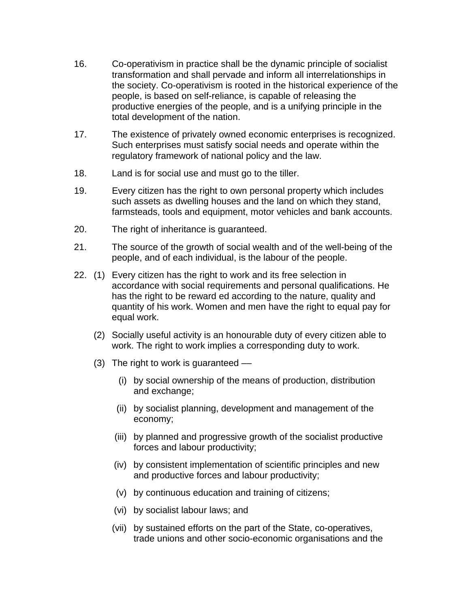- 16. Co-operativism in practice shall be the dynamic principle of socialist transformation and shall pervade and inform all interrelationships in the society. Co-operativism is rooted in the historical experience of the people, is based on self-reliance, is capable of releasing the productive energies of the people, and is a unifying principle in the total development of the nation.
- 17. The existence of privately owned economic enterprises is recognized. Such enterprises must satisfy social needs and operate within the regulatory framework of national policy and the law.
- 18. Land is for social use and must go to the tiller.
- 19. Every citizen has the right to own personal property which includes such assets as dwelling houses and the land on which they stand, farmsteads, tools and equipment, motor vehicles and bank accounts.
- 20. The right of inheritance is guaranteed.
- 21. The source of the growth of social wealth and of the well-being of the people, and of each individual, is the labour of the people.
- 22. (1) Every citizen has the right to work and its free selection in accordance with social requirements and personal qualifications. He has the right to be reward ed according to the nature, quality and quantity of his work. Women and men have the right to equal pay for equal work.
	- (2) Socially useful activity is an honourable duty of every citizen able to work. The right to work implies a corresponding duty to work.
	- (3) The right to work is guaranteed  $-$ 
		- (i) by social ownership of the means of production, distribution and exchange;
		- (ii) by socialist planning, development and management of the economy;
		- (iii) by planned and progressive growth of the socialist productive forces and labour productivity;
		- (iv) by consistent implementation of scientific principles and new and productive forces and labour productivity;
		- (v) by continuous education and training of citizens;
		- (vi) by socialist labour laws; and
		- (vii) by sustained efforts on the part of the State, co-operatives, trade unions and other socio-economic organisations and the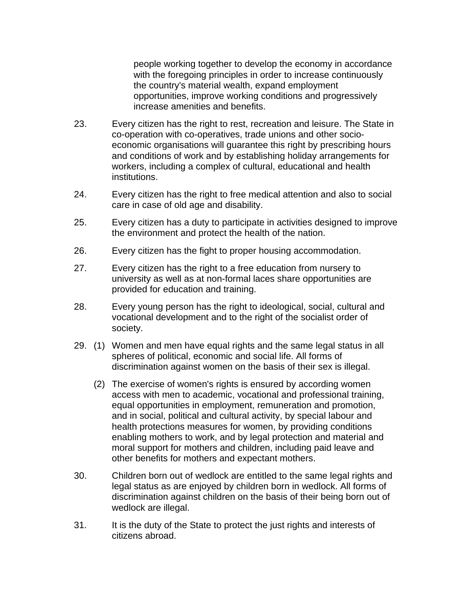people working together to develop the economy in accordance with the foregoing principles in order to increase continuously the country's material wealth, expand employment opportunities, improve working conditions and progressively increase amenities and benefits.

- 23. Every citizen has the right to rest, recreation and leisure. The State in co-operation with co-operatives, trade unions and other socioeconomic organisations will guarantee this right by prescribing hours and conditions of work and by establishing holiday arrangements for workers, including a complex of cultural, educational and health institutions.
- 24. Every citizen has the right to free medical attention and also to social care in case of old age and disability.
- 25. Every citizen has a duty to participate in activities designed to improve the environment and protect the health of the nation.
- 26. Every citizen has the fight to proper housing accommodation.
- 27. Every citizen has the right to a free education from nursery to university as well as at non-formal laces share opportunities are provided for education and training.
- 28. Every young person has the right to ideological, social, cultural and vocational development and to the right of the socialist order of society.
- 29. (1) Women and men have equal rights and the same legal status in all spheres of political, economic and social life. All forms of discrimination against women on the basis of their sex is illegal.
	- (2) The exercise of women's rights is ensured by according women access with men to academic, vocational and professional training, equal opportunities in employment, remuneration and promotion, and in social, political and cultural activity, by special labour and health protections measures for women, by providing conditions enabling mothers to work, and by legal protection and material and moral support for mothers and children, including paid leave and other benefits for mothers and expectant mothers.
- 30. Children born out of wedlock are entitled to the same legal rights and legal status as are enjoyed by children born in wedlock. All forms of discrimination against children on the basis of their being born out of wedlock are illegal.
- 31. It is the duty of the State to protect the just rights and interests of citizens abroad.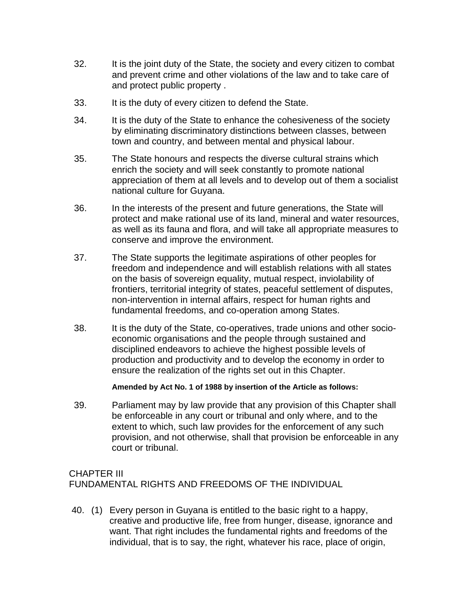- 32. It is the joint duty of the State, the society and every citizen to combat and prevent crime and other violations of the law and to take care of and protect public property .
- 33. It is the duty of every citizen to defend the State.
- 34. It is the duty of the State to enhance the cohesiveness of the society by eliminating discriminatory distinctions between classes, between town and country, and between mental and physical labour.
- 35. The State honours and respects the diverse cultural strains which enrich the society and will seek constantly to promote national appreciation of them at all levels and to develop out of them a socialist national culture for Guyana.
- 36. In the interests of the present and future generations, the State will protect and make rational use of its land, mineral and water resources, as well as its fauna and flora, and will take all appropriate measures to conserve and improve the environment.
- 37. The State supports the legitimate aspirations of other peoples for freedom and independence and will establish relations with all states on the basis of sovereign equality, mutual respect, inviolability of frontiers, territorial integrity of states, peaceful settlement of disputes, non-intervention in internal affairs, respect for human rights and fundamental freedoms, and co-operation among States.
- 38. It is the duty of the State, co-operatives, trade unions and other socioeconomic organisations and the people through sustained and disciplined endeavors to achieve the highest possible levels of production and productivity and to develop the economy in order to ensure the realization of the rights set out in this Chapter.

#### **Amended by Act No. 1 of 1988 by insertion of the Article as follows:**

 39. Parliament may by law provide that any provision of this Chapter shall be enforceable in any court or tribunal and only where, and to the extent to which, such law provides for the enforcement of any such provision, and not otherwise, shall that provision be enforceable in any court or tribunal.

# CHAPTER III FUNDAMENTAL RIGHTS AND FREEDOMS OF THE INDIVIDUAL

40. (1) Every person in Guyana is entitled to the basic right to a happy, creative and productive life, free from hunger, disease, ignorance and want. That right includes the fundamental rights and freedoms of the individual, that is to say, the right, whatever his race, place of origin,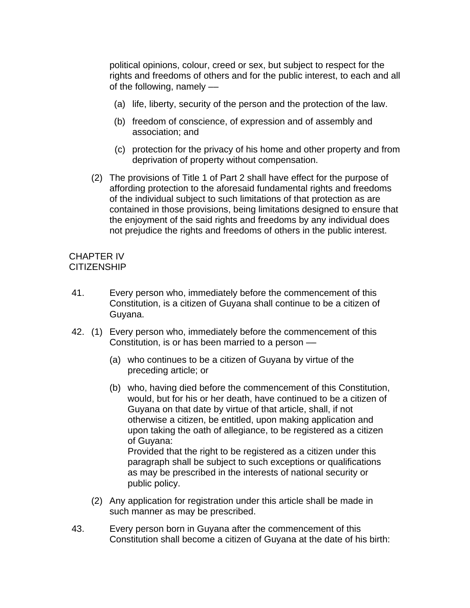political opinions, colour, creed or sex, but subject to respect for the rights and freedoms of others and for the public interest, to each and all of the following, namely ––

- (a) life, liberty, security of the person and the protection of the law.
- (b) freedom of conscience, of expression and of assembly and association; and
- (c) protection for the privacy of his home and other property and from deprivation of property without compensation.
- (2) The provisions of Title 1 of Part 2 shall have effect for the purpose of affording protection to the aforesaid fundamental rights and freedoms of the individual subject to such limitations of that protection as are contained in those provisions, being limitations designed to ensure that the enjoyment of the said rights and freedoms by any individual does not prejudice the rights and freedoms of others in the public interest.

#### CHAPTER IV **CITIZENSHIP**

- 41. Every person who, immediately before the commencement of this Constitution, is a citizen of Guyana shall continue to be a citizen of Guyana.
- 42. (1) Every person who, immediately before the commencement of this Constitution, is or has been married to a person ––
	- (a) who continues to be a citizen of Guyana by virtue of the preceding article; or
	- (b) who, having died before the commencement of this Constitution, would, but for his or her death, have continued to be a citizen of Guyana on that date by virtue of that article, shall, if not otherwise a citizen, be entitled, upon making application and upon taking the oath of allegiance, to be registered as a citizen of Guyana: Provided that the right to be registered as a citizen under this paragraph shall be subject to such exceptions or qualifications

as may be prescribed in the interests of national security or

(2) Any application for registration under this article shall be made in such manner as may be prescribed.

public policy.

43. Every person born in Guyana after the commencement of this Constitution shall become a citizen of Guyana at the date of his birth: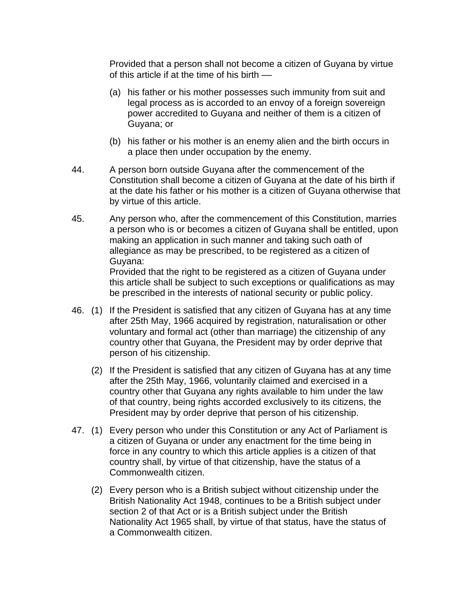Provided that a person shall not become a citizen of Guyana by virtue of this article if at the time of his birth ––

- (a) his father or his mother possesses such immunity from suit and legal process as is accorded to an envoy of a foreign sovereign power accredited to Guyana and neither of them is a citizen of Guyana; or
- (b) his father or his mother is an enemy alien and the birth occurs in a place then under occupation by the enemy.
- 44. A person born outside Guyana after the commencement of the Constitution shall become a citizen of Guyana at the date of his birth if at the date his father or his mother is a citizen of Guyana otherwise that by virtue of this article.
- 45. Any person who, after the commencement of this Constitution, marries a person who is or becomes a citizen of Guyana shall be entitled, upon making an application in such manner and taking such oath of allegiance as may be prescribed, to be registered as a citizen of Guyana: Provided that the right to be registered as a citizen of Guyana under this article shall be subject to such exceptions or qualifications as may be prescribed in the interests of national security or public policy.
- 46. (1) If the President is satisfied that any citizen of Guyana has at any time after 25th May, 1966 acquired by registration, naturalisation or other voluntary and formal act (other than marriage) the citizenship of any country other that Guyana, the President may by order deprive that person of his citizenship.
	- (2) If the President is satisfied that any citizen of Guyana has at any time after the 25th May, 1966, voluntarily claimed and exercised in a country other that Guyana any rights available to him under the law of that country, being rights accorded exclusively to its citizens, the President may by order deprive that person of his citizenship.
- 47. (1) Every person who under this Constitution or any Act of Parliament is a citizen of Guyana or under any enactment for the time being in force in any country to which this article applies is a citizen of that country shall, by virtue of that citizenship, have the status of a Commonwealth citizen.
	- (2) Every person who is a British subject without citizenship under the British Nationality Act 1948, continues to be a British subject under section 2 of that Act or is a British subject under the British Nationality Act 1965 shall, by virtue of that status, have the status of a Commonwealth citizen.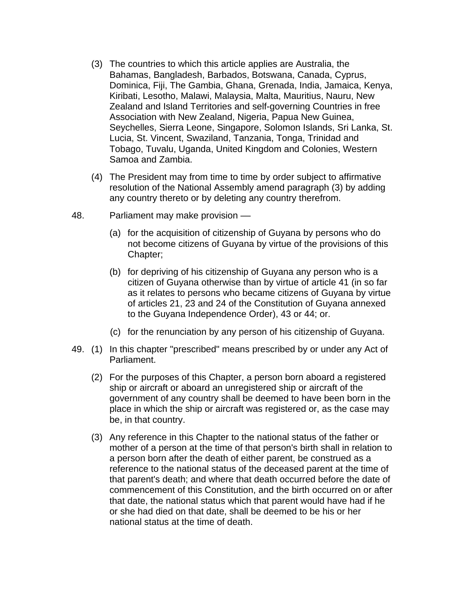- (3) The countries to which this article applies are Australia, the Bahamas, Bangladesh, Barbados, Botswana, Canada, Cyprus, Dominica, Fiji, The Gambia, Ghana, Grenada, India, Jamaica, Kenya, Kiribati, Lesotho, Malawi, Malaysia, Malta, Mauritius, Nauru, New Zealand and Island Territories and self-governing Countries in free Association with New Zealand, Nigeria, Papua New Guinea, Seychelles, Sierra Leone, Singapore, Solomon Islands, Sri Lanka, St. Lucia, St. Vincent, Swaziland, Tanzania, Tonga, Trinidad and Tobago, Tuvalu, Uganda, United Kingdom and Colonies, Western Samoa and Zambia.
- (4) The President may from time to time by order subject to affirmative resolution of the National Assembly amend paragraph (3) by adding any country thereto or by deleting any country therefrom.
- 48. Parliament may make provision
	- (a) for the acquisition of citizenship of Guyana by persons who do not become citizens of Guyana by virtue of the provisions of this Chapter;
	- (b) for depriving of his citizenship of Guyana any person who is a citizen of Guyana otherwise than by virtue of article 41 (in so far as it relates to persons who became citizens of Guyana by virtue of articles 21, 23 and 24 of the Constitution of Guyana annexed to the Guyana Independence Order), 43 or 44; or.
	- (c) for the renunciation by any person of his citizenship of Guyana.
- 49. (1) In this chapter "prescribed" means prescribed by or under any Act of Parliament.
	- (2) For the purposes of this Chapter, a person born aboard a registered ship or aircraft or aboard an unregistered ship or aircraft of the government of any country shall be deemed to have been born in the place in which the ship or aircraft was registered or, as the case may be, in that country.
	- (3) Any reference in this Chapter to the national status of the father or mother of a person at the time of that person's birth shall in relation to a person born after the death of either parent, be construed as a reference to the national status of the deceased parent at the time of that parent's death; and where that death occurred before the date of commencement of this Constitution, and the birth occurred on or after that date, the national status which that parent would have had if he or she had died on that date, shall be deemed to be his or her national status at the time of death.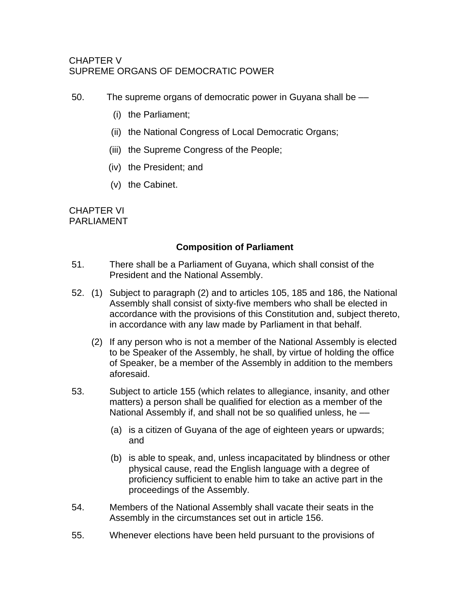## CHAPTER V SUPREME ORGANS OF DEMOCRATIC POWER

- 50. The supreme organs of democratic power in Guyana shall be ––
	- (i) the Parliament;
	- (ii) the National Congress of Local Democratic Organs;
	- (iii) the Supreme Congress of the People;
	- (iv) the President; and
	- (v) the Cabinet.

# CHAPTER VI PARLIAMENT

## **Composition of Parliament**

- 51. There shall be a Parliament of Guyana, which shall consist of the President and the National Assembly.
- 52. (1) Subject to paragraph (2) and to articles 105, 185 and 186, the National Assembly shall consist of sixty-five members who shall be elected in accordance with the provisions of this Constitution and, subject thereto, in accordance with any law made by Parliament in that behalf.
	- (2) If any person who is not a member of the National Assembly is elected to be Speaker of the Assembly, he shall, by virtue of holding the office of Speaker, be a member of the Assembly in addition to the members aforesaid.
- 53. Subject to article 155 (which relates to allegiance, insanity, and other matters) a person shall be qualified for election as a member of the National Assembly if, and shall not be so qualified unless, he --
	- (a) is a citizen of Guyana of the age of eighteen years or upwards; and
	- (b) is able to speak, and, unless incapacitated by blindness or other physical cause, read the English language with a degree of proficiency sufficient to enable him to take an active part in the proceedings of the Assembly.
- 54. Members of the National Assembly shall vacate their seats in the Assembly in the circumstances set out in article 156.
- 55. Whenever elections have been held pursuant to the provisions of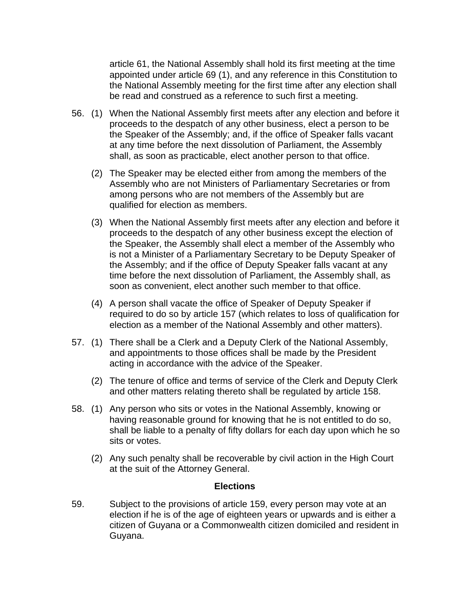article 61, the National Assembly shall hold its first meeting at the time appointed under article 69 (1), and any reference in this Constitution to the National Assembly meeting for the first time after any election shall be read and construed as a reference to such first a meeting.

- 56. (1) When the National Assembly first meets after any election and before it proceeds to the despatch of any other business, elect a person to be the Speaker of the Assembly; and, if the office of Speaker falls vacant at any time before the next dissolution of Parliament, the Assembly shall, as soon as practicable, elect another person to that office.
	- (2) The Speaker may be elected either from among the members of the Assembly who are not Ministers of Parliamentary Secretaries or from among persons who are not members of the Assembly but are qualified for election as members.
	- (3) When the National Assembly first meets after any election and before it proceeds to the despatch of any other business except the election of the Speaker, the Assembly shall elect a member of the Assembly who is not a Minister of a Parliamentary Secretary to be Deputy Speaker of the Assembly; and if the office of Deputy Speaker falls vacant at any time before the next dissolution of Parliament, the Assembly shall, as soon as convenient, elect another such member to that office.
	- (4) A person shall vacate the office of Speaker of Deputy Speaker if required to do so by article 157 (which relates to loss of qualification for election as a member of the National Assembly and other matters).
- 57. (1) There shall be a Clerk and a Deputy Clerk of the National Assembly, and appointments to those offices shall be made by the President acting in accordance with the advice of the Speaker.
	- (2) The tenure of office and terms of service of the Clerk and Deputy Clerk and other matters relating thereto shall be regulated by article 158.
- 58. (1) Any person who sits or votes in the National Assembly, knowing or having reasonable ground for knowing that he is not entitled to do so, shall be liable to a penalty of fifty dollars for each day upon which he so sits or votes.
	- (2) Any such penalty shall be recoverable by civil action in the High Court at the suit of the Attorney General.

#### **Elections**

 59. Subject to the provisions of article 159, every person may vote at an election if he is of the age of eighteen years or upwards and is either a citizen of Guyana or a Commonwealth citizen domiciled and resident in Guyana.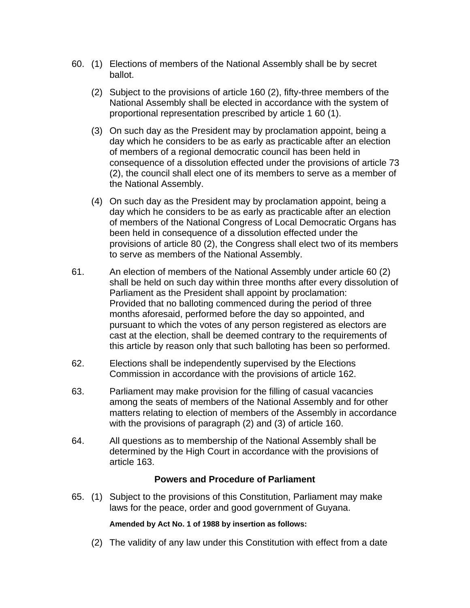- 60. (1) Elections of members of the National Assembly shall be by secret ballot.
	- (2) Subject to the provisions of article 160 (2), fifty-three members of the National Assembly shall be elected in accordance with the system of proportional representation prescribed by article 1 60 (1).
	- (3) On such day as the President may by proclamation appoint, being a day which he considers to be as early as practicable after an election of members of a regional democratic council has been held in consequence of a dissolution effected under the provisions of article 73 (2), the council shall elect one of its members to serve as a member of the National Assembly.
	- (4) On such day as the President may by proclamation appoint, being a day which he considers to be as early as practicable after an election of members of the National Congress of Local Democratic Organs has been held in consequence of a dissolution effected under the provisions of article 80 (2), the Congress shall elect two of its members to serve as members of the National Assembly.
- 61. An election of members of the National Assembly under article 60 (2) shall be held on such day within three months after every dissolution of Parliament as the President shall appoint by proclamation: Provided that no balloting commenced during the period of three months aforesaid, performed before the day so appointed, and pursuant to which the votes of any person registered as electors are cast at the election, shall be deemed contrary to the requirements of this article by reason only that such balloting has been so performed.
- 62. Elections shall be independently supervised by the Elections Commission in accordance with the provisions of article 162.
- 63. Parliament may make provision for the filling of casual vacancies among the seats of members of the National Assembly and for other matters relating to election of members of the Assembly in accordance with the provisions of paragraph (2) and (3) of article 160.
- 64. All questions as to membership of the National Assembly shall be determined by the High Court in accordance with the provisions of article 163.

## **Powers and Procedure of Parliament**

 65. (1) Subject to the provisions of this Constitution, Parliament may make laws for the peace, order and good government of Guyana.

## **Amended by Act No. 1 of 1988 by insertion as follows:**

(2) The validity of any law under this Constitution with effect from a date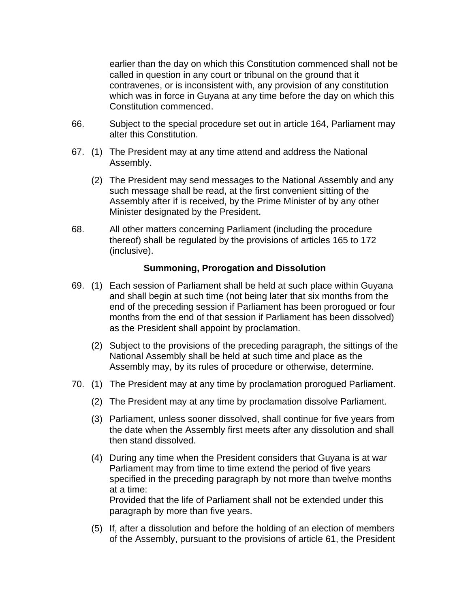earlier than the day on which this Constitution commenced shall not be called in question in any court or tribunal on the ground that it contravenes, or is inconsistent with, any provision of any constitution which was in force in Guyana at any time before the day on which this Constitution commenced.

- 66. Subject to the special procedure set out in article 164, Parliament may alter this Constitution.
- 67. (1) The President may at any time attend and address the National Assembly.
	- (2) The President may send messages to the National Assembly and any such message shall be read, at the first convenient sitting of the Assembly after if is received, by the Prime Minister of by any other Minister designated by the President.
- 68. All other matters concerning Parliament (including the procedure thereof) shall be regulated by the provisions of articles 165 to 172 (inclusive).

#### **Summoning, Prorogation and Dissolution**

- 69. (1) Each session of Parliament shall be held at such place within Guyana and shall begin at such time (not being later that six months from the end of the preceding session if Parliament has been prorogued or four months from the end of that session if Parliament has been dissolved) as the President shall appoint by proclamation.
	- (2) Subject to the provisions of the preceding paragraph, the sittings of the National Assembly shall be held at such time and place as the Assembly may, by its rules of procedure or otherwise, determine.
- 70. (1) The President may at any time by proclamation prorogued Parliament.
	- (2) The President may at any time by proclamation dissolve Parliament.
	- (3) Parliament, unless sooner dissolved, shall continue for five years from the date when the Assembly first meets after any dissolution and shall then stand dissolved.
	- (4) During any time when the President considers that Guyana is at war Parliament may from time to time extend the period of five years specified in the preceding paragraph by not more than twelve months at a time: Provided that the life of Parliament shall not be extended under this paragraph by more than five years.
	- (5) If, after a dissolution and before the holding of an election of members of the Assembly, pursuant to the provisions of article 61, the President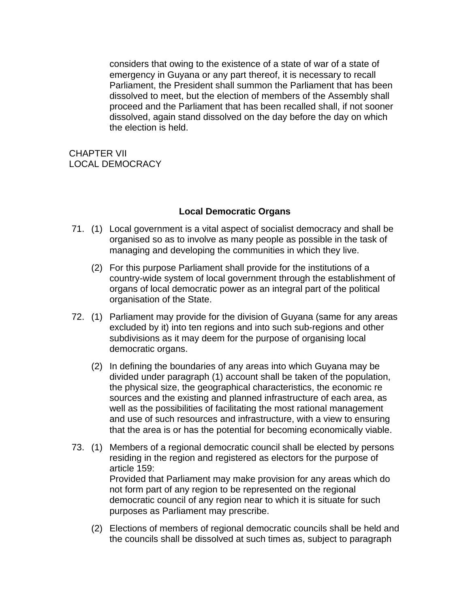considers that owing to the existence of a state of war of a state of emergency in Guyana or any part thereof, it is necessary to recall Parliament, the President shall summon the Parliament that has been dissolved to meet, but the election of members of the Assembly shall proceed and the Parliament that has been recalled shall, if not sooner dissolved, again stand dissolved on the day before the day on which the election is held.

 LOCAL DEMOCRACY CHAPTER VII

## **Local Democratic Organs**

- 71. (1) Local government is a vital aspect of socialist democracy and shall be organised so as to involve as many people as possible in the task of managing and developing the communities in which they live.
	- (2) For this purpose Parliament shall provide for the institutions of a country-wide system of local government through the establishment of organs of local democratic power as an integral part of the political organisation of the State.
- 72. (1) Parliament may provide for the division of Guyana (same for any areas excluded by it) into ten regions and into such sub-regions and other subdivisions as it may deem for the purpose of organising local democratic organs.
	- (2) In defining the boundaries of any areas into which Guyana may be divided under paragraph (1) account shall be taken of the population, the physical size, the geographical characteristics, the economic re sources and the existing and planned infrastructure of each area, as well as the possibilities of facilitating the most rational management and use of such resources and infrastructure, with a view to ensuring that the area is or has the potential for becoming economically viable.
- 73. (1) Members of a regional democratic council shall be elected by persons residing in the region and registered as electors for the purpose of article 159: Provided that Parliament may make provision for any areas which do not form part of any region to be represented on the regional democratic council of any region near to which it is situate for such purposes as Parliament may prescribe.
	- (2) Elections of members of regional democratic councils shall be held and the councils shall be dissolved at such times as, subject to paragraph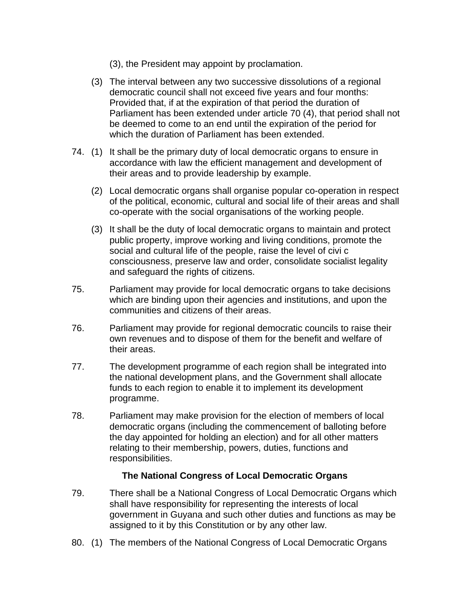- (3), the President may appoint by proclamation.
- (3) The interval between any two successive dissolutions of a regional democratic council shall not exceed five years and four months: Provided that, if at the expiration of that period the duration of Parliament has been extended under article 70 (4), that period shall not be deemed to come to an end until the expiration of the period for which the duration of Parliament has been extended.
- 74. (1) It shall be the primary duty of local democratic organs to ensure in accordance with law the efficient management and development of their areas and to provide leadership by example.
	- (2) Local democratic organs shall organise popular co-operation in respect of the political, economic, cultural and social life of their areas and shall co-operate with the social organisations of the working people.
	- (3) It shall be the duty of local democratic organs to maintain and protect public property, improve working and living conditions, promote the social and cultural life of the people, raise the level of civi c consciousness, preserve law and order, consolidate socialist legality and safeguard the rights of citizens.
- 75. Parliament may provide for local democratic organs to take decisions which are binding upon their agencies and institutions, and upon the communities and citizens of their areas.
- 76. Parliament may provide for regional democratic councils to raise their own revenues and to dispose of them for the benefit and welfare of their areas.
- 77. The development programme of each region shall be integrated into the national development plans, and the Government shall allocate funds to each region to enable it to implement its development programme.
- 78. Parliament may make provision for the election of members of local democratic organs (including the commencement of balloting before the day appointed for holding an election) and for all other matters relating to their membership, powers, duties, functions and responsibilities.

## **The National Congress of Local Democratic Organs**

- 79. There shall be a National Congress of Local Democratic Organs which shall have responsibility for representing the interests of local government in Guyana and such other duties and functions as may be assigned to it by this Constitution or by any other law.
- 80. (1) The members of the National Congress of Local Democratic Organs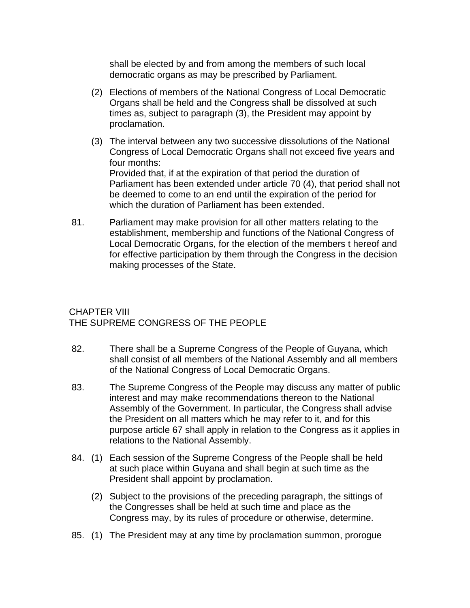shall be elected by and from among the members of such local democratic organs as may be prescribed by Parliament.

- (2) Elections of members of the National Congress of Local Democratic Organs shall be held and the Congress shall be dissolved at such times as, subject to paragraph (3), the President may appoint by proclamation.
- (3) The interval between any two successive dissolutions of the National Congress of Local Democratic Organs shall not exceed five years and four months: Provided that, if at the expiration of that period the duration of Parliament has been extended under article 70 (4), that period shall not be deemed to come to an end until the expiration of the period for which the duration of Parliament has been extended.
- 81. Parliament may make provision for all other matters relating to the establishment, membership and functions of the National Congress of Local Democratic Organs, for the election of the members t hereof and for effective participation by them through the Congress in the decision making processes of the State.

# CHAPTER VIII THE SUPREME CONGRESS OF THE PEOPLE

- 82. There shall be a Supreme Congress of the People of Guyana, which shall consist of all members of the National Assembly and all members of the National Congress of Local Democratic Organs.
- 83. The Supreme Congress of the People may discuss any matter of public interest and may make recommendations thereon to the National Assembly of the Government. In particular, the Congress shall advise the President on all matters which he may refer to it, and for this purpose article 67 shall apply in relation to the Congress as it applies in relations to the National Assembly.
- 84. (1) Each session of the Supreme Congress of the People shall be held at such place within Guyana and shall begin at such time as the President shall appoint by proclamation.
	- (2) Subject to the provisions of the preceding paragraph, the sittings of the Congresses shall be held at such time and place as the Congress may, by its rules of procedure or otherwise, determine.
- 85. (1) The President may at any time by proclamation summon, prorogue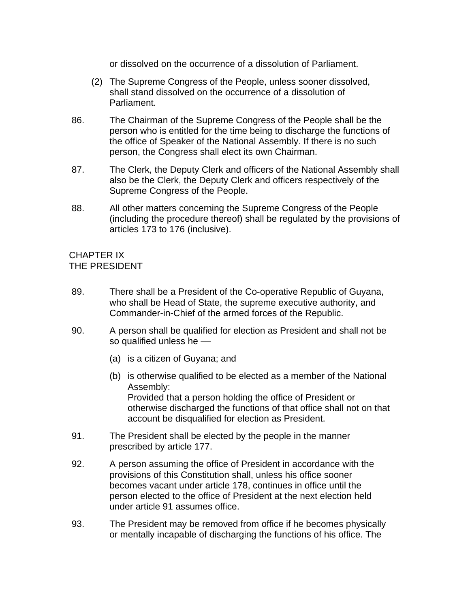or dissolved on the occurrence of a dissolution of Parliament.

- (2) The Supreme Congress of the People, unless sooner dissolved, shall stand dissolved on the occurrence of a dissolution of Parliament.
- 86. The Chairman of the Supreme Congress of the People shall be the person who is entitled for the time being to discharge the functions of the office of Speaker of the National Assembly. If there is no such person, the Congress shall elect its own Chairman.
- 87. The Clerk, the Deputy Clerk and officers of the National Assembly shall also be the Clerk, the Deputy Clerk and officers respectively of the Supreme Congress of the People.
- 88. All other matters concerning the Supreme Congress of the People (including the procedure thereof) shall be regulated by the provisions of articles 173 to 176 (inclusive).

## CHAPTER IX THE PRESIDENT

- 89. There shall be a President of the Co-operative Republic of Guyana, who shall be Head of State, the supreme executive authority, and Commander-in-Chief of the armed forces of the Republic.
- 90. A person shall be qualified for election as President and shall not be so qualified unless he -
	- (a) is a citizen of Guyana; and
	- (b) is otherwise qualified to be elected as a member of the National Assembly: Provided that a person holding the office of President or otherwise discharged the functions of that office shall not on that account be disqualified for election as President.
- 91. The President shall be elected by the people in the manner prescribed by article 177.
- 92. A person assuming the office of President in accordance with the provisions of this Constitution shall, unless his office sooner becomes vacant under article 178, continues in office until the person elected to the office of President at the next election held under article 91 assumes office.
- 93. The President may be removed from office if he becomes physically or mentally incapable of discharging the functions of his office. The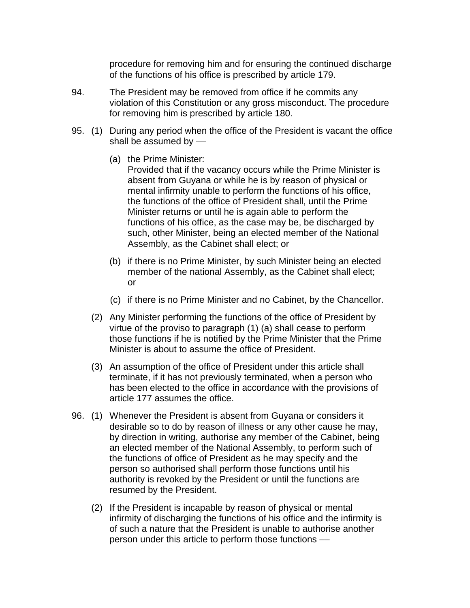procedure for removing him and for ensuring the continued discharge of the functions of his office is prescribed by article 179.

- 94. The President may be removed from office if he commits any violation of this Constitution or any gross misconduct. The procedure for removing him is prescribed by article 180.
- 95. (1) During any period when the office of the President is vacant the office shall be assumed by  $-$ 
	- (a) the Prime Minister:

Provided that if the vacancy occurs while the Prime Minister is absent from Guyana or while he is by reason of physical or mental infirmity unable to perform the functions of his office, the functions of the office of President shall, until the Prime Minister returns or until he is again able to perform the functions of his office, as the case may be, be discharged by such, other Minister, being an elected member of the National Assembly, as the Cabinet shall elect; or

- (b) if there is no Prime Minister, by such Minister being an elected member of the national Assembly, as the Cabinet shall elect; or
- (c) if there is no Prime Minister and no Cabinet, by the Chancellor.
- (2) Any Minister performing the functions of the office of President by virtue of the proviso to paragraph (1) (a) shall cease to perform those functions if he is notified by the Prime Minister that the Prime Minister is about to assume the office of President.
- (3) An assumption of the office of President under this article shall terminate, if it has not previously terminated, when a person who has been elected to the office in accordance with the provisions of article 177 assumes the office.
- 96. (1) Whenever the President is absent from Guyana or considers it desirable so to do by reason of illness or any other cause he may, by direction in writing, authorise any member of the Cabinet, being an elected member of the National Assembly, to perform such of the functions of office of President as he may specify and the person so authorised shall perform those functions until his authority is revoked by the President or until the functions are resumed by the President.
	- (2) If the President is incapable by reason of physical or mental infirmity of discharging the functions of his office and the infirmity is of such a nature that the President is unable to authorise another person under this article to perform those functions ––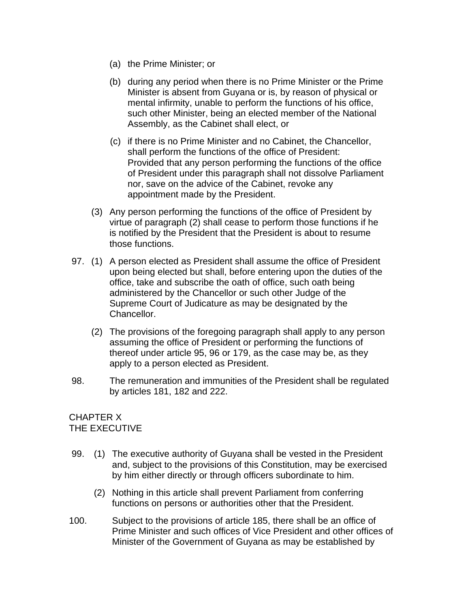- (a) the Prime Minister; or
- (b) during any period when there is no Prime Minister or the Prime Minister is absent from Guyana or is, by reason of physical or mental infirmity, unable to perform the functions of his office, such other Minister, being an elected member of the National Assembly, as the Cabinet shall elect, or
- (c) if there is no Prime Minister and no Cabinet, the Chancellor, shall perform the functions of the office of President: Provided that any person performing the functions of the office of President under this paragraph shall not dissolve Parliament nor, save on the advice of the Cabinet, revoke any appointment made by the President.
- (3) Any person performing the functions of the office of President by virtue of paragraph (2) shall cease to perform those functions if he is notified by the President that the President is about to resume those functions.
- 97. (1) A person elected as President shall assume the office of President upon being elected but shall, before entering upon the duties of the office, take and subscribe the oath of office, such oath being administered by the Chancellor or such other Judge of the Supreme Court of Judicature as may be designated by the Chancellor.
	- (2) The provisions of the foregoing paragraph shall apply to any person assuming the office of President or performing the functions of thereof under article 95, 96 or 179, as the case may be, as they apply to a person elected as President.
- 98. The remuneration and immunities of the President shall be regulated by articles 181, 182 and 222.

#### CHAPTER X THE EXECUTIVE

- 99. (1) The executive authority of Guyana shall be vested in the President and, subject to the provisions of this Constitution, may be exercised by him either directly or through officers subordinate to him.
	- (2) Nothing in this article shall prevent Parliament from conferring functions on persons or authorities other that the President.
- 100. Subject to the provisions of article 185, there shall be an office of Prime Minister and such offices of Vice President and other offices of Minister of the Government of Guyana as may be established by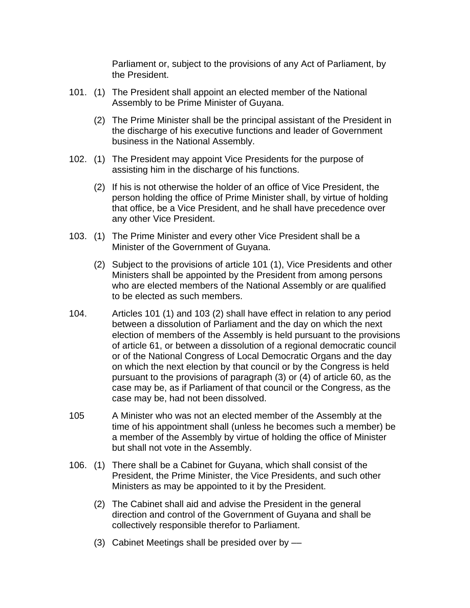Parliament or, subject to the provisions of any Act of Parliament, by the President.

- 101. (1) The President shall appoint an elected member of the National Assembly to be Prime Minister of Guyana.
	- (2) The Prime Minister shall be the principal assistant of the President in the discharge of his executive functions and leader of Government business in the National Assembly.
- 102. (1) The President may appoint Vice Presidents for the purpose of assisting him in the discharge of his functions.
	- (2) If his is not otherwise the holder of an office of Vice President, the person holding the office of Prime Minister shall, by virtue of holding that office, be a Vice President, and he shall have precedence over any other Vice President.
- 103. (1) The Prime Minister and every other Vice President shall be a Minister of the Government of Guyana.
	- (2) Subject to the provisions of article 101 (1), Vice Presidents and other Ministers shall be appointed by the President from among persons who are elected members of the National Assembly or are qualified to be elected as such members.
- 104. Articles 101 (1) and 103 (2) shall have effect in relation to any period between a dissolution of Parliament and the day on which the next election of members of the Assembly is held pursuant to the provisions of article 61, or between a dissolution of a regional democratic council or of the National Congress of Local Democratic Organs and the day on which the next election by that council or by the Congress is held pursuant to the provisions of paragraph (3) or (4) of article 60, as the case may be, as if Parliament of that council or the Congress, as the case may be, had not been dissolved.
- 105 A Minister who was not an elected member of the Assembly at the time of his appointment shall (unless he becomes such a member) be a member of the Assembly by virtue of holding the office of Minister but shall not vote in the Assembly.
- 106. (1) There shall be a Cabinet for Guyana, which shall consist of the President, the Prime Minister, the Vice Presidents, and such other Ministers as may be appointed to it by the President.
	- (2) The Cabinet shall aid and advise the President in the general direction and control of the Government of Guyana and shall be collectively responsible therefor to Parliament.
	- (3) Cabinet Meetings shall be presided over by ––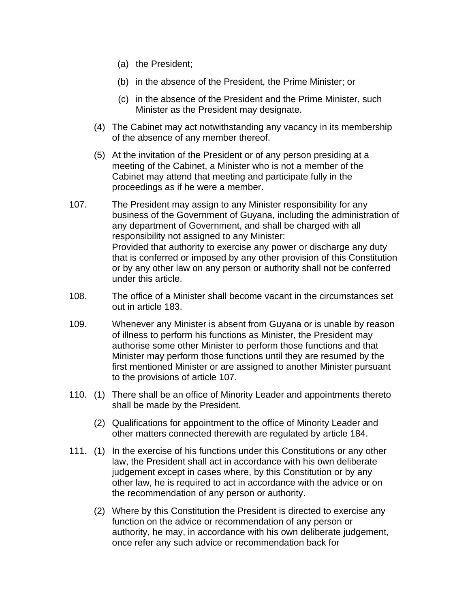- (a) the President;
- (b) in the absence of the President, the Prime Minister; or
- (c) in the absence of the President and the Prime Minister, such Minister as the President may designate.
- (4) The Cabinet may act notwithstanding any vacancy in its membership of the absence of any member thereof.
- (5) At the invitation of the President or of any person presiding at a meeting of the Cabinet, a Minister who is not a member of the Cabinet may attend that meeting and participate fully in the proceedings as if he were a member.
- 107. The President may assign to any Minister responsibility for any business of the Government of Guyana, including the administration of any department of Government, and shall be charged with all responsibility not assigned to any Minister: Provided that authority to exercise any power or discharge any duty that is conferred or imposed by any other provision of this Constitution or by any other law on any person or authority shall not be conferred under this article.
- 108. The office of a Minister shall become vacant in the circumstances set out in article 183.
- 109. Whenever any Minister is absent from Guyana or is unable by reason of illness to perform his functions as Minister, the President may authorise some other Minister to perform those functions and that Minister may perform those functions until they are resumed by the first mentioned Minister or are assigned to another Minister pursuant to the provisions of article 107.
- 110. (1) There shall be an office of Minority Leader and appointments thereto shall be made by the President.
	- (2) Qualifications for appointment to the office of Minority Leader and other matters connected therewith are regulated by article 184.
- 111. (1) In the exercise of his functions under this Constitutions or any other law, the President shall act in accordance with his own deliberate judgement except in cases where, by this Constitution or by any other law, he is required to act in accordance with the advice or on the recommendation of any person or authority.
	- (2) Where by this Constitution the President is directed to exercise any function on the advice or recommendation of any person or authority, he may, in accordance with his own deliberate judgement, once refer any such advice or recommendation back for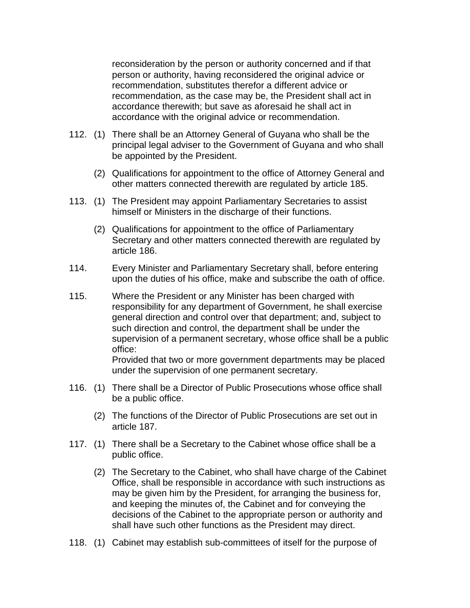reconsideration by the person or authority concerned and if that person or authority, having reconsidered the original advice or recommendation, substitutes therefor a different advice or recommendation, as the case may be, the President shall act in accordance therewith; but save as aforesaid he shall act in accordance with the original advice or recommendation.

- 112. (1) There shall be an Attorney General of Guyana who shall be the principal legal adviser to the Government of Guyana and who shall be appointed by the President.
	- (2) Qualifications for appointment to the office of Attorney General and other matters connected therewith are regulated by article 185.
- 113. (1) The President may appoint Parliamentary Secretaries to assist himself or Ministers in the discharge of their functions.
	- (2) Qualifications for appointment to the office of Parliamentary Secretary and other matters connected therewith are regulated by article 186.
- 114. Every Minister and Parliamentary Secretary shall, before entering upon the duties of his office, make and subscribe the oath of office.
- 115. Where the President or any Minister has been charged with responsibility for any department of Government, he shall exercise general direction and control over that department; and, subject to such direction and control, the department shall be under the supervision of a permanent secretary, whose office shall be a public office:

Provided that two or more government departments may be placed under the supervision of one permanent secretary.

- 116. (1) There shall be a Director of Public Prosecutions whose office shall be a public office.
	- (2) The functions of the Director of Public Prosecutions are set out in article 187.
- 117. (1) There shall be a Secretary to the Cabinet whose office shall be a public office.
	- (2) The Secretary to the Cabinet, who shall have charge of the Cabinet Office, shall be responsible in accordance with such instructions as may be given him by the President, for arranging the business for, and keeping the minutes of, the Cabinet and for conveying the decisions of the Cabinet to the appropriate person or authority and shall have such other functions as the President may direct.
- 118. (1) Cabinet may establish sub-committees of itself for the purpose of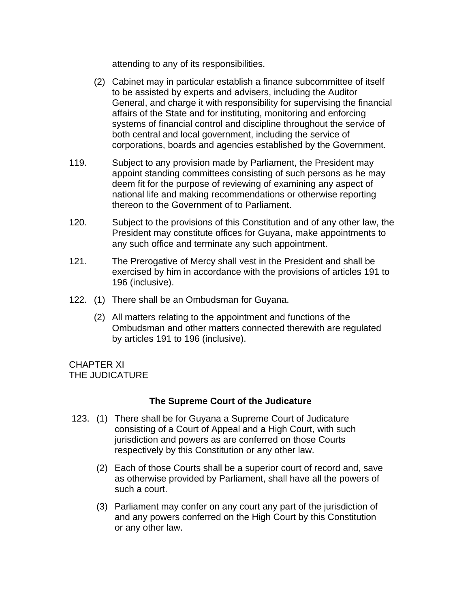attending to any of its responsibilities.

- (2) Cabinet may in particular establish a finance subcommittee of itself to be assisted by experts and advisers, including the Auditor General, and charge it with responsibility for supervising the financial affairs of the State and for instituting, monitoring and enforcing systems of financial control and discipline throughout the service of both central and local government, including the service of corporations, boards and agencies established by the Government.
- 119. Subject to any provision made by Parliament, the President may appoint standing committees consisting of such persons as he may deem fit for the purpose of reviewing of examining any aspect of national life and making recommendations or otherwise reporting thereon to the Government of to Parliament.
- 120. Subject to the provisions of this Constitution and of any other law, the President may constitute offices for Guyana, make appointments to any such office and terminate any such appointment.
- 121. The Prerogative of Mercy shall vest in the President and shall be exercised by him in accordance with the provisions of articles 191 to 196 (inclusive).
- 122. (1) There shall be an Ombudsman for Guyana.
	- (2) All matters relating to the appointment and functions of the Ombudsman and other matters connected therewith are regulated by articles 191 to 196 (inclusive).

## CHAPTER XI THE JUDICATURE

# **The Supreme Court of the Judicature**

- 123. (1) There shall be for Guyana a Supreme Court of Judicature consisting of a Court of Appeal and a High Court, with such jurisdiction and powers as are conferred on those Courts respectively by this Constitution or any other law.
	- (2) Each of those Courts shall be a superior court of record and, save as otherwise provided by Parliament, shall have all the powers of such a court.
	- (3) Parliament may confer on any court any part of the jurisdiction of and any powers conferred on the High Court by this Constitution or any other law.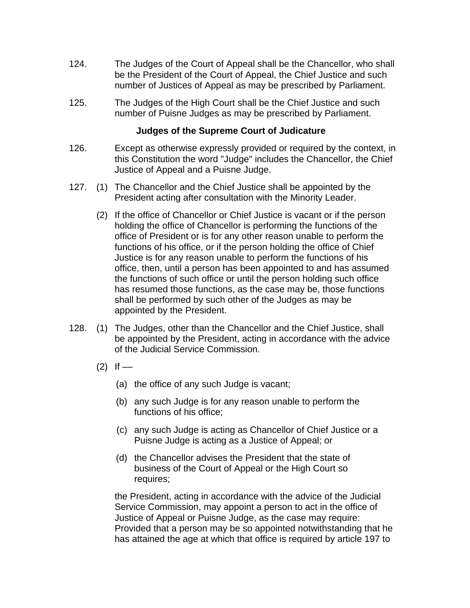- 124. The Judges of the Court of Appeal shall be the Chancellor, who shall be the President of the Court of Appeal, the Chief Justice and such number of Justices of Appeal as may be prescribed by Parliament.
- 125. The Judges of the High Court shall be the Chief Justice and such number of Puisne Judges as may be prescribed by Parliament.

### **Judges of the Supreme Court of Judicature**

- 126. Except as otherwise expressly provided or required by the context, in this Constitution the word "Judge" includes the Chancellor, the Chief Justice of Appeal and a Puisne Judge.
- 127. (1) The Chancellor and the Chief Justice shall be appointed by the President acting after consultation with the Minority Leader.
	- (2) If the office of Chancellor or Chief Justice is vacant or if the person holding the office of Chancellor is performing the functions of the office of President or is for any other reason unable to perform the functions of his office, or if the person holding the office of Chief Justice is for any reason unable to perform the functions of his office, then, until a person has been appointed to and has assumed the functions of such office or until the person holding such office has resumed those functions, as the case may be, those functions shall be performed by such other of the Judges as may be appointed by the President.
- 128. (1) The Judges, other than the Chancellor and the Chief Justice, shall be appointed by the President, acting in accordance with the advice of the Judicial Service Commission.
	- $(2)$  If
		- (a) the office of any such Judge is vacant;
		- (b) any such Judge is for any reason unable to perform the functions of his office;
		- (c) any such Judge is acting as Chancellor of Chief Justice or a Puisne Judge is acting as a Justice of Appeal; or
		- (d) the Chancellor advises the President that the state of business of the Court of Appeal or the High Court so requires;

the President, acting in accordance with the advice of the Judicial Service Commission, may appoint a person to act in the office of Justice of Appeal or Puisne Judge, as the case may require: Provided that a person may be so appointed notwithstanding that he has attained the age at which that office is required by article 197 to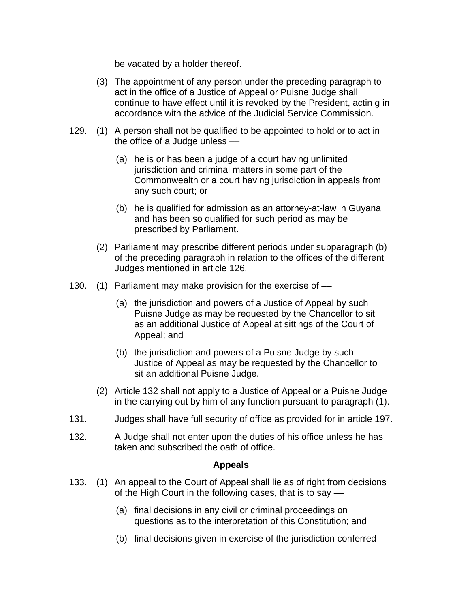be vacated by a holder thereof.

- (3) The appointment of any person under the preceding paragraph to act in the office of a Justice of Appeal or Puisne Judge shall continue to have effect until it is revoked by the President, actin g in accordance with the advice of the Judicial Service Commission.
- 129. (1) A person shall not be qualified to be appointed to hold or to act in the office of a Judge unless ––
	- (a) he is or has been a judge of a court having unlimited jurisdiction and criminal matters in some part of the Commonwealth or a court having jurisdiction in appeals from any such court; or
	- (b) he is qualified for admission as an attorney-at-law in Guyana and has been so qualified for such period as may be prescribed by Parliament.
	- (2) Parliament may prescribe different periods under subparagraph (b) of the preceding paragraph in relation to the offices of the different Judges mentioned in article 126.
- 130.  $(1)$  Parliament may make provision for the exercise of  $-$ 
	- (a) the jurisdiction and powers of a Justice of Appeal by such Puisne Judge as may be requested by the Chancellor to sit as an additional Justice of Appeal at sittings of the Court of Appeal; and
	- (b) the jurisdiction and powers of a Puisne Judge by such Justice of Appeal as may be requested by the Chancellor to sit an additional Puisne Judge.
	- (2) Article 132 shall not apply to a Justice of Appeal or a Puisne Judge in the carrying out by him of any function pursuant to paragraph (1).
- 131. Judges shall have full security of office as provided for in article 197.
- 132. A Judge shall not enter upon the duties of his office unless he has taken and subscribed the oath of office.

## **Appeals**

- 133. (1) An appeal to the Court of Appeal shall lie as of right from decisions of the High Court in the following cases, that is to say ––
	- (a) final decisions in any civil or criminal proceedings on questions as to the interpretation of this Constitution; and
	- (b) final decisions given in exercise of the jurisdiction conferred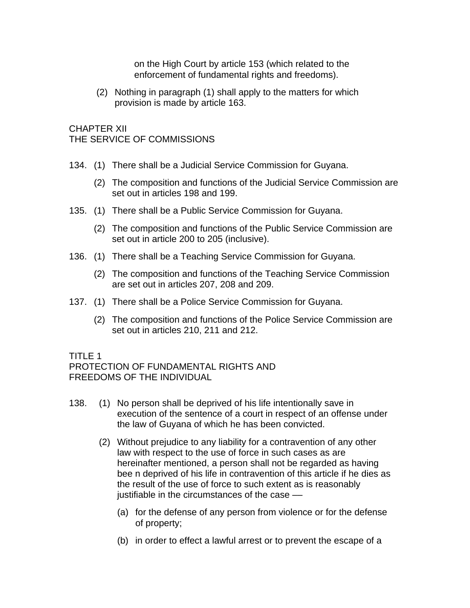on the High Court by article 153 (which related to the enforcement of fundamental rights and freedoms).

(2) Nothing in paragraph (1) shall apply to the matters for which provision is made by article 163.

CHAPTER XII

THE SERVICE OF COMMISSIONS

- 134. (1) There shall be a Judicial Service Commission for Guyana.
	- (2) The composition and functions of the Judicial Service Commission are set out in articles 198 and 199.
- 135. (1) There shall be a Public Service Commission for Guyana.
	- (2) The composition and functions of the Public Service Commission are set out in article 200 to 205 (inclusive).
- 136. (1) There shall be a Teaching Service Commission for Guyana.
	- (2) The composition and functions of the Teaching Service Commission are set out in articles 207, 208 and 209.
- 137. (1) There shall be a Police Service Commission for Guyana.
	- (2) The composition and functions of the Police Service Commission are set out in articles 210, 211 and 212.

## TITLE 1

PROTECTION OF FUNDAMENTAL RIGHTS AND FREEDOMS OF THE INDIVIDUAL

- 138. (1) No person shall be deprived of his life intentionally save in execution of the sentence of a court in respect of an offense under the law of Guyana of which he has been convicted.
	- (2) Without prejudice to any liability for a contravention of any other law with respect to the use of force in such cases as are hereinafter mentioned, a person shall not be regarded as having bee n deprived of his life in contravention of this article if he dies as the result of the use of force to such extent as is reasonably justifiable in the circumstances of the case -
		- (a) for the defense of any person from violence or for the defense of property;
		- (b) in order to effect a lawful arrest or to prevent the escape of a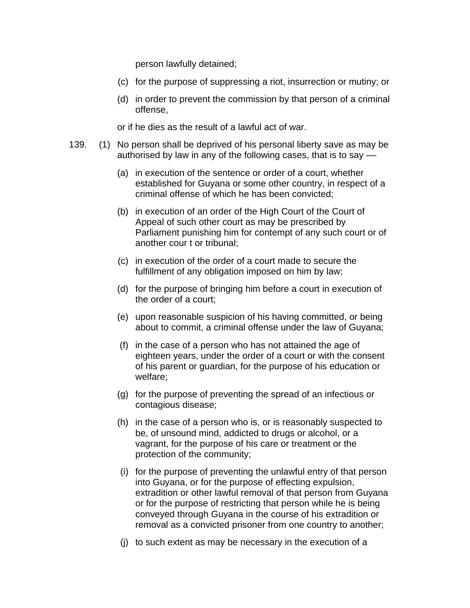person lawfully detained;

- (c) for the purpose of suppressing a riot, insurrection or mutiny; or
- (d) in order to prevent the commission by that person of a criminal offense,

or if he dies as the result of a lawful act of war.

- 139. (1) No person shall be deprived of his personal liberty save as may be authorised by law in any of the following cases, that is to say  $-$ 
	- (a) in execution of the sentence or order of a court, whether established for Guyana or some other country, in respect of a criminal offense of which he has been convicted;
	- (b) in execution of an order of the High Court of the Court of Appeal of such other court as may be prescribed by Parliament punishing him for contempt of any such court or of another cour t or tribunal;
	- (c) in execution of the order of a court made to secure the fulfillment of any obligation imposed on him by law;
	- (d) for the purpose of bringing him before a court in execution of the order of a court;
	- (e) upon reasonable suspicion of his having committed, or being about to commit, a criminal offense under the law of Guyana;
	- (f) in the case of a person who has not attained the age of eighteen years, under the order of a court or with the consent of his parent or guardian, for the purpose of his education or welfare;
	- (g) for the purpose of preventing the spread of an infectious or contagious disease;
	- (h) in the case of a person who is, or is reasonably suspected to be, of unsound mind, addicted to drugs or alcohol, or a vagrant, for the purpose of his care or treatment or the protection of the community;
	- (i) for the purpose of preventing the unlawful entry of that person into Guyana, or for the purpose of effecting expulsion, extradition or other lawful removal of that person from Guyana or for the purpose of restricting that person while he is being conveyed through Guyana in the course of his extradition or removal as a convicted prisoner from one country to another;
	- (j) to such extent as may be necessary in the execution of a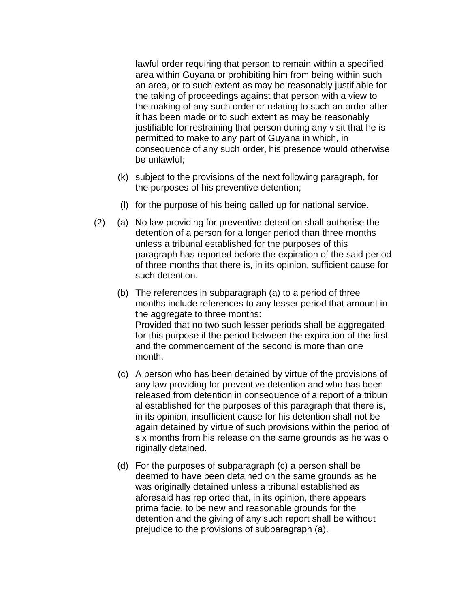lawful order requiring that person to remain within a specified area within Guyana or prohibiting him from being within such an area, or to such extent as may be reasonably justifiable for the taking of proceedings against that person with a view to the making of any such order or relating to such an order after it has been made or to such extent as may be reasonably justifiable for restraining that person during any visit that he is permitted to make to any part of Guyana in which, in consequence of any such order, his presence would otherwise be unlawful;

- (k) subject to the provisions of the next following paragraph, for the purposes of his preventive detention;
- (l) for the purpose of his being called up for national service.
- (2) (a) No law providing for preventive detention shall authorise the detention of a person for a longer period than three months unless a tribunal established for the purposes of this paragraph has reported before the expiration of the said period of three months that there is, in its opinion, sufficient cause for such detention.
	- (b) The references in subparagraph (a) to a period of three months include references to any lesser period that amount in the aggregate to three months: Provided that no two such lesser periods shall be aggregated for this purpose if the period between the expiration of the first and the commencement of the second is more than one month.
	- (c) A person who has been detained by virtue of the provisions of any law providing for preventive detention and who has been released from detention in consequence of a report of a tribun al established for the purposes of this paragraph that there is, in its opinion, insufficient cause for his detention shall not be again detained by virtue of such provisions within the period of six months from his release on the same grounds as he was o riginally detained.
	- (d) For the purposes of subparagraph (c) a person shall be deemed to have been detained on the same grounds as he was originally detained unless a tribunal established as aforesaid has rep orted that, in its opinion, there appears prima facie, to be new and reasonable grounds for the detention and the giving of any such report shall be without prejudice to the provisions of subparagraph (a).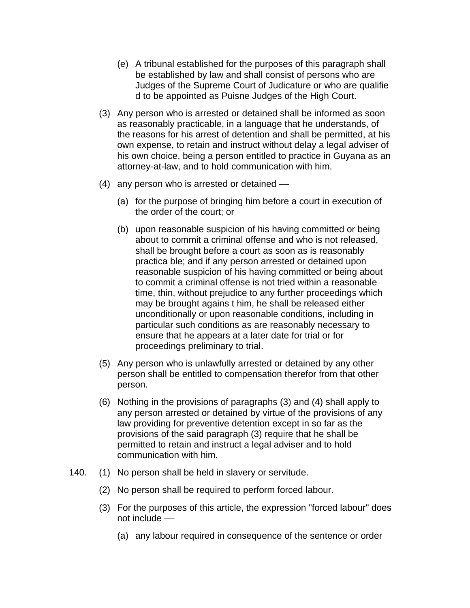- (e) A tribunal established for the purposes of this paragraph shall be established by law and shall consist of persons who are Judges of the Supreme Court of Judicature or who are qualifie d to be appointed as Puisne Judges of the High Court.
- (3) Any person who is arrested or detained shall be informed as soon as reasonably practicable, in a language that he understands, of the reasons for his arrest of detention and shall be permitted, at his own expense, to retain and instruct without delay a legal adviser of his own choice, being a person entitled to practice in Guyana as an attorney-at-law, and to hold communication with him.
- (4) any person who is arrested or detained ––
	- (a) for the purpose of bringing him before a court in execution of the order of the court; or
	- (b) upon reasonable suspicion of his having committed or being about to commit a criminal offense and who is not released, shall be brought before a court as soon as is reasonably practica ble; and if any person arrested or detained upon reasonable suspicion of his having committed or being about to commit a criminal offense is not tried within a reasonable time, thin, without prejudice to any further proceedings which may be brought agains t him, he shall be released either unconditionally or upon reasonable conditions, including in particular such conditions as are reasonably necessary to ensure that he appears at a later date for trial or for proceedings preliminary to trial.
- (5) Any person who is unlawfully arrested or detained by any other person shall be entitled to compensation therefor from that other person.
- (6) Nothing in the provisions of paragraphs (3) and (4) shall apply to any person arrested or detained by virtue of the provisions of any law providing for preventive detention except in so far as the provisions of the said paragraph (3) require that he shall be permitted to retain and instruct a legal adviser and to hold communication with him.
- 140. (1) No person shall be held in slavery or servitude.
	- (2) No person shall be required to perform forced labour.
	- (3) For the purposes of this article, the expression "forced labour" does not include ––
		- (a) any labour required in consequence of the sentence or order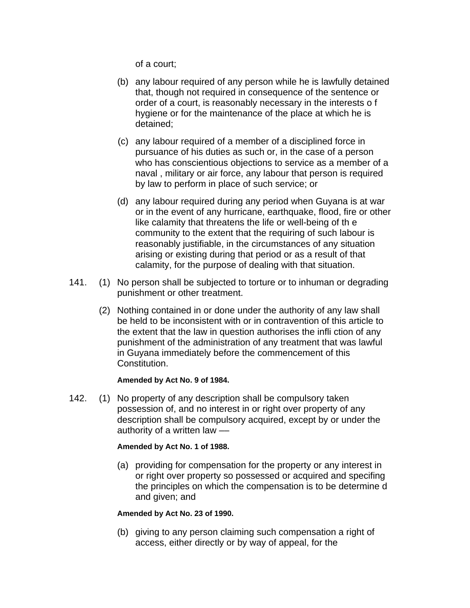of a court;

- (b) any labour required of any person while he is lawfully detained that, though not required in consequence of the sentence or order of a court, is reasonably necessary in the interests o f hygiene or for the maintenance of the place at which he is detained;
- (c) any labour required of a member of a disciplined force in pursuance of his duties as such or, in the case of a person who has conscientious objections to service as a member of a naval , military or air force, any labour that person is required by law to perform in place of such service; or
- (d) any labour required during any period when Guyana is at war or in the event of any hurricane, earthquake, flood, fire or other like calamity that threatens the life or well-being of th e community to the extent that the requiring of such labour is reasonably justifiable, in the circumstances of any situation arising or existing during that period or as a result of that calamity, for the purpose of dealing with that situation.
- 141. (1) No person shall be subjected to torture or to inhuman or degrading punishment or other treatment.
	- (2) Nothing contained in or done under the authority of any law shall be held to be inconsistent with or in contravention of this article to the extent that the law in question authorises the infli ction of any punishment of the administration of any treatment that was lawful in Guyana immediately before the commencement of this Constitution.

### **Amended by Act No. 9 of 1984.**

142. (1) No property of any description shall be compulsory taken possession of, and no interest in or right over property of any description shall be compulsory acquired, except by or under the authority of a written law -

#### **Amended by Act No. 1 of 1988.**

(a) providing for compensation for the property or any interest in or right over property so possessed or acquired and specifing the principles on which the compensation is to be determine d and given; and

#### **Amended by Act No. 23 of 1990.**

(b) giving to any person claiming such compensation a right of access, either directly or by way of appeal, for the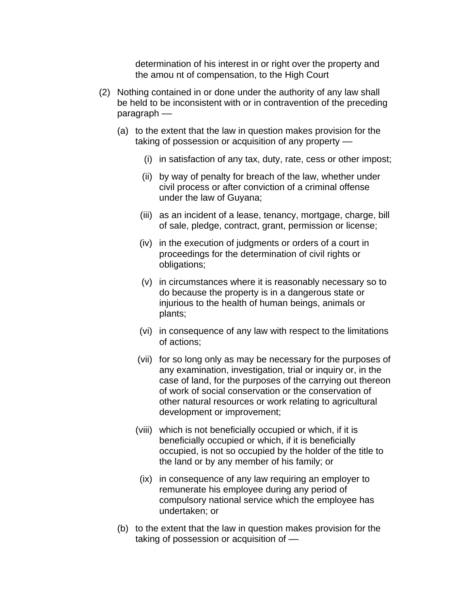determination of his interest in or right over the property and the amou nt of compensation, to the High Court

- (2) Nothing contained in or done under the authority of any law shall be held to be inconsistent with or in contravention of the preceding paragraph ––
	- (a) to the extent that the law in question makes provision for the taking of possession or acquisition of any property ––
		- (i) in satisfaction of any tax, duty, rate, cess or other impost;
		- (ii) by way of penalty for breach of the law, whether under civil process or after conviction of a criminal offense under the law of Guyana;
		- (iii) as an incident of a lease, tenancy, mortgage, charge, bill of sale, pledge, contract, grant, permission or license;
		- (iv) in the execution of judgments or orders of a court in proceedings for the determination of civil rights or obligations;
		- (v) in circumstances where it is reasonably necessary so to do because the property is in a dangerous state or injurious to the health of human beings, animals or plants;
		- (vi) in consequence of any law with respect to the limitations of actions;
		- (vii) for so long only as may be necessary for the purposes of any examination, investigation, trial or inquiry or, in the case of land, for the purposes of the carrying out thereon of work of social conservation or the conservation of other natural resources or work relating to agricultural development or improvement;
		- (viii) which is not beneficially occupied or which, if it is beneficially occupied or which, if it is beneficially occupied, is not so occupied by the holder of the title to the land or by any member of his family; or
		- (ix) in consequence of any law requiring an employer to remunerate his employee during any period of compulsory national service which the employee has undertaken; or
	- (b) to the extent that the law in question makes provision for the taking of possession or acquisition of ––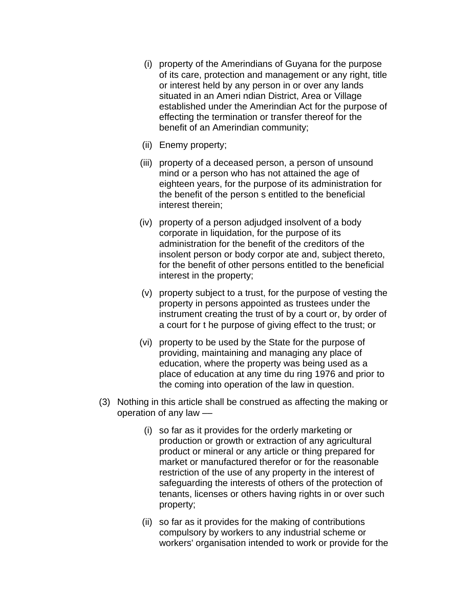- (i) property of the Amerindians of Guyana for the purpose of its care, protection and management or any right, title or interest held by any person in or over any lands situated in an Ameri ndian District, Area or Village established under the Amerindian Act for the purpose of effecting the termination or transfer thereof for the benefit of an Amerindian community;
- (ii) Enemy property;
- (iii) property of a deceased person, a person of unsound mind or a person who has not attained the age of eighteen years, for the purpose of its administration for the benefit of the person s entitled to the beneficial interest therein;
- (iv) property of a person adjudged insolvent of a body corporate in liquidation, for the purpose of its administration for the benefit of the creditors of the insolent person or body corpor ate and, subject thereto, for the benefit of other persons entitled to the beneficial interest in the property;
- (v) property subject to a trust, for the purpose of vesting the property in persons appointed as trustees under the instrument creating the trust of by a court or, by order of a court for t he purpose of giving effect to the trust; or
- (vi) property to be used by the State for the purpose of providing, maintaining and managing any place of education, where the property was being used as a place of education at any time du ring 1976 and prior to the coming into operation of the law in question.
- (3) Nothing in this article shall be construed as affecting the making or operation of any law ––
	- (i) so far as it provides for the orderly marketing or production or growth or extraction of any agricultural product or mineral or any article or thing prepared for market or manufactured therefor or for the reasonable restriction of the use of any property in the interest of safeguarding the interests of others of the protection of tenants, licenses or others having rights in or over such property;
	- (ii) so far as it provides for the making of contributions compulsory by workers to any industrial scheme or workers' organisation intended to work or provide for the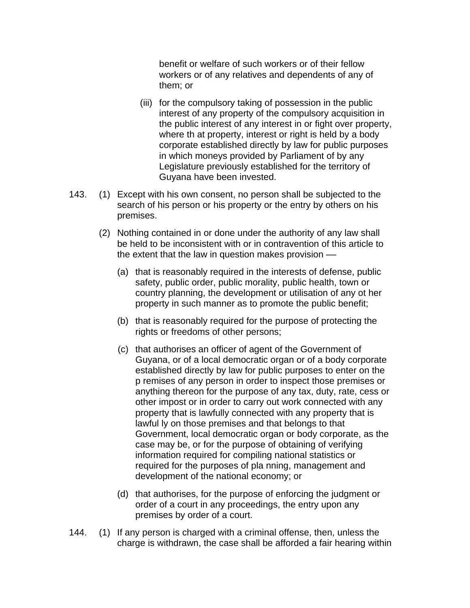benefit or welfare of such workers or of their fellow workers or of any relatives and dependents of any of them; or

- (iii) for the compulsory taking of possession in the public interest of any property of the compulsory acquisition in the public interest of any interest in or fight over property, where th at property, interest or right is held by a body corporate established directly by law for public purposes in which moneys provided by Parliament of by any Legislature previously established for the territory of Guyana have been invested.
- 143. (1) Except with his own consent, no person shall be subjected to the search of his person or his property or the entry by others on his premises.
	- (2) Nothing contained in or done under the authority of any law shall be held to be inconsistent with or in contravention of this article to the extent that the law in question makes provision  $-$ 
		- (a) that is reasonably required in the interests of defense, public safety, public order, public morality, public health, town or country planning, the development or utilisation of any ot her property in such manner as to promote the public benefit;
		- (b) that is reasonably required for the purpose of protecting the rights or freedoms of other persons;
		- (c) that authorises an officer of agent of the Government of Guyana, or of a local democratic organ or of a body corporate established directly by law for public purposes to enter on the p remises of any person in order to inspect those premises or anything thereon for the purpose of any tax, duty, rate, cess or other impost or in order to carry out work connected with any property that is lawfully connected with any property that is lawful ly on those premises and that belongs to that Government, local democratic organ or body corporate, as the case may be, or for the purpose of obtaining of verifying information required for compiling national statistics or required for the purposes of pla nning, management and development of the national economy; or
		- (d) that authorises, for the purpose of enforcing the judgment or order of a court in any proceedings, the entry upon any premises by order of a court.
- 144. (1) If any person is charged with a criminal offense, then, unless the charge is withdrawn, the case shall be afforded a fair hearing within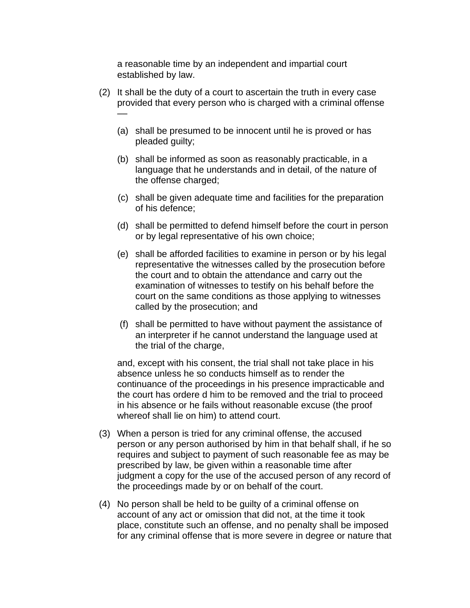a reasonable time by an independent and impartial court established by law.

- (2) It shall be the duty of a court to ascertain the truth in every case provided that every person who is charged with a criminal offense ––
	- (a) shall be presumed to be innocent until he is proved or has pleaded guilty;
	- (b) shall be informed as soon as reasonably practicable, in a language that he understands and in detail, of the nature of the offense charged;
	- (c) shall be given adequate time and facilities for the preparation of his defence;
	- (d) shall be permitted to defend himself before the court in person or by legal representative of his own choice;
	- (e) shall be afforded facilities to examine in person or by his legal representative the witnesses called by the prosecution before the court and to obtain the attendance and carry out the examination of witnesses to testify on his behalf before the court on the same conditions as those applying to witnesses called by the prosecution; and
	- (f) shall be permitted to have without payment the assistance of an interpreter if he cannot understand the language used at the trial of the charge,

and, except with his consent, the trial shall not take place in his absence unless he so conducts himself as to render the continuance of the proceedings in his presence impracticable and the court has ordere d him to be removed and the trial to proceed in his absence or he fails without reasonable excuse (the proof whereof shall lie on him) to attend court.

- (3) When a person is tried for any criminal offense, the accused person or any person authorised by him in that behalf shall, if he so requires and subject to payment of such reasonable fee as may be prescribed by law, be given within a reasonable time after judgment a copy for the use of the accused person of any record of the proceedings made by or on behalf of the court.
- (4) No person shall be held to be guilty of a criminal offense on account of any act or omission that did not, at the time it took place, constitute such an offense, and no penalty shall be imposed for any criminal offense that is more severe in degree or nature that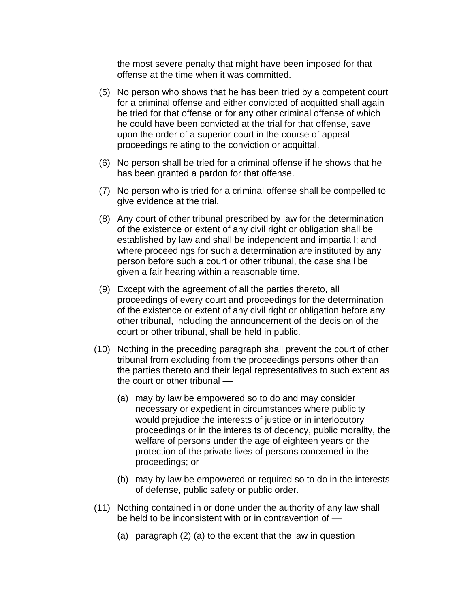the most severe penalty that might have been imposed for that offense at the time when it was committed.

- (5) No person who shows that he has been tried by a competent court for a criminal offense and either convicted of acquitted shall again be tried for that offense or for any other criminal offense of which he could have been convicted at the trial for that offense, save upon the order of a superior court in the course of appeal proceedings relating to the conviction or acquittal.
- (6) No person shall be tried for a criminal offense if he shows that he has been granted a pardon for that offense.
- (7) No person who is tried for a criminal offense shall be compelled to give evidence at the trial.
- (8) Any court of other tribunal prescribed by law for the determination of the existence or extent of any civil right or obligation shall be established by law and shall be independent and impartia l; and where proceedings for such a determination are instituted by any person before such a court or other tribunal, the case shall be given a fair hearing within a reasonable time.
- (9) Except with the agreement of all the parties thereto, all proceedings of every court and proceedings for the determination of the existence or extent of any civil right or obligation before any other tribunal, including the announcement of the decision of the court or other tribunal, shall be held in public.
- (10) Nothing in the preceding paragraph shall prevent the court of other tribunal from excluding from the proceedings persons other than the parties thereto and their legal representatives to such extent as the court or other tribunal ––
	- (a) may by law be empowered so to do and may consider necessary or expedient in circumstances where publicity would prejudice the interests of justice or in interlocutory proceedings or in the interes ts of decency, public morality, the welfare of persons under the age of eighteen years or the protection of the private lives of persons concerned in the proceedings; or
	- (b) may by law be empowered or required so to do in the interests of defense, public safety or public order.
- (11) Nothing contained in or done under the authority of any law shall be held to be inconsistent with or in contravention of ––
	- (a) paragraph (2) (a) to the extent that the law in question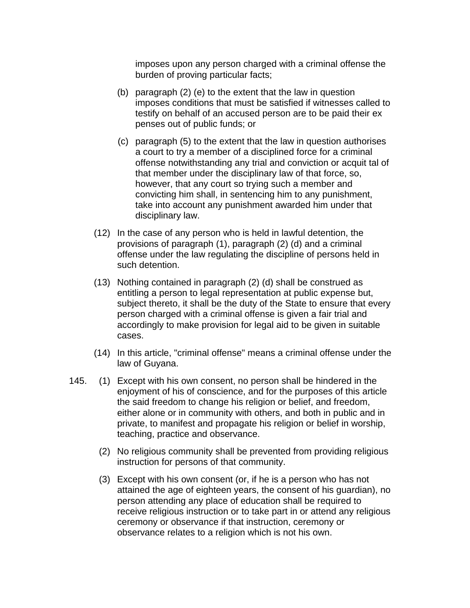imposes upon any person charged with a criminal offense the burden of proving particular facts;

- (b) paragraph (2) (e) to the extent that the law in question imposes conditions that must be satisfied if witnesses called to testify on behalf of an accused person are to be paid their ex penses out of public funds; or
- (c) paragraph (5) to the extent that the law in question authorises a court to try a member of a disciplined force for a criminal offense notwithstanding any trial and conviction or acquit tal of that member under the disciplinary law of that force, so, however, that any court so trying such a member and convicting him shall, in sentencing him to any punishment, take into account any punishment awarded him under that disciplinary law.
- (12) In the case of any person who is held in lawful detention, the provisions of paragraph (1), paragraph (2) (d) and a criminal offense under the law regulating the discipline of persons held in such detention.
- (13) Nothing contained in paragraph (2) (d) shall be construed as entitling a person to legal representation at public expense but, subject thereto, it shall be the duty of the State to ensure that every person charged with a criminal offense is given a fair trial and accordingly to make provision for legal aid to be given in suitable cases.
- (14) In this article, "criminal offense" means a criminal offense under the law of Guyana.
- 145. (1) Except with his own consent, no person shall be hindered in the enjoyment of his of conscience, and for the purposes of this article the said freedom to change his religion or belief, and freedom, either alone or in community with others, and both in public and in private, to manifest and propagate his religion or belief in worship, teaching, practice and observance.
	- (2) No religious community shall be prevented from providing religious instruction for persons of that community.
	- (3) Except with his own consent (or, if he is a person who has not attained the age of eighteen years, the consent of his guardian), no person attending any place of education shall be required to receive religious instruction or to take part in or attend any religious ceremony or observance if that instruction, ceremony or observance relates to a religion which is not his own.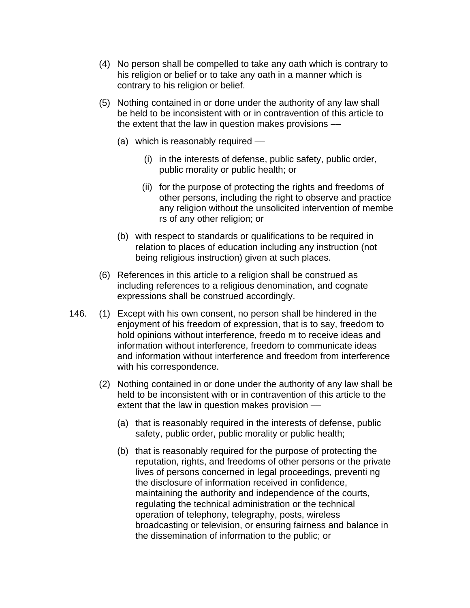- (4) No person shall be compelled to take any oath which is contrary to his religion or belief or to take any oath in a manner which is contrary to his religion or belief.
- (5) Nothing contained in or done under the authority of any law shall be held to be inconsistent with or in contravention of this article to the extent that the law in question makes provisions ––
	- (a) which is reasonably required ––
		- (i) in the interests of defense, public safety, public order, public morality or public health; or
		- (ii) for the purpose of protecting the rights and freedoms of other persons, including the right to observe and practice any religion without the unsolicited intervention of membe rs of any other religion; or
	- (b) with respect to standards or qualifications to be required in relation to places of education including any instruction (not being religious instruction) given at such places.
- (6) References in this article to a religion shall be construed as including references to a religious denomination, and cognate expressions shall be construed accordingly.
- 146. (1) Except with his own consent, no person shall be hindered in the enjoyment of his freedom of expression, that is to say, freedom to hold opinions without interference, freedo m to receive ideas and information without interference, freedom to communicate ideas and information without interference and freedom from interference with his correspondence.
	- (2) Nothing contained in or done under the authority of any law shall be held to be inconsistent with or in contravention of this article to the extent that the law in question makes provision ––
		- (a) that is reasonably required in the interests of defense, public safety, public order, public morality or public health;
		- (b) that is reasonably required for the purpose of protecting the reputation, rights, and freedoms of other persons or the private lives of persons concerned in legal proceedings, preventi ng the disclosure of information received in confidence, maintaining the authority and independence of the courts, regulating the technical administration or the technical operation of telephony, telegraphy, posts, wireless broadcasting or television, or ensuring fairness and balance in the dissemination of information to the public; or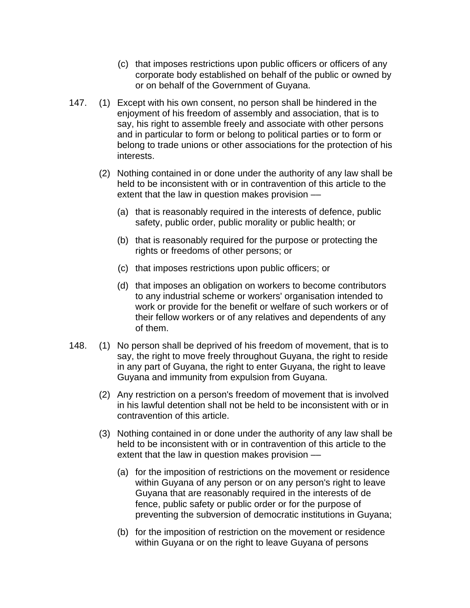- (c) that imposes restrictions upon public officers or officers of any corporate body established on behalf of the public or owned by or on behalf of the Government of Guyana.
- 147. (1) Except with his own consent, no person shall be hindered in the enjoyment of his freedom of assembly and association, that is to say, his right to assemble freely and associate with other persons and in particular to form or belong to political parties or to form or belong to trade unions or other associations for the protection of his interests.
	- (2) Nothing contained in or done under the authority of any law shall be held to be inconsistent with or in contravention of this article to the extent that the law in question makes provision -
		- (a) that is reasonably required in the interests of defence, public safety, public order, public morality or public health; or
		- (b) that is reasonably required for the purpose or protecting the rights or freedoms of other persons; or
		- (c) that imposes restrictions upon public officers; or
		- (d) that imposes an obligation on workers to become contributors to any industrial scheme or workers' organisation intended to work or provide for the benefit or welfare of such workers or of their fellow workers or of any relatives and dependents of any of them.
- 148. (1) No person shall be deprived of his freedom of movement, that is to say, the right to move freely throughout Guyana, the right to reside in any part of Guyana, the right to enter Guyana, the right to leave Guyana and immunity from expulsion from Guyana.
	- (2) Any restriction on a person's freedom of movement that is involved in his lawful detention shall not be held to be inconsistent with or in contravention of this article.
	- (3) Nothing contained in or done under the authority of any law shall be held to be inconsistent with or in contravention of this article to the extent that the law in question makes provision ––
		- (a) for the imposition of restrictions on the movement or residence within Guyana of any person or on any person's right to leave Guyana that are reasonably required in the interests of de fence, public safety or public order or for the purpose of preventing the subversion of democratic institutions in Guyana;
		- (b) for the imposition of restriction on the movement or residence within Guyana or on the right to leave Guyana of persons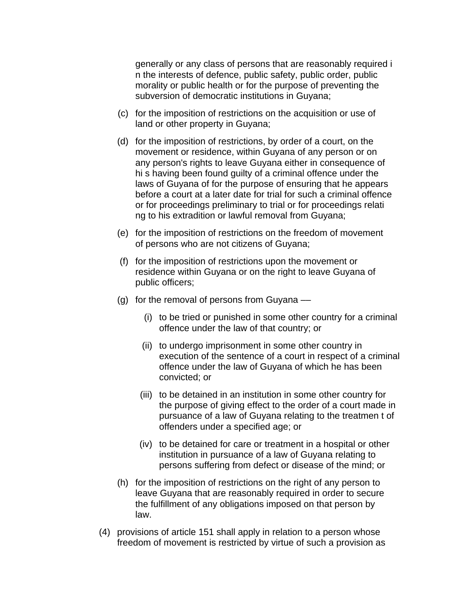generally or any class of persons that are reasonably required i n the interests of defence, public safety, public order, public morality or public health or for the purpose of preventing the subversion of democratic institutions in Guyana;

- (c) for the imposition of restrictions on the acquisition or use of land or other property in Guyana;
- (d) for the imposition of restrictions, by order of a court, on the movement or residence, within Guyana of any person or on any person's rights to leave Guyana either in consequence of hi s having been found guilty of a criminal offence under the laws of Guyana of for the purpose of ensuring that he appears before a court at a later date for trial for such a criminal offence or for proceedings preliminary to trial or for proceedings relati ng to his extradition or lawful removal from Guyana;
- (e) for the imposition of restrictions on the freedom of movement of persons who are not citizens of Guyana;
- (f) for the imposition of restrictions upon the movement or residence within Guyana or on the right to leave Guyana of public officers;
- (g) for the removal of persons from Guyana  $-$ 
	- (i) to be tried or punished in some other country for a criminal offence under the law of that country; or
	- (ii) to undergo imprisonment in some other country in execution of the sentence of a court in respect of a criminal offence under the law of Guyana of which he has been convicted; or
	- (iii) to be detained in an institution in some other country for the purpose of giving effect to the order of a court made in pursuance of a law of Guyana relating to the treatmen t of offenders under a specified age; or
	- (iv) to be detained for care or treatment in a hospital or other institution in pursuance of a law of Guyana relating to persons suffering from defect or disease of the mind; or
- (h) for the imposition of restrictions on the right of any person to leave Guyana that are reasonably required in order to secure the fulfillment of any obligations imposed on that person by law.
- (4) provisions of article 151 shall apply in relation to a person whose freedom of movement is restricted by virtue of such a provision as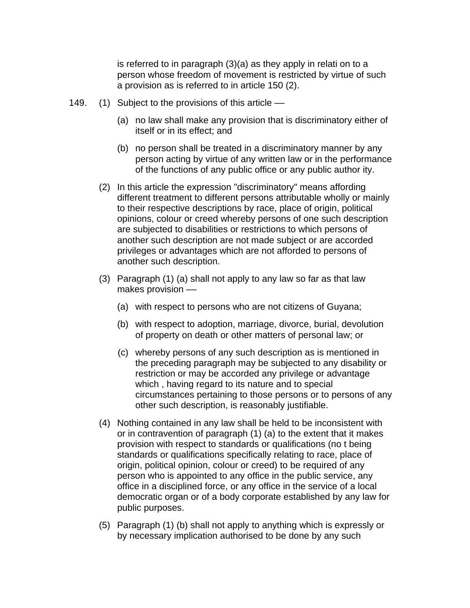is referred to in paragraph (3)(a) as they apply in relati on to a person whose freedom of movement is restricted by virtue of such a provision as is referred to in article 150 (2).

- 149. (1) Subject to the provisions of this article ––
	- (a) no law shall make any provision that is discriminatory either of itself or in its effect; and
	- (b) no person shall be treated in a discriminatory manner by any person acting by virtue of any written law or in the performance of the functions of any public office or any public author ity.
	- (2) In this article the expression "discriminatory" means affording different treatment to different persons attributable wholly or mainly to their respective descriptions by race, place of origin, political opinions, colour or creed whereby persons of one such description are subjected to disabilities or restrictions to which persons of another such description are not made subject or are accorded privileges or advantages which are not afforded to persons of another such description.
	- (3) Paragraph (1) (a) shall not apply to any law so far as that law makes provision ––
		- (a) with respect to persons who are not citizens of Guyana;
		- (b) with respect to adoption, marriage, divorce, burial, devolution of property on death or other matters of personal law; or
		- (c) whereby persons of any such description as is mentioned in the preceding paragraph may be subjected to any disability or restriction or may be accorded any privilege or advantage which , having regard to its nature and to special circumstances pertaining to those persons or to persons of any other such description, is reasonably justifiable.
	- (4) Nothing contained in any law shall be held to be inconsistent with or in contravention of paragraph (1) (a) to the extent that it makes provision with respect to standards or qualifications (no t being standards or qualifications specifically relating to race, place of origin, political opinion, colour or creed) to be required of any person who is appointed to any office in the public service, any office in a disciplined force, or any office in the service of a local democratic organ or of a body corporate established by any law for public purposes.
	- (5) Paragraph (1) (b) shall not apply to anything which is expressly or by necessary implication authorised to be done by any such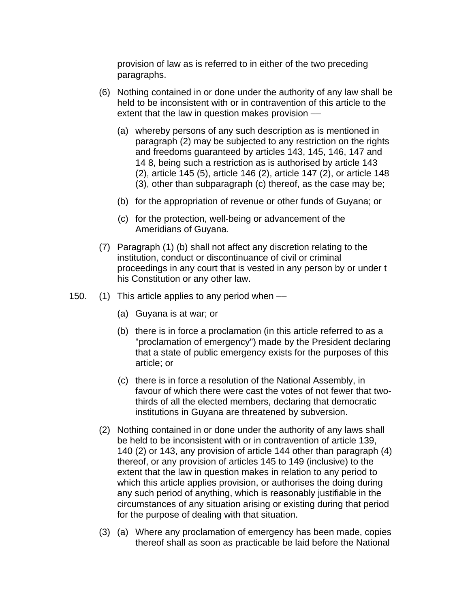provision of law as is referred to in either of the two preceding paragraphs.

- (6) Nothing contained in or done under the authority of any law shall be held to be inconsistent with or in contravention of this article to the extent that the law in question makes provision -
	- (a) whereby persons of any such description as is mentioned in paragraph (2) may be subjected to any restriction on the rights and freedoms guaranteed by articles 143, 145, 146, 147 and 14 8, being such a restriction as is authorised by article 143 (2), article 145 (5), article 146 (2), article 147 (2), or article 148 (3), other than subparagraph (c) thereof, as the case may be;
	- (b) for the appropriation of revenue or other funds of Guyana; or
	- (c) for the protection, well-being or advancement of the Ameridians of Guyana.
- (7) Paragraph (1) (b) shall not affect any discretion relating to the institution, conduct or discontinuance of civil or criminal proceedings in any court that is vested in any person by or under t his Constitution or any other law.
- 150.  $(1)$  This article applies to any period when  $-$ 
	- (a) Guyana is at war; or
	- (b) there is in force a proclamation (in this article referred to as a "proclamation of emergency") made by the President declaring that a state of public emergency exists for the purposes of this article; or
	- (c) there is in force a resolution of the National Assembly, in favour of which there were cast the votes of not fewer that twothirds of all the elected members, declaring that democratic institutions in Guyana are threatened by subversion.
	- (2) Nothing contained in or done under the authority of any laws shall be held to be inconsistent with or in contravention of article 139, 140 (2) or 143, any provision of article 144 other than paragraph (4) thereof, or any provision of articles 145 to 149 (inclusive) to the extent that the law in question makes in relation to any period to which this article applies provision, or authorises the doing during any such period of anything, which is reasonably justifiable in the circumstances of any situation arising or existing during that period for the purpose of dealing with that situation.
	- (3) (a) Where any proclamation of emergency has been made, copies thereof shall as soon as practicable be laid before the National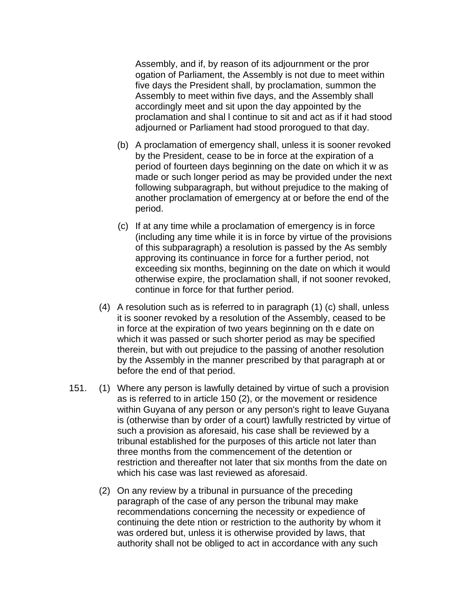Assembly, and if, by reason of its adjournment or the pror ogation of Parliament, the Assembly is not due to meet within five days the President shall, by proclamation, summon the Assembly to meet within five days, and the Assembly shall accordingly meet and sit upon the day appointed by the proclamation and shal l continue to sit and act as if it had stood adjourned or Parliament had stood prorogued to that day.

- (b) A proclamation of emergency shall, unless it is sooner revoked by the President, cease to be in force at the expiration of a period of fourteen days beginning on the date on which it w as made or such longer period as may be provided under the next following subparagraph, but without prejudice to the making of another proclamation of emergency at or before the end of the period.
- (c) If at any time while a proclamation of emergency is in force (including any time while it is in force by virtue of the provisions of this subparagraph) a resolution is passed by the As sembly approving its continuance in force for a further period, not exceeding six months, beginning on the date on which it would otherwise expire, the proclamation shall, if not sooner revoked, continue in force for that further period.
- (4) A resolution such as is referred to in paragraph (1) (c) shall, unless it is sooner revoked by a resolution of the Assembly, ceased to be in force at the expiration of two years beginning on th e date on which it was passed or such shorter period as may be specified therein, but with out prejudice to the passing of another resolution by the Assembly in the manner prescribed by that paragraph at or before the end of that period.
- 151. (1) Where any person is lawfully detained by virtue of such a provision as is referred to in article 150 (2), or the movement or residence within Guyana of any person or any person's right to leave Guyana is (otherwise than by order of a court) lawfully restricted by virtue of such a provision as aforesaid, his case shall be reviewed by a tribunal established for the purposes of this article not later than three months from the commencement of the detention or restriction and thereafter not later that six months from the date on which his case was last reviewed as aforesaid.
	- (2) On any review by a tribunal in pursuance of the preceding paragraph of the case of any person the tribunal may make recommendations concerning the necessity or expedience of continuing the dete ntion or restriction to the authority by whom it was ordered but, unless it is otherwise provided by laws, that authority shall not be obliged to act in accordance with any such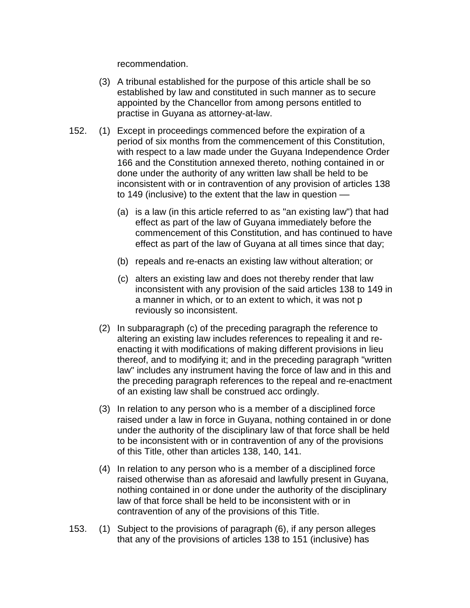recommendation.

- (3) A tribunal established for the purpose of this article shall be so established by law and constituted in such manner as to secure appointed by the Chancellor from among persons entitled to practise in Guyana as attorney-at-law.
- 152. (1) Except in proceedings commenced before the expiration of a period of six months from the commencement of this Constitution, with respect to a law made under the Guyana Independence Order 166 and the Constitution annexed thereto, nothing contained in or done under the authority of any written law shall be held to be inconsistent with or in contravention of any provision of articles 138 to 149 (inclusive) to the extent that the law in question  $-$ 
	- (a) is a law (in this article referred to as "an existing law") that had effect as part of the law of Guyana immediately before the commencement of this Constitution, and has continued to have effect as part of the law of Guyana at all times since that day;
	- (b) repeals and re-enacts an existing law without alteration; or
	- (c) alters an existing law and does not thereby render that law inconsistent with any provision of the said articles 138 to 149 in a manner in which, or to an extent to which, it was not p reviously so inconsistent.
	- (2) In subparagraph (c) of the preceding paragraph the reference to altering an existing law includes references to repealing it and reenacting it with modifications of making different provisions in lieu thereof, and to modifying it; and in the preceding paragraph "written law" includes any instrument having the force of law and in this and the preceding paragraph references to the repeal and re-enactment of an existing law shall be construed acc ordingly.
	- (3) In relation to any person who is a member of a disciplined force raised under a law in force in Guyana, nothing contained in or done under the authority of the disciplinary law of that force shall be held to be inconsistent with or in contravention of any of the provisions of this Title, other than articles 138, 140, 141.
	- (4) In relation to any person who is a member of a disciplined force raised otherwise than as aforesaid and lawfully present in Guyana, nothing contained in or done under the authority of the disciplinary law of that force shall be held to be inconsistent with or in contravention of any of the provisions of this Title.
- 153. (1) Subject to the provisions of paragraph (6), if any person alleges that any of the provisions of articles 138 to 151 (inclusive) has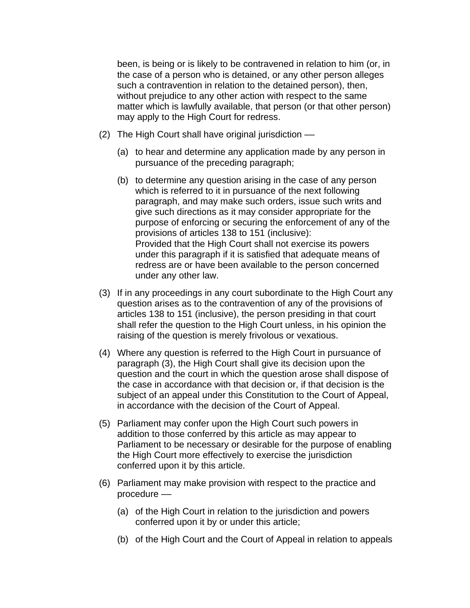been, is being or is likely to be contravened in relation to him (or, in the case of a person who is detained, or any other person alleges such a contravention in relation to the detained person), then, without prejudice to any other action with respect to the same matter which is lawfully available, that person (or that other person) may apply to the High Court for redress.

- (2) The High Court shall have original jurisdiction ––
	- (a) to hear and determine any application made by any person in pursuance of the preceding paragraph;
	- (b) to determine any question arising in the case of any person which is referred to it in pursuance of the next following paragraph, and may make such orders, issue such writs and give such directions as it may consider appropriate for the purpose of enforcing or securing the enforcement of any of the provisions of articles 138 to 151 (inclusive): Provided that the High Court shall not exercise its powers under this paragraph if it is satisfied that adequate means of redress are or have been available to the person concerned under any other law.
- (3) If in any proceedings in any court subordinate to the High Court any question arises as to the contravention of any of the provisions of articles 138 to 151 (inclusive), the person presiding in that court shall refer the question to the High Court unless, in his opinion the raising of the question is merely frivolous or vexatious.
- (4) Where any question is referred to the High Court in pursuance of paragraph (3), the High Court shall give its decision upon the question and the court in which the question arose shall dispose of the case in accordance with that decision or, if that decision is the subject of an appeal under this Constitution to the Court of Appeal, in accordance with the decision of the Court of Appeal.
- (5) Parliament may confer upon the High Court such powers in addition to those conferred by this article as may appear to Parliament to be necessary or desirable for the purpose of enabling the High Court more effectively to exercise the jurisdiction conferred upon it by this article.
- (6) Parliament may make provision with respect to the practice and procedure ––
	- (a) of the High Court in relation to the jurisdiction and powers conferred upon it by or under this article;
	- (b) of the High Court and the Court of Appeal in relation to appeals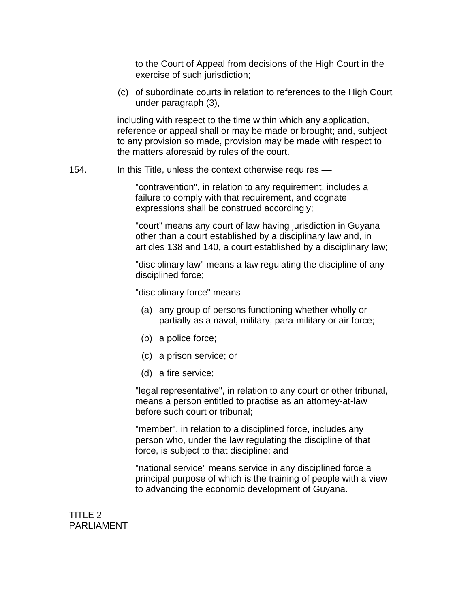to the Court of Appeal from decisions of the High Court in the exercise of such jurisdiction;

(c) of subordinate courts in relation to references to the High Court under paragraph (3),

including with respect to the time within which any application, reference or appeal shall or may be made or brought; and, subject to any provision so made, provision may be made with respect to the matters aforesaid by rules of the court.

### 154. In this Title, unless the context otherwise requires ––

"contravention", in relation to any requirement, includes a failure to comply with that requirement, and cognate expressions shall be construed accordingly;

"court" means any court of law having jurisdiction in Guyana other than a court established by a disciplinary law and, in articles 138 and 140, a court established by a disciplinary law;

"disciplinary law" means a law regulating the discipline of any disciplined force;

"disciplinary force" means ––

- (a) any group of persons functioning whether wholly or partially as a naval, military, para-military or air force;
- (b) a police force;
- (c) a prison service; or
- (d) a fire service;

"legal representative", in relation to any court or other tribunal, means a person entitled to practise as an attorney-at-law before such court or tribunal;

"member", in relation to a disciplined force, includes any person who, under the law regulating the discipline of that force, is subject to that discipline; and

"national service" means service in any disciplined force a principal purpose of which is the training of people with a view to advancing the economic development of Guyana.

TITLE 2 PARLIAMENT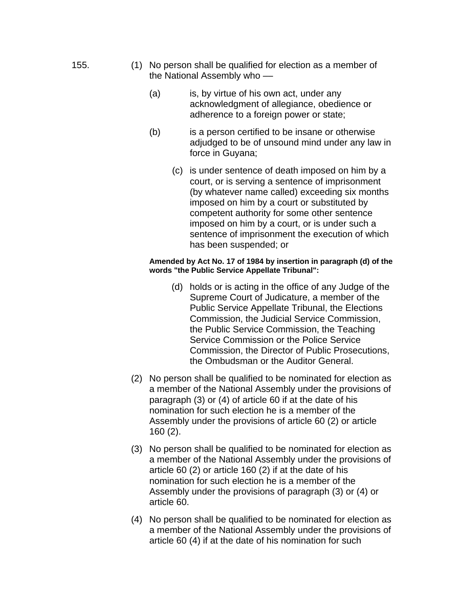- 155. (1) No person shall be qualified for election as a member of the National Assembly who ––
	- (a) is, by virtue of his own act, under any acknowledgment of allegiance, obedience or adherence to a foreign power or state;
	- (b) is a person certified to be insane or otherwise adjudged to be of unsound mind under any law in force in Guyana;
		- (c) is under sentence of death imposed on him by a court, or is serving a sentence of imprisonment (by whatever name called) exceeding six months imposed on him by a court or substituted by competent authority for some other sentence imposed on him by a court, or is under such a sentence of imprisonment the execution of which has been suspended; or

#### **Amended by Act No. 17 of 1984 by insertion in paragraph (d) of the words "the Public Service Appellate Tribunal":**

- (d) holds or is acting in the office of any Judge of the Supreme Court of Judicature, a member of the Public Service Appellate Tribunal, the Elections Commission, the Judicial Service Commission, the Public Service Commission, the Teaching Service Commission or the Police Service Commission, the Director of Public Prosecutions, the Ombudsman or the Auditor General.
- (2) No person shall be qualified to be nominated for election as a member of the National Assembly under the provisions of paragraph (3) or (4) of article 60 if at the date of his nomination for such election he is a member of the Assembly under the provisions of article 60 (2) or article 160 (2).
- (3) No person shall be qualified to be nominated for election as a member of the National Assembly under the provisions of article 60 (2) or article 160 (2) if at the date of his nomination for such election he is a member of the Assembly under the provisions of paragraph (3) or (4) or article 60.
- (4) No person shall be qualified to be nominated for election as a member of the National Assembly under the provisions of article 60 (4) if at the date of his nomination for such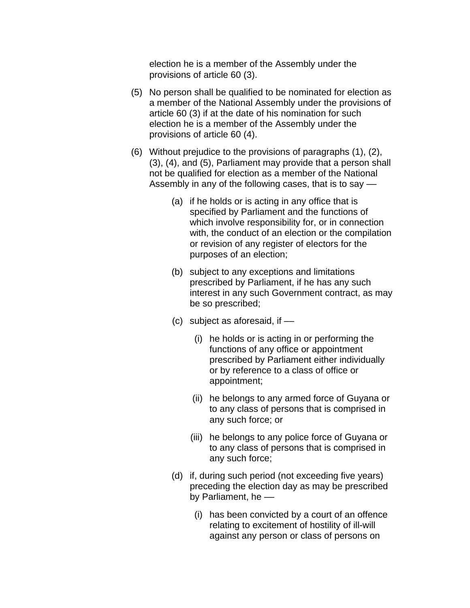election he is a member of the Assembly under the provisions of article 60 (3).

- (5) No person shall be qualified to be nominated for election as a member of the National Assembly under the provisions of article 60 (3) if at the date of his nomination for such election he is a member of the Assembly under the provisions of article 60 (4).
- (6) Without prejudice to the provisions of paragraphs (1), (2), (3), (4), and (5), Parliament may provide that a person shall not be qualified for election as a member of the National Assembly in any of the following cases, that is to say ––
	- (a) if he holds or is acting in any office that is specified by Parliament and the functions of which involve responsibility for, or in connection with, the conduct of an election or the compilation or revision of any register of electors for the purposes of an election;
	- (b) subject to any exceptions and limitations prescribed by Parliament, if he has any such interest in any such Government contract, as may be so prescribed;
	- (c) subject as aforesaid, if ––
		- (i) he holds or is acting in or performing the functions of any office or appointment prescribed by Parliament either individually or by reference to a class of office or appointment;
		- (ii) he belongs to any armed force of Guyana or to any class of persons that is comprised in any such force; or
		- (iii) he belongs to any police force of Guyana or to any class of persons that is comprised in any such force;
	- (d) if, during such period (not exceeding five years) preceding the election day as may be prescribed by Parliament,  $he$  —
		- (i) has been convicted by a court of an offence relating to excitement of hostility of ill-will against any person or class of persons on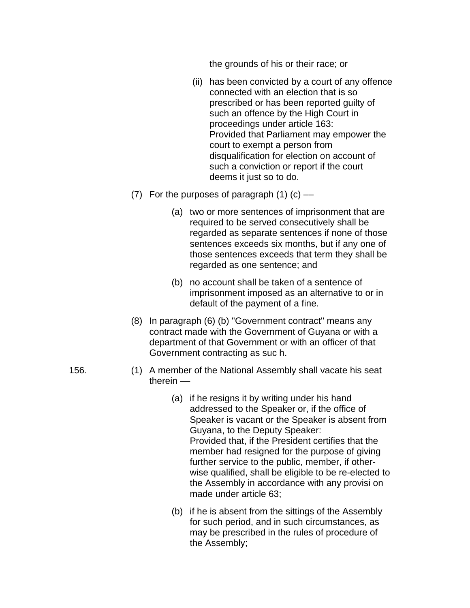the grounds of his or their race; or

- (ii) has been convicted by a court of any offence connected with an election that is so prescribed or has been reported guilty of such an offence by the High Court in proceedings under article 163: Provided that Parliament may empower the court to exempt a person from disqualification for election on account of such a conviction or report if the court deems it just so to do.
- (7) For the purposes of paragraph  $(1)$  (c)
	- (a) two or more sentences of imprisonment that are required to be served consecutively shall be regarded as separate sentences if none of those sentences exceeds six months, but if any one of those sentences exceeds that term they shall be regarded as one sentence; and
	- (b) no account shall be taken of a sentence of imprisonment imposed as an alternative to or in default of the payment of a fine.
- (8) In paragraph (6) (b) "Government contract" means any contract made with the Government of Guyana or with a department of that Government or with an officer of that Government contracting as suc h.
- 156. (1) A member of the National Assembly shall vacate his seat therein ––
	- (a) if he resigns it by writing under his hand addressed to the Speaker or, if the office of Speaker is vacant or the Speaker is absent from Guyana, to the Deputy Speaker: Provided that, if the President certifies that the member had resigned for the purpose of giving further service to the public, member, if otherwise qualified, shall be eligible to be re-elected to the Assembly in accordance with any provisi on made under article 63;
	- (b) if he is absent from the sittings of the Assembly for such period, and in such circumstances, as may be prescribed in the rules of procedure of the Assembly;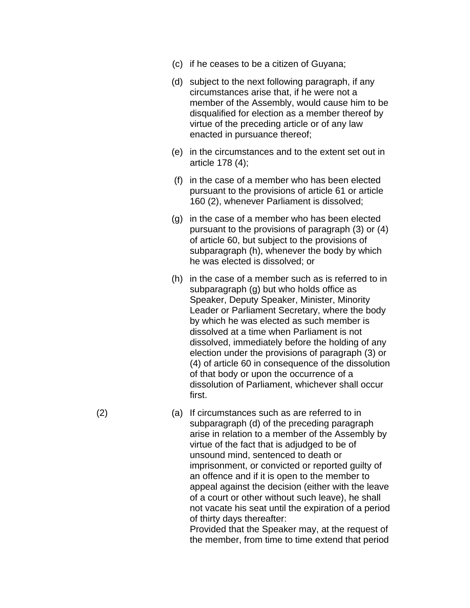- (c) if he ceases to be a citizen of Guyana;
- (d) subject to the next following paragraph, if any circumstances arise that, if he were not a member of the Assembly, would cause him to be disqualified for election as a member thereof by virtue of the preceding article or of any law enacted in pursuance thereof;
- (e) in the circumstances and to the extent set out in article 178 (4);
- (f) in the case of a member who has been elected pursuant to the provisions of article 61 or article 160 (2), whenever Parliament is dissolved;
- (g) in the case of a member who has been elected pursuant to the provisions of paragraph (3) or (4) of article 60, but subject to the provisions of subparagraph (h), whenever the body by which he was elected is dissolved; or
- (h) in the case of a member such as is referred to in subparagraph (g) but who holds office as Speaker, Deputy Speaker, Minister, Minority Leader or Parliament Secretary, where the body by which he was elected as such member is dissolved at a time when Parliament is not dissolved, immediately before the holding of any election under the provisions of paragraph (3) or (4) of article 60 in consequence of the dissolution of that body or upon the occurrence of a dissolution of Parliament, whichever shall occur first.
- (2) (a) If circumstances such as are referred to in subparagraph (d) of the preceding paragraph arise in relation to a member of the Assembly by virtue of the fact that is adjudged to be of unsound mind, sentenced to death or imprisonment, or convicted or reported guilty of an offence and if it is open to the member to appeal against the decision (either with the leave of a court or other without such leave), he shall not vacate his seat until the expiration of a period of thirty days thereafter:

Provided that the Speaker may, at the request of the member, from time to time extend that period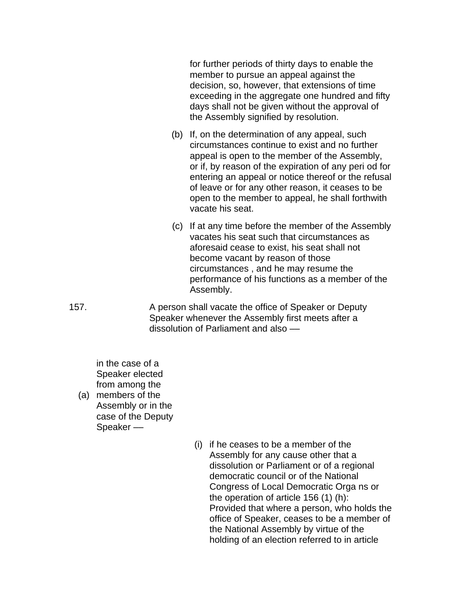for further periods of thirty days to enable the member to pursue an appeal against the decision, so, however, that extensions of time exceeding in the aggregate one hundred and fifty days shall not be given without the approval of the Assembly signified by resolution.

- (b) If, on the determination of any appeal, such circumstances continue to exist and no further appeal is open to the member of the Assembly, or if, by reason of the expiration of any peri od for entering an appeal or notice thereof or the refusal of leave or for any other reason, it ceases to be open to the member to appeal, he shall forthwith vacate his seat.
- (c) If at any time before the member of the Assembly vacates his seat such that circumstances as aforesaid cease to exist, his seat shall not become vacant by reason of those circumstances , and he may resume the performance of his functions as a member of the Assembly.
- 157. A person shall vacate the office of Speaker or Deputy Speaker whenever the Assembly first meets after a dissolution of Parliament and also ––

in the case of a Speaker elected from among the

- (a) members of the Assembly or in the case of the Deputy Speaker ––
- (i) if he ceases to be a member of the Assembly for any cause other that a dissolution or Parliament or of a regional democratic council or of the National Congress of Local Democratic Orga ns or the operation of article 156 (1) (h): Provided that where a person, who holds the office of Speaker, ceases to be a member of the National Assembly by virtue of the holding of an election referred to in article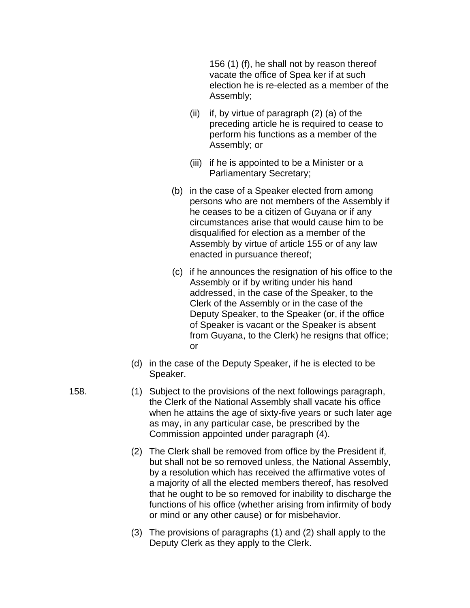156 (1) (f), he shall not by reason thereof vacate the office of Spea ker if at such election he is re-elected as a member of the Assembly;

- (ii) if, by virtue of paragraph (2) (a) of the preceding article he is required to cease to perform his functions as a member of the Assembly; or
- (iii) if he is appointed to be a Minister or a Parliamentary Secretary;
- (b) in the case of a Speaker elected from among persons who are not members of the Assembly if he ceases to be a citizen of Guyana or if any circumstances arise that would cause him to be disqualified for election as a member of the Assembly by virtue of article 155 or of any law enacted in pursuance thereof;
- (c) if he announces the resignation of his office to the Assembly or if by writing under his hand addressed, in the case of the Speaker, to the Clerk of the Assembly or in the case of the Deputy Speaker, to the Speaker (or, if the office of Speaker is vacant or the Speaker is absent from Guyana, to the Clerk) he resigns that office; or
- (d) in the case of the Deputy Speaker, if he is elected to be Speaker.
- 158. (1) Subject to the provisions of the next followings paragraph, the Clerk of the National Assembly shall vacate his office when he attains the age of sixty-five years or such later age as may, in any particular case, be prescribed by the Commission appointed under paragraph (4).
	- (2) The Clerk shall be removed from office by the President if, but shall not be so removed unless, the National Assembly, by a resolution which has received the affirmative votes of a majority of all the elected members thereof, has resolved that he ought to be so removed for inability to discharge the functions of his office (whether arising from infirmity of body or mind or any other cause) or for misbehavior.
	- (3) The provisions of paragraphs (1) and (2) shall apply to the Deputy Clerk as they apply to the Clerk.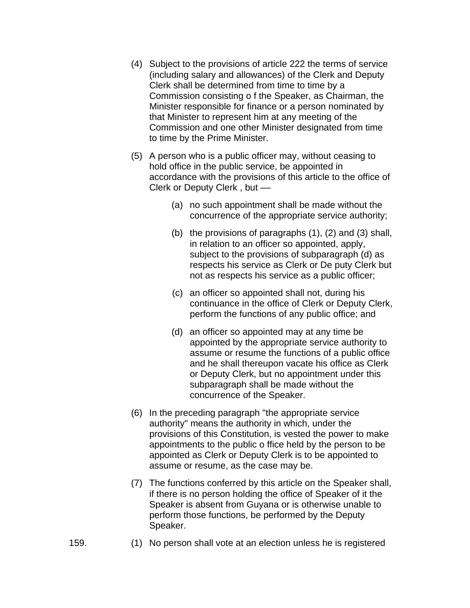- (4) Subject to the provisions of article 222 the terms of service (including salary and allowances) of the Clerk and Deputy Clerk shall be determined from time to time by a Commission consisting o f the Speaker, as Chairman, the Minister responsible for finance or a person nominated by that Minister to represent him at any meeting of the Commission and one other Minister designated from time to time by the Prime Minister.
- (5) A person who is a public officer may, without ceasing to hold office in the public service, be appointed in accordance with the provisions of this article to the office of Clerk or Deputy Clerk , but ––
	- (a) no such appointment shall be made without the concurrence of the appropriate service authority;
	- (b) the provisions of paragraphs (1), (2) and (3) shall, in relation to an officer so appointed, apply, subject to the provisions of subparagraph (d) as respects his service as Clerk or De puty Clerk but not as respects his service as a public officer;
	- (c) an officer so appointed shall not, during his continuance in the office of Clerk or Deputy Clerk, perform the functions of any public office; and
	- (d) an officer so appointed may at any time be appointed by the appropriate service authority to assume or resume the functions of a public office and he shall thereupon vacate his office as Clerk or Deputy Clerk, but no appointment under this subparagraph shall be made without the concurrence of the Speaker.
- (6) In the preceding paragraph "the appropriate service authority" means the authority in which, under the provisions of this Constitution, is vested the power to make appointments to the public o ffice held by the person to be appointed as Clerk or Deputy Clerk is to be appointed to assume or resume, as the case may be.
- (7) The functions conferred by this article on the Speaker shall, if there is no person holding the office of Speaker of it the Speaker is absent from Guyana or is otherwise unable to perform those functions, be performed by the Deputy Speaker.
- 159. (1) No person shall vote at an election unless he is registered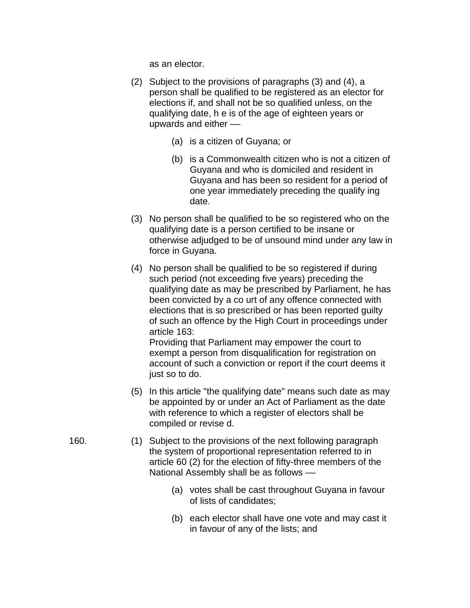as an elector.

- (2) Subject to the provisions of paragraphs (3) and (4), a person shall be qualified to be registered as an elector for elections if, and shall not be so qualified unless, on the qualifying date, h e is of the age of eighteen years or upwards and either ––
	- (a) is a citizen of Guyana; or
	- (b) is a Commonwealth citizen who is not a citizen of Guyana and who is domiciled and resident in Guyana and has been so resident for a period of one year immediately preceding the qualify ing date.
- (3) No person shall be qualified to be so registered who on the qualifying date is a person certified to be insane or otherwise adjudged to be of unsound mind under any law in force in Guyana.
- (4) No person shall be qualified to be so registered if during such period (not exceeding five years) preceding the qualifying date as may be prescribed by Parliament, he has been convicted by a co urt of any offence connected with elections that is so prescribed or has been reported guilty of such an offence by the High Court in proceedings under article 163:

Providing that Parliament may empower the court to exempt a person from disqualification for registration on account of such a conviction or report if the court deems it just so to do.

- (5) In this article "the qualifying date" means such date as may be appointed by or under an Act of Parliament as the date with reference to which a register of electors shall be compiled or revise d.
- 160. (1) Subject to the provisions of the next following paragraph the system of proportional representation referred to in article 60 (2) for the election of fifty-three members of the National Assembly shall be as follows ––
	- (a) votes shall be cast throughout Guyana in favour of lists of candidates;
	- (b) each elector shall have one vote and may cast it in favour of any of the lists; and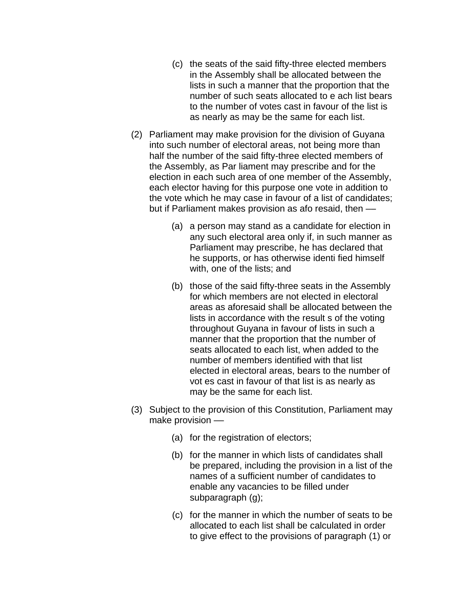- (c) the seats of the said fifty-three elected members in the Assembly shall be allocated between the lists in such a manner that the proportion that the number of such seats allocated to e ach list bears to the number of votes cast in favour of the list is as nearly as may be the same for each list.
- (2) Parliament may make provision for the division of Guyana into such number of electoral areas, not being more than half the number of the said fifty-three elected members of the Assembly, as Par liament may prescribe and for the election in each such area of one member of the Assembly, each elector having for this purpose one vote in addition to the vote which he may case in favour of a list of candidates; but if Parliament makes provision as afo resaid, then -
	- (a) a person may stand as a candidate for election in any such electoral area only if, in such manner as Parliament may prescribe, he has declared that he supports, or has otherwise identi fied himself with, one of the lists; and
	- (b) those of the said fifty-three seats in the Assembly for which members are not elected in electoral areas as aforesaid shall be allocated between the lists in accordance with the result s of the voting throughout Guyana in favour of lists in such a manner that the proportion that the number of seats allocated to each list, when added to the number of members identified with that list elected in electoral areas, bears to the number of vot es cast in favour of that list is as nearly as may be the same for each list.
- (3) Subject to the provision of this Constitution, Parliament may make provision ––
	- (a) for the registration of electors;
	- (b) for the manner in which lists of candidates shall be prepared, including the provision in a list of the names of a sufficient number of candidates to enable any vacancies to be filled under subparagraph (g);
	- (c) for the manner in which the number of seats to be allocated to each list shall be calculated in order to give effect to the provisions of paragraph (1) or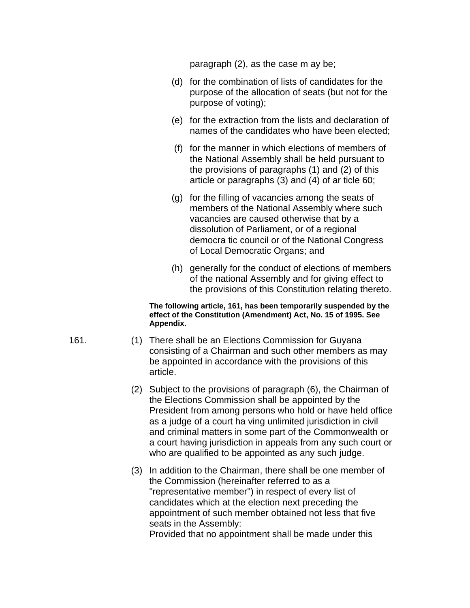paragraph (2), as the case m ay be;

- (d) for the combination of lists of candidates for the purpose of the allocation of seats (but not for the purpose of voting);
- (e) for the extraction from the lists and declaration of names of the candidates who have been elected;
- (f) for the manner in which elections of members of the National Assembly shall be held pursuant to the provisions of paragraphs (1) and (2) of this article or paragraphs (3) and (4) of ar ticle 60;
- (g) for the filling of vacancies among the seats of members of the National Assembly where such vacancies are caused otherwise that by a dissolution of Parliament, or of a regional democra tic council or of the National Congress of Local Democratic Organs; and
- (h) generally for the conduct of elections of members of the national Assembly and for giving effect to the provisions of this Constitution relating thereto.

#### **The following article, 161, has been temporarily suspended by the effect of the Constitution (Amendment) Act, No. 15 of 1995. See Appendix.**

- 161. (1) There shall be an Elections Commission for Guyana consisting of a Chairman and such other members as may be appointed in accordance with the provisions of this article.
	- (2) Subject to the provisions of paragraph (6), the Chairman of the Elections Commission shall be appointed by the President from among persons who hold or have held office as a judge of a court ha ving unlimited jurisdiction in civil and criminal matters in some part of the Commonwealth or a court having jurisdiction in appeals from any such court or who are qualified to be appointed as any such judge.
	- (3) In addition to the Chairman, there shall be one member of the Commission (hereinafter referred to as a "representative member") in respect of every list of candidates which at the election next preceding the appointment of such member obtained not less that five seats in the Assembly:

Provided that no appointment shall be made under this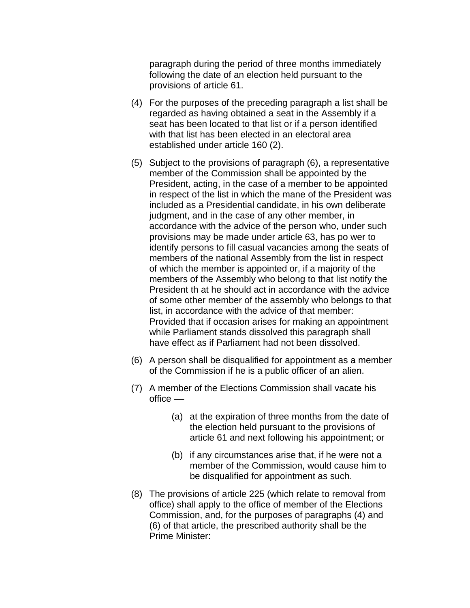paragraph during the period of three months immediately following the date of an election held pursuant to the provisions of article 61.

- (4) For the purposes of the preceding paragraph a list shall be regarded as having obtained a seat in the Assembly if a seat has been located to that list or if a person identified with that list has been elected in an electoral area established under article 160 (2).
- (5) Subject to the provisions of paragraph (6), a representative member of the Commission shall be appointed by the President, acting, in the case of a member to be appointed in respect of the list in which the mane of the President was included as a Presidential candidate, in his own deliberate judgment, and in the case of any other member, in accordance with the advice of the person who, under such provisions may be made under article 63, has po wer to identify persons to fill casual vacancies among the seats of members of the national Assembly from the list in respect of which the member is appointed or, if a majority of the members of the Assembly who belong to that list notify the President th at he should act in accordance with the advice of some other member of the assembly who belongs to that list, in accordance with the advice of that member: Provided that if occasion arises for making an appointment while Parliament stands dissolved this paragraph shall have effect as if Parliament had not been dissolved.
- (6) A person shall be disqualified for appointment as a member of the Commission if he is a public officer of an alien.
- (7) A member of the Elections Commission shall vacate his office ––
	- (a) at the expiration of three months from the date of the election held pursuant to the provisions of article 61 and next following his appointment; or
	- (b) if any circumstances arise that, if he were not a member of the Commission, would cause him to be disqualified for appointment as such.
- (8) The provisions of article 225 (which relate to removal from office) shall apply to the office of member of the Elections Commission, and, for the purposes of paragraphs (4) and (6) of that article, the prescribed authority shall be the Prime Minister: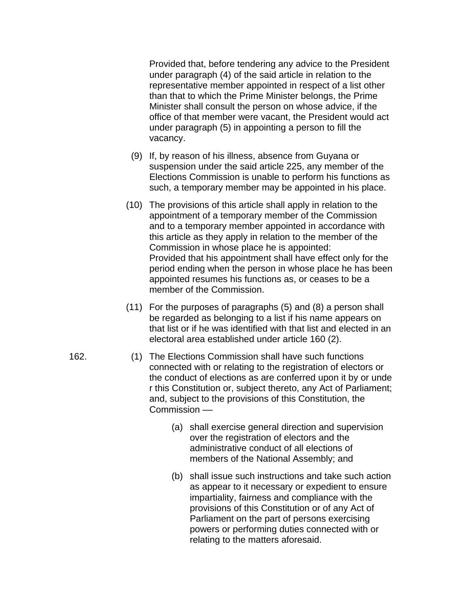Provided that, before tendering any advice to the President under paragraph (4) of the said article in relation to the representative member appointed in respect of a list other than that to which the Prime Minister belongs, the Prime Minister shall consult the person on whose advice, if the office of that member were vacant, the President would act under paragraph (5) in appointing a person to fill the vacancy.

- (9) If, by reason of his illness, absence from Guyana or suspension under the said article 225, any member of the Elections Commission is unable to perform his functions as such, a temporary member may be appointed in his place.
- (10) The provisions of this article shall apply in relation to the appointment of a temporary member of the Commission and to a temporary member appointed in accordance with this article as they apply in relation to the member of the Commission in whose place he is appointed: Provided that his appointment shall have effect only for the period ending when the person in whose place he has been appointed resumes his functions as, or ceases to be a member of the Commission.
- (11) For the purposes of paragraphs (5) and (8) a person shall be regarded as belonging to a list if his name appears on that list or if he was identified with that list and elected in an electoral area established under article 160 (2).
- 162. (1) The Elections Commission shall have such functions connected with or relating to the registration of electors or the conduct of elections as are conferred upon it by or unde r this Constitution or, subject thereto, any Act of Parliament; and, subject to the provisions of this Constitution, the Commission ––
	- (a) shall exercise general direction and supervision over the registration of electors and the administrative conduct of all elections of members of the National Assembly; and
	- (b) shall issue such instructions and take such action as appear to it necessary or expedient to ensure impartiality, fairness and compliance with the provisions of this Constitution or of any Act of Parliament on the part of persons exercising powers or performing duties connected with or relating to the matters aforesaid.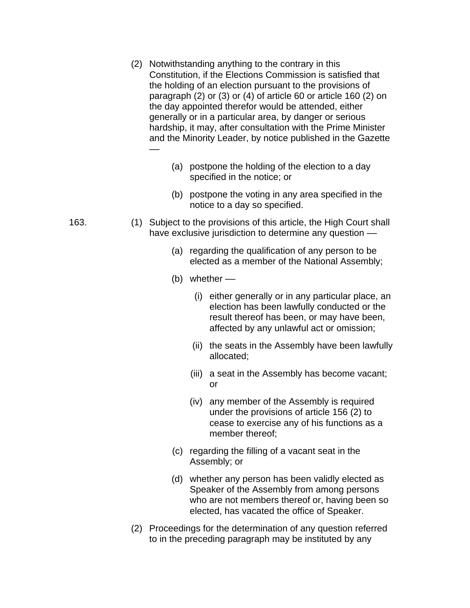- (2) Notwithstanding anything to the contrary in this Constitution, if the Elections Commission is satisfied that the holding of an election pursuant to the provisions of paragraph (2) or (3) or (4) of article 60 or article 160 (2) on the day appointed therefor would be attended, either generally or in a particular area, by danger or serious hardship, it may, after consultation with the Prime Minister and the Minority Leader, by notice published in the Gazette ––
	- (a) postpone the holding of the election to a day specified in the notice; or
	- (b) postpone the voting in any area specified in the notice to a day so specified.
- 163. (1) Subject to the provisions of this article, the High Court shall have exclusive jurisdiction to determine any question -
	- (a) regarding the qualification of any person to be elected as a member of the National Assembly;
	- (b) whether  $-$ 
		- (i) either generally or in any particular place, an election has been lawfully conducted or the result thereof has been, or may have been, affected by any unlawful act or omission;
		- (ii) the seats in the Assembly have been lawfully allocated;
		- (iii) a seat in the Assembly has become vacant; or
		- (iv) any member of the Assembly is required under the provisions of article 156 (2) to cease to exercise any of his functions as a member thereof;
	- (c) regarding the filling of a vacant seat in the Assembly; or
	- (d) whether any person has been validly elected as Speaker of the Assembly from among persons who are not members thereof or, having been so elected, has vacated the office of Speaker.
	- (2) Proceedings for the determination of any question referred to in the preceding paragraph may be instituted by any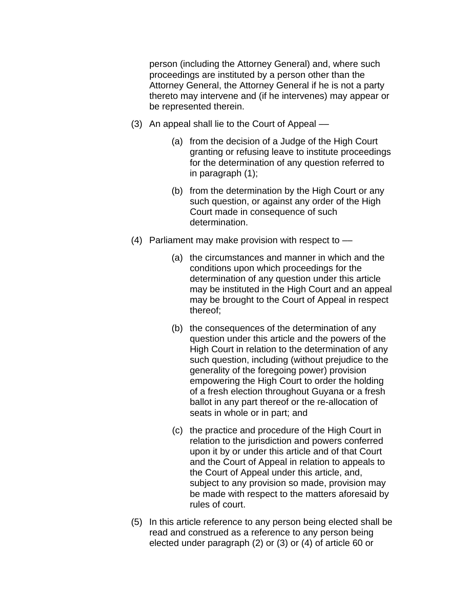person (including the Attorney General) and, where such proceedings are instituted by a person other than the Attorney General, the Attorney General if he is not a party thereto may intervene and (if he intervenes) may appear or be represented therein.

- $(3)$  An appeal shall lie to the Court of Appeal  $-$ 
	- (a) from the decision of a Judge of the High Court granting or refusing leave to institute proceedings for the determination of any question referred to in paragraph (1);
	- (b) from the determination by the High Court or any such question, or against any order of the High Court made in consequence of such determination.
- (4) Parliament may make provision with respect to ––
	- (a) the circumstances and manner in which and the conditions upon which proceedings for the determination of any question under this article may be instituted in the High Court and an appeal may be brought to the Court of Appeal in respect thereof;
	- (b) the consequences of the determination of any question under this article and the powers of the High Court in relation to the determination of any such question, including (without prejudice to the generality of the foregoing power) provision empowering the High Court to order the holding of a fresh election throughout Guyana or a fresh ballot in any part thereof or the re-allocation of seats in whole or in part; and
	- (c) the practice and procedure of the High Court in relation to the jurisdiction and powers conferred upon it by or under this article and of that Court and the Court of Appeal in relation to appeals to the Court of Appeal under this article, and, subject to any provision so made, provision may be made with respect to the matters aforesaid by rules of court.
- (5) In this article reference to any person being elected shall be read and construed as a reference to any person being elected under paragraph (2) or (3) or (4) of article 60 or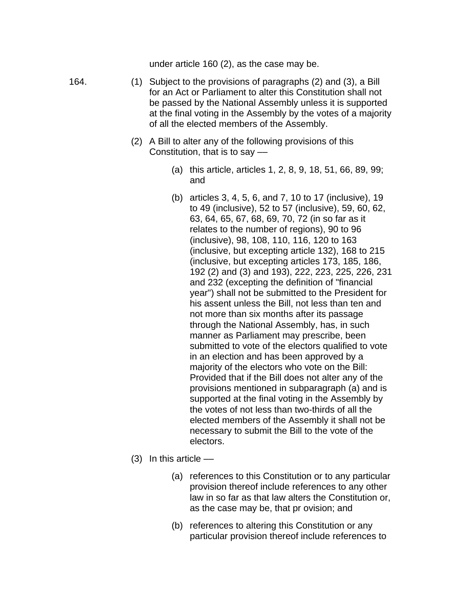under article 160 (2), as the case may be.

- 164. (1) Subject to the provisions of paragraphs (2) and (3), a Bill for an Act or Parliament to alter this Constitution shall not be passed by the National Assembly unless it is supported at the final voting in the Assembly by the votes of a majority of all the elected members of the Assembly.
	- (2) A Bill to alter any of the following provisions of this Constitution, that is to say ––
		- (a) this article, articles 1, 2, 8, 9, 18, 51, 66, 89, 99; and
		- (b) articles 3, 4, 5, 6, and 7, 10 to 17 (inclusive), 19 to 49 (inclusive), 52 to 57 (inclusive), 59, 60, 62, 63, 64, 65, 67, 68, 69, 70, 72 (in so far as it relates to the number of regions), 90 to 96 (inclusive), 98, 108, 110, 116, 120 to 163 (inclusive, but excepting article 132), 168 to 215 (inclusive, but excepting articles 173, 185, 186, 192 (2) and (3) and 193), 222, 223, 225, 226, 231 and 232 (excepting the definition of "financial year") shall not be submitted to the President for his assent unless the Bill, not less than ten and not more than six months after its passage through the National Assembly, has, in such manner as Parliament may prescribe, been submitted to vote of the electors qualified to vote in an election and has been approved by a majority of the electors who vote on the Bill: Provided that if the Bill does not alter any of the provisions mentioned in subparagraph (a) and is supported at the final voting in the Assembly by the votes of not less than two-thirds of all the elected members of the Assembly it shall not be necessary to submit the Bill to the vote of the electors.
	- $(3)$  In this article
		- (a) references to this Constitution or to any particular provision thereof include references to any other law in so far as that law alters the Constitution or, as the case may be, that pr ovision; and
		- (b) references to altering this Constitution or any particular provision thereof include references to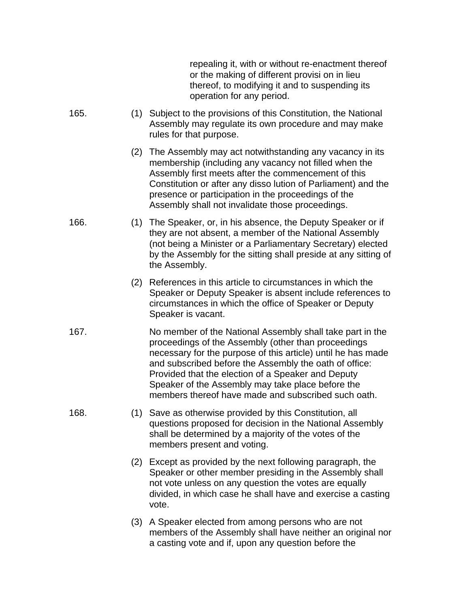repealing it, with or without re-enactment thereof or the making of different provisi on in lieu thereof, to modifying it and to suspending its operation for any period.

- 165. (1) Subject to the provisions of this Constitution, the National Assembly may regulate its own procedure and may make rules for that purpose.
	- (2) The Assembly may act notwithstanding any vacancy in its membership (including any vacancy not filled when the Assembly first meets after the commencement of this Constitution or after any disso lution of Parliament) and the presence or participation in the proceedings of the Assembly shall not invalidate those proceedings.
- 166. (1) The Speaker, or, in his absence, the Deputy Speaker or if they are not absent, a member of the National Assembly (not being a Minister or a Parliamentary Secretary) elected by the Assembly for the sitting shall preside at any sitting of the Assembly.
	- (2) References in this article to circumstances in which the Speaker or Deputy Speaker is absent include references to circumstances in which the office of Speaker or Deputy Speaker is vacant.
- 167. No member of the National Assembly shall take part in the proceedings of the Assembly (other than proceedings necessary for the purpose of this article) until he has made and subscribed before the Assembly the oath of office: Provided that the election of a Speaker and Deputy Speaker of the Assembly may take place before the members thereof have made and subscribed such oath.
- 168. (1) Save as otherwise provided by this Constitution, all questions proposed for decision in the National Assembly shall be determined by a majority of the votes of the members present and voting.
	- (2) Except as provided by the next following paragraph, the Speaker or other member presiding in the Assembly shall not vote unless on any question the votes are equally divided, in which case he shall have and exercise a casting vote.
	- (3) A Speaker elected from among persons who are not members of the Assembly shall have neither an original nor a casting vote and if, upon any question before the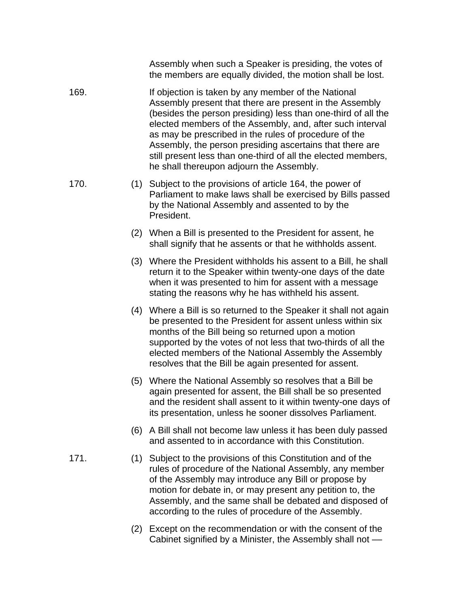|      |     | Assembly when such a Speaker is presiding, the votes of<br>the members are equally divided, the motion shall be lost.                                                                                                                                                                                                                                                                                                                                                          |
|------|-----|--------------------------------------------------------------------------------------------------------------------------------------------------------------------------------------------------------------------------------------------------------------------------------------------------------------------------------------------------------------------------------------------------------------------------------------------------------------------------------|
| 169. |     | If objection is taken by any member of the National<br>Assembly present that there are present in the Assembly<br>(besides the person presiding) less than one-third of all the<br>elected members of the Assembly, and, after such interval<br>as may be prescribed in the rules of procedure of the<br>Assembly, the person presiding ascertains that there are<br>still present less than one-third of all the elected members,<br>he shall thereupon adjourn the Assembly. |
| 170. |     | (1) Subject to the provisions of article 164, the power of<br>Parliament to make laws shall be exercised by Bills passed<br>by the National Assembly and assented to by the<br>President.                                                                                                                                                                                                                                                                                      |
|      | (2) | When a Bill is presented to the President for assent, he<br>shall signify that he assents or that he withholds assent.                                                                                                                                                                                                                                                                                                                                                         |
|      | (3) | Where the President withholds his assent to a Bill, he shall<br>return it to the Speaker within twenty-one days of the date<br>when it was presented to him for assent with a message<br>stating the reasons why he has withheld his assent.                                                                                                                                                                                                                                   |
|      |     | (4) Where a Bill is so returned to the Speaker it shall not again<br>be presented to the President for assent unless within six<br>months of the Bill being so returned upon a motion<br>supported by the votes of not less that two-thirds of all the<br>elected members of the National Assembly the Assembly<br>resolves that the Bill be again presented for assent.                                                                                                       |
|      | (5) | Where the National Assembly so resolves that a Bill be<br>again presented for assent, the Bill shall be so presented<br>and the resident shall assent to it within twenty-one days of<br>its presentation, unless he sooner dissolves Parliament.                                                                                                                                                                                                                              |
|      | (6) | A Bill shall not become law unless it has been duly passed<br>and assented to in accordance with this Constitution.                                                                                                                                                                                                                                                                                                                                                            |
| 171. |     | (1) Subject to the provisions of this Constitution and of the<br>rules of procedure of the National Assembly, any member<br>of the Assembly may introduce any Bill or propose by<br>motion for debate in, or may present any petition to, the<br>Assembly, and the same shall be debated and disposed of<br>according to the rules of procedure of the Assembly.                                                                                                               |
|      |     | (2) Except on the recommendation or with the consent of the                                                                                                                                                                                                                                                                                                                                                                                                                    |

(2) Except on the recommendation or with the consent of the Cabinet signified by a Minister, the Assembly shall not ––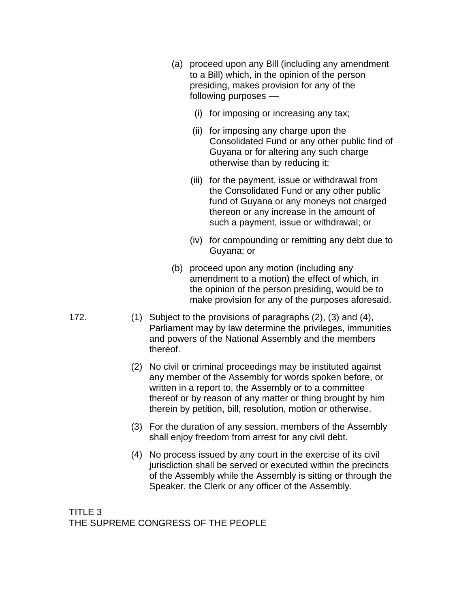- (a) proceed upon any Bill (including any amendment to a Bill) which, in the opinion of the person presiding, makes provision for any of the following purposes ––
	- (i) for imposing or increasing any tax;
	- (ii) for imposing any charge upon the Consolidated Fund or any other public find of Guyana or for altering any such charge otherwise than by reducing it;
	- (iii) for the payment, issue or withdrawal from the Consolidated Fund or any other public fund of Guyana or any moneys not charged thereon or any increase in the amount of such a payment, issue or withdrawal; or
	- (iv) for compounding or remitting any debt due to Guyana; or
- (b) proceed upon any motion (including any amendment to a motion) the effect of which, in the opinion of the person presiding, would be to make provision for any of the purposes aforesaid.
- 172. (1) Subject to the provisions of paragraphs (2), (3) and (4), Parliament may by law determine the privileges, immunities and powers of the National Assembly and the members thereof.
	- (2) No civil or criminal proceedings may be instituted against any member of the Assembly for words spoken before, or written in a report to, the Assembly or to a committee thereof or by reason of any matter or thing brought by him therein by petition, bill, resolution, motion or otherwise.
	- (3) For the duration of any session, members of the Assembly shall enjoy freedom from arrest for any civil debt.
	- (4) No process issued by any court in the exercise of its civil jurisdiction shall be served or executed within the precincts of the Assembly while the Assembly is sitting or through the Speaker, the Clerk or any officer of the Assembly.

TITLE  $3$ THE SUPREME CONGRESS OF THE PEOPLE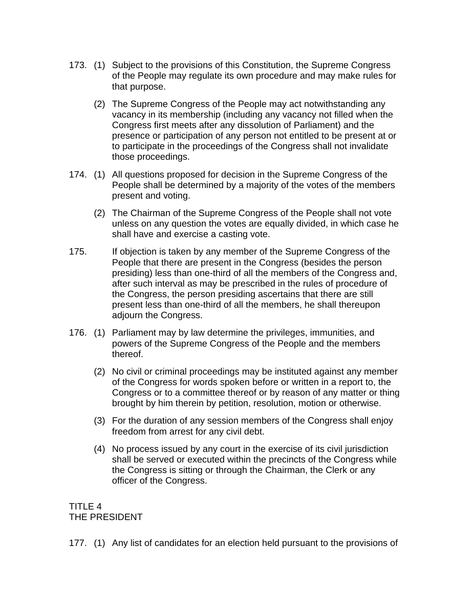- 173. (1) Subject to the provisions of this Constitution, the Supreme Congress of the People may regulate its own procedure and may make rules for that purpose.
	- (2) The Supreme Congress of the People may act notwithstanding any vacancy in its membership (including any vacancy not filled when the Congress first meets after any dissolution of Parliament) and the presence or participation of any person not entitled to be present at or to participate in the proceedings of the Congress shall not invalidate those proceedings.
- 174. (1) All questions proposed for decision in the Supreme Congress of the People shall be determined by a majority of the votes of the members present and voting.
	- (2) The Chairman of the Supreme Congress of the People shall not vote unless on any question the votes are equally divided, in which case he shall have and exercise a casting vote.
- 175. If objection is taken by any member of the Supreme Congress of the People that there are present in the Congress (besides the person presiding) less than one-third of all the members of the Congress and, after such interval as may be prescribed in the rules of procedure of the Congress, the person presiding ascertains that there are still present less than one-third of all the members, he shall thereupon adjourn the Congress.
- 176. (1) Parliament may by law determine the privileges, immunities, and powers of the Supreme Congress of the People and the members thereof.
	- (2) No civil or criminal proceedings may be instituted against any member of the Congress for words spoken before or written in a report to, the Congress or to a committee thereof or by reason of any matter or thing brought by him therein by petition, resolution, motion or otherwise.
	- (3) For the duration of any session members of the Congress shall enjoy freedom from arrest for any civil debt.
	- (4) No process issued by any court in the exercise of its civil jurisdiction shall be served or executed within the precincts of the Congress while the Congress is sitting or through the Chairman, the Clerk or any officer of the Congress.

# TITLE 4 THE PRESIDENT

177. (1) Any list of candidates for an election held pursuant to the provisions of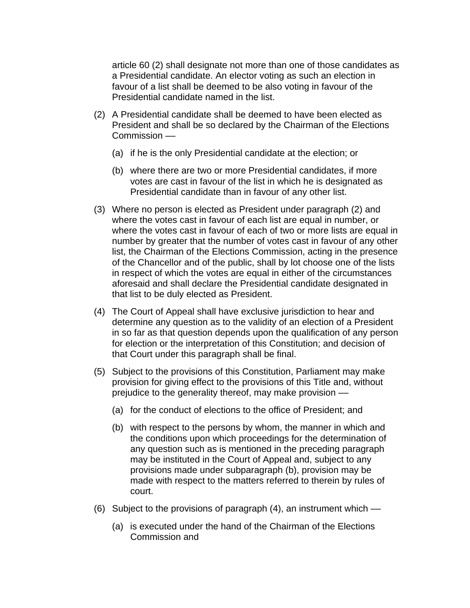article 60 (2) shall designate not more than one of those candidates as a Presidential candidate. An elector voting as such an election in favour of a list shall be deemed to be also voting in favour of the Presidential candidate named in the list.

- (2) A Presidential candidate shall be deemed to have been elected as President and shall be so declared by the Chairman of the Elections Commission ––
	- (a) if he is the only Presidential candidate at the election; or
	- (b) where there are two or more Presidential candidates, if more votes are cast in favour of the list in which he is designated as Presidential candidate than in favour of any other list.
- (3) Where no person is elected as President under paragraph (2) and where the votes cast in favour of each list are equal in number, or where the votes cast in favour of each of two or more lists are equal in number by greater that the number of votes cast in favour of any other list, the Chairman of the Elections Commission, acting in the presence of the Chancellor and of the public, shall by lot choose one of the lists in respect of which the votes are equal in either of the circumstances aforesaid and shall declare the Presidential candidate designated in that list to be duly elected as President.
- (4) The Court of Appeal shall have exclusive jurisdiction to hear and determine any question as to the validity of an election of a President in so far as that question depends upon the qualification of any person for election or the interpretation of this Constitution; and decision of that Court under this paragraph shall be final.
- (5) Subject to the provisions of this Constitution, Parliament may make provision for giving effect to the provisions of this Title and, without prejudice to the generality thereof, may make provision ––
	- (a) for the conduct of elections to the office of President; and
	- (b) with respect to the persons by whom, the manner in which and the conditions upon which proceedings for the determination of any question such as is mentioned in the preceding paragraph may be instituted in the Court of Appeal and, subject to any provisions made under subparagraph (b), provision may be made with respect to the matters referred to therein by rules of court.
- (6) Subject to the provisions of paragraph  $(4)$ , an instrument which  $-$ 
	- (a) is executed under the hand of the Chairman of the Elections Commission and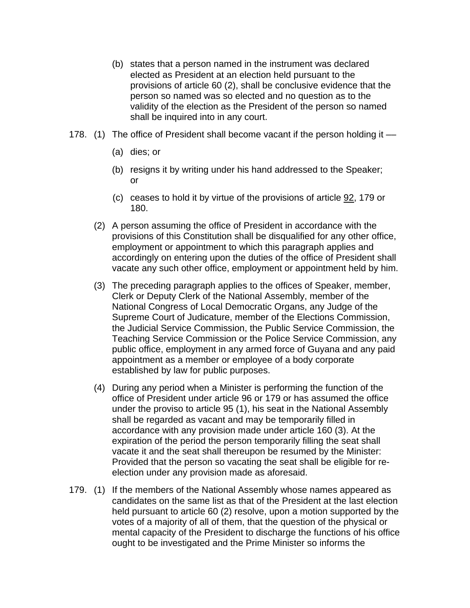- (b) states that a person named in the instrument was declared elected as President at an election held pursuant to the provisions of article 60 (2), shall be conclusive evidence that the person so named was so elected and no question as to the validity of the election as the President of the person so named shall be inquired into in any court.
- 178. (1) The office of President shall become vacant if the person holding it  $-$ 
	- (a) dies; or
	- (b) resigns it by writing under his hand addressed to the Speaker; or
	- (c) ceases to hold it by virtue of the provisions of article  $92, 179$  or 180.
	- (2) A person assuming the office of President in accordance with the provisions of this Constitution shall be disqualified for any other office, employment or appointment to which this paragraph applies and accordingly on entering upon the duties of the office of President shall vacate any such other office, employment or appointment held by him.
	- (3) The preceding paragraph applies to the offices of Speaker, member, Clerk or Deputy Clerk of the National Assembly, member of the National Congress of Local Democratic Organs, any Judge of the Supreme Court of Judicature, member of the Elections Commission, the Judicial Service Commission, the Public Service Commission, the Teaching Service Commission or the Police Service Commission, any public office, employment in any armed force of Guyana and any paid appointment as a member or employee of a body corporate established by law for public purposes.
	- (4) During any period when a Minister is performing the function of the office of President under article 96 or 179 or has assumed the office under the proviso to article 95 (1), his seat in the National Assembly shall be regarded as vacant and may be temporarily filled in accordance with any provision made under article 160 (3). At the expiration of the period the person temporarily filling the seat shall vacate it and the seat shall thereupon be resumed by the Minister: Provided that the person so vacating the seat shall be eligible for reelection under any provision made as aforesaid.
- 179. (1) If the members of the National Assembly whose names appeared as candidates on the same list as that of the President at the last election held pursuant to article 60 (2) resolve, upon a motion supported by the votes of a majority of all of them, that the question of the physical or mental capacity of the President to discharge the functions of his office ought to be investigated and the Prime Minister so informs the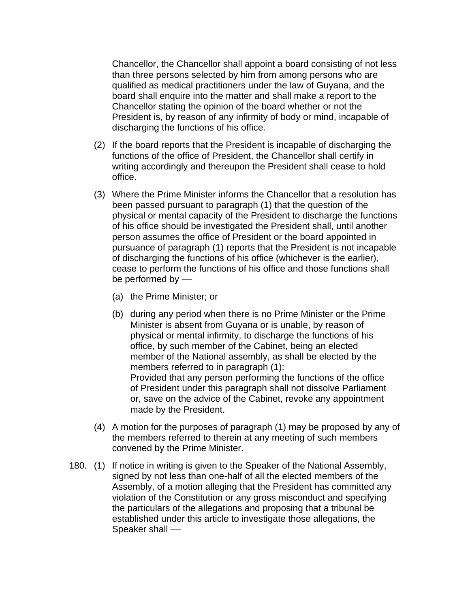Chancellor, the Chancellor shall appoint a board consisting of not less than three persons selected by him from among persons who are qualified as medical practitioners under the law of Guyana, and the board shall enquire into the matter and shall make a report to the Chancellor stating the opinion of the board whether or not the President is, by reason of any infirmity of body or mind, incapable of discharging the functions of his office.

- (2) If the board reports that the President is incapable of discharging the functions of the office of President, the Chancellor shall certify in writing accordingly and thereupon the President shall cease to hold office.
- (3) Where the Prime Minister informs the Chancellor that a resolution has been passed pursuant to paragraph (1) that the question of the physical or mental capacity of the President to discharge the functions of his office should be investigated the President shall, until another person assumes the office of President or the board appointed in pursuance of paragraph (1) reports that the President is not incapable of discharging the functions of his office (whichever is the earlier), cease to perform the functions of his office and those functions shall be performed by -
	- (a) the Prime Minister; or
	- (b) during any period when there is no Prime Minister or the Prime Minister is absent from Guyana or is unable, by reason of physical or mental infirmity, to discharge the functions of his office, by such member of the Cabinet, being an elected member of the National assembly, as shall be elected by the members referred to in paragraph (1): Provided that any person performing the functions of the office of President under this paragraph shall not dissolve Parliament or, save on the advice of the Cabinet, revoke any appointment made by the President.
- (4) A motion for the purposes of paragraph (1) may be proposed by any of the members referred to therein at any meeting of such members convened by the Prime Minister.
- 180. (1) If notice in writing is given to the Speaker of the National Assembly, signed by not less than one-half of all the elected members of the Assembly, of a motion alleging that the President has committed any violation of the Constitution or any gross misconduct and specifying the particulars of the allegations and proposing that a tribunal be established under this article to investigate those allegations, the Speaker shall ––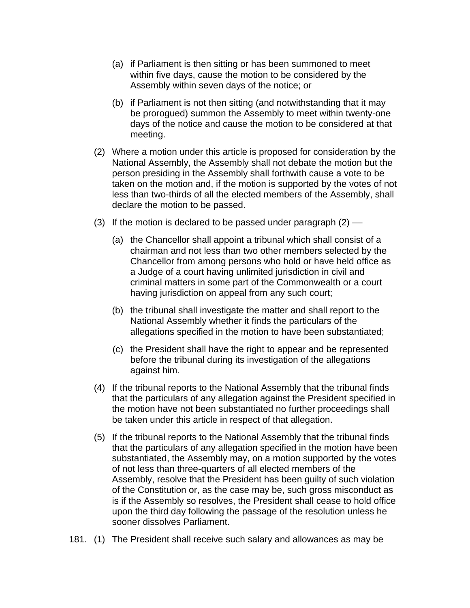- (a) if Parliament is then sitting or has been summoned to meet within five days, cause the motion to be considered by the Assembly within seven days of the notice; or
- (b) if Parliament is not then sitting (and notwithstanding that it may be prorogued) summon the Assembly to meet within twenty-one days of the notice and cause the motion to be considered at that meeting.
- (2) Where a motion under this article is proposed for consideration by the National Assembly, the Assembly shall not debate the motion but the person presiding in the Assembly shall forthwith cause a vote to be taken on the motion and, if the motion is supported by the votes of not less than two-thirds of all the elected members of the Assembly, shall declare the motion to be passed.
- (3) If the motion is declared to be passed under paragraph  $(2)$ 
	- (a) the Chancellor shall appoint a tribunal which shall consist of a chairman and not less than two other members selected by the Chancellor from among persons who hold or have held office as a Judge of a court having unlimited jurisdiction in civil and criminal matters in some part of the Commonwealth or a court having jurisdiction on appeal from any such court;
	- (b) the tribunal shall investigate the matter and shall report to the National Assembly whether it finds the particulars of the allegations specified in the motion to have been substantiated;
	- (c) the President shall have the right to appear and be represented before the tribunal during its investigation of the allegations against him.
- (4) If the tribunal reports to the National Assembly that the tribunal finds that the particulars of any allegation against the President specified in the motion have not been substantiated no further proceedings shall be taken under this article in respect of that allegation.
- (5) If the tribunal reports to the National Assembly that the tribunal finds that the particulars of any allegation specified in the motion have been substantiated, the Assembly may, on a motion supported by the votes of not less than three-quarters of all elected members of the Assembly, resolve that the President has been guilty of such violation of the Constitution or, as the case may be, such gross misconduct as is if the Assembly so resolves, the President shall cease to hold office upon the third day following the passage of the resolution unless he sooner dissolves Parliament.
- 181. (1) The President shall receive such salary and allowances as may be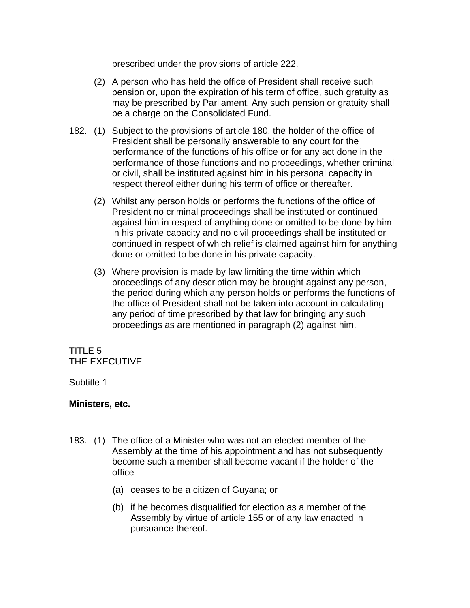prescribed under the provisions of article 222.

- (2) A person who has held the office of President shall receive such pension or, upon the expiration of his term of office, such gratuity as may be prescribed by Parliament. Any such pension or gratuity shall be a charge on the Consolidated Fund.
- 182. (1) Subject to the provisions of article 180, the holder of the office of President shall be personally answerable to any court for the performance of the functions of his office or for any act done in the performance of those functions and no proceedings, whether criminal or civil, shall be instituted against him in his personal capacity in respect thereof either during his term of office or thereafter.
	- (2) Whilst any person holds or performs the functions of the office of President no criminal proceedings shall be instituted or continued against him in respect of anything done or omitted to be done by him in his private capacity and no civil proceedings shall be instituted or continued in respect of which relief is claimed against him for anything done or omitted to be done in his private capacity.
	- (3) Where provision is made by law limiting the time within which proceedings of any description may be brought against any person, the period during which any person holds or performs the functions of the office of President shall not be taken into account in calculating any period of time prescribed by that law for bringing any such proceedings as are mentioned in paragraph (2) against him.

# TITLE 5 THE EXECUTIVE

Subtitle 1

# **Ministers, etc.**

- 183. (1) The office of a Minister who was not an elected member of the Assembly at the time of his appointment and has not subsequently become such a member shall become vacant if the holder of the office ––
	- (a) ceases to be a citizen of Guyana; or
	- (b) if he becomes disqualified for election as a member of the Assembly by virtue of article 155 or of any law enacted in pursuance thereof.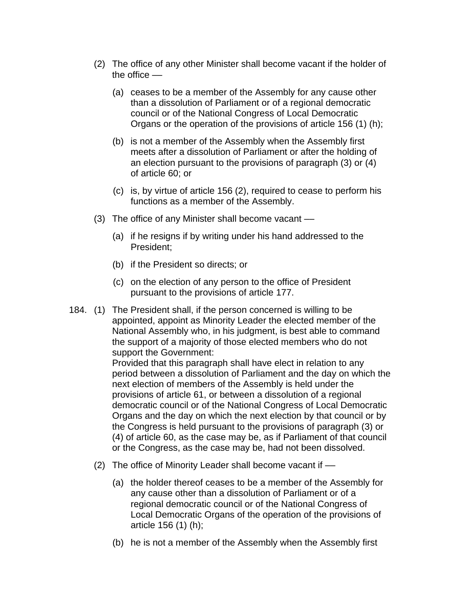- (2) The office of any other Minister shall become vacant if the holder of the office  $-$ 
	- (a) ceases to be a member of the Assembly for any cause other than a dissolution of Parliament or of a regional democratic council or of the National Congress of Local Democratic Organs or the operation of the provisions of article 156 (1) (h);
	- (b) is not a member of the Assembly when the Assembly first meets after a dissolution of Parliament or after the holding of an election pursuant to the provisions of paragraph (3) or (4) of article 60; or
	- (c) is, by virtue of article 156 (2), required to cease to perform his functions as a member of the Assembly.
- (3) The office of any Minister shall become vacant ––
	- (a) if he resigns if by writing under his hand addressed to the President;
	- (b) if the President so directs; or
	- (c) on the election of any person to the office of President pursuant to the provisions of article 177.
- 184. (1) The President shall, if the person concerned is willing to be appointed, appoint as Minority Leader the elected member of the National Assembly who, in his judgment, is best able to command the support of a majority of those elected members who do not support the Government:

Provided that this paragraph shall have elect in relation to any period between a dissolution of Parliament and the day on which the next election of members of the Assembly is held under the provisions of article 61, or between a dissolution of a regional democratic council or of the National Congress of Local Democratic Organs and the day on which the next election by that council or by the Congress is held pursuant to the provisions of paragraph (3) or (4) of article 60, as the case may be, as if Parliament of that council or the Congress, as the case may be, had not been dissolved.

- (2) The office of Minority Leader shall become vacant if  $-$ 
	- (a) the holder thereof ceases to be a member of the Assembly for any cause other than a dissolution of Parliament or of a regional democratic council or of the National Congress of Local Democratic Organs of the operation of the provisions of article 156 (1) (h);
	- (b) he is not a member of the Assembly when the Assembly first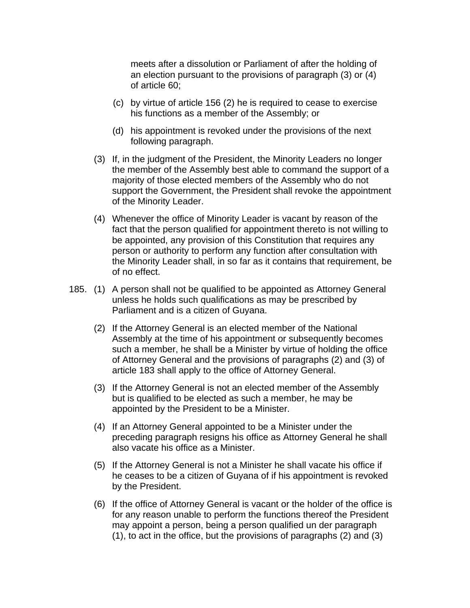meets after a dissolution or Parliament of after the holding of an election pursuant to the provisions of paragraph (3) or (4) of article 60;

- (c) by virtue of article 156 (2) he is required to cease to exercise his functions as a member of the Assembly; or
- (d) his appointment is revoked under the provisions of the next following paragraph.
- (3) If, in the judgment of the President, the Minority Leaders no longer the member of the Assembly best able to command the support of a majority of those elected members of the Assembly who do not support the Government, the President shall revoke the appointment of the Minority Leader.
- (4) Whenever the office of Minority Leader is vacant by reason of the fact that the person qualified for appointment thereto is not willing to be appointed, any provision of this Constitution that requires any person or authority to perform any function after consultation with the Minority Leader shall, in so far as it contains that requirement, be of no effect.
- 185. (1) A person shall not be qualified to be appointed as Attorney General unless he holds such qualifications as may be prescribed by Parliament and is a citizen of Guyana.
	- (2) If the Attorney General is an elected member of the National Assembly at the time of his appointment or subsequently becomes such a member, he shall be a Minister by virtue of holding the office of Attorney General and the provisions of paragraphs (2) and (3) of article 183 shall apply to the office of Attorney General.
	- (3) If the Attorney General is not an elected member of the Assembly but is qualified to be elected as such a member, he may be appointed by the President to be a Minister.
	- (4) If an Attorney General appointed to be a Minister under the preceding paragraph resigns his office as Attorney General he shall also vacate his office as a Minister.
	- (5) If the Attorney General is not a Minister he shall vacate his office if he ceases to be a citizen of Guyana of if his appointment is revoked by the President.
	- (6) If the office of Attorney General is vacant or the holder of the office is for any reason unable to perform the functions thereof the President may appoint a person, being a person qualified un der paragraph (1), to act in the office, but the provisions of paragraphs (2) and (3)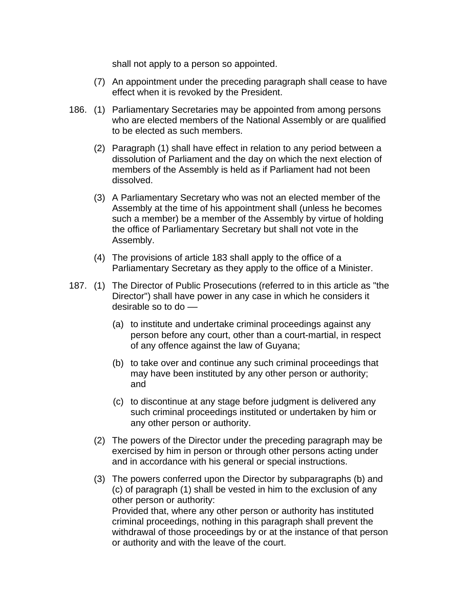shall not apply to a person so appointed.

- (7) An appointment under the preceding paragraph shall cease to have effect when it is revoked by the President.
- 186. (1) Parliamentary Secretaries may be appointed from among persons who are elected members of the National Assembly or are qualified to be elected as such members.
	- (2) Paragraph (1) shall have effect in relation to any period between a dissolution of Parliament and the day on which the next election of members of the Assembly is held as if Parliament had not been dissolved.
	- (3) A Parliamentary Secretary who was not an elected member of the Assembly at the time of his appointment shall (unless he becomes such a member) be a member of the Assembly by virtue of holding the office of Parliamentary Secretary but shall not vote in the Assembly.
	- (4) The provisions of article 183 shall apply to the office of a Parliamentary Secretary as they apply to the office of a Minister.
- 187. (1) The Director of Public Prosecutions (referred to in this article as "the Director") shall have power in any case in which he considers it desirable so to do –
	- (a) to institute and undertake criminal proceedings against any person before any court, other than a court-martial, in respect of any offence against the law of Guyana;
	- (b) to take over and continue any such criminal proceedings that may have been instituted by any other person or authority; and
	- (c) to discontinue at any stage before judgment is delivered any such criminal proceedings instituted or undertaken by him or any other person or authority.
	- (2) The powers of the Director under the preceding paragraph may be exercised by him in person or through other persons acting under and in accordance with his general or special instructions.
	- (3) The powers conferred upon the Director by subparagraphs (b) and (c) of paragraph (1) shall be vested in him to the exclusion of any other person or authority: Provided that, where any other person or authority has instituted criminal proceedings, nothing in this paragraph shall prevent the withdrawal of those proceedings by or at the instance of that person or authority and with the leave of the court.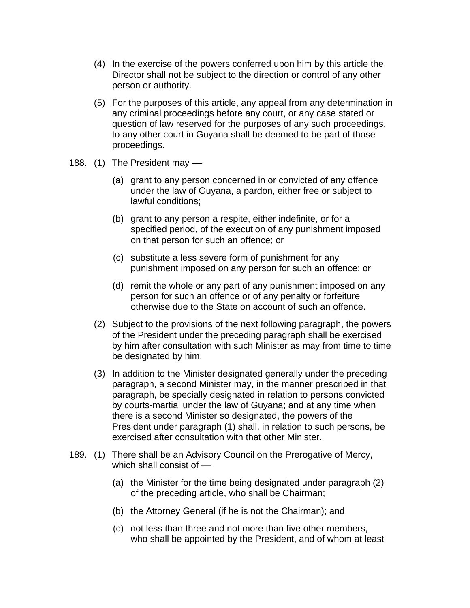- (4) In the exercise of the powers conferred upon him by this article the Director shall not be subject to the direction or control of any other person or authority.
- (5) For the purposes of this article, any appeal from any determination in any criminal proceedings before any court, or any case stated or question of law reserved for the purposes of any such proceedings, to any other court in Guyana shall be deemed to be part of those proceedings.
- 188. (1) The President may ––
	- (a) grant to any person concerned in or convicted of any offence under the law of Guyana, a pardon, either free or subject to lawful conditions;
	- (b) grant to any person a respite, either indefinite, or for a specified period, of the execution of any punishment imposed on that person for such an offence; or
	- (c) substitute a less severe form of punishment for any punishment imposed on any person for such an offence; or
	- (d) remit the whole or any part of any punishment imposed on any person for such an offence or of any penalty or forfeiture otherwise due to the State on account of such an offence.
	- (2) Subject to the provisions of the next following paragraph, the powers of the President under the preceding paragraph shall be exercised by him after consultation with such Minister as may from time to time be designated by him.
	- (3) In addition to the Minister designated generally under the preceding paragraph, a second Minister may, in the manner prescribed in that paragraph, be specially designated in relation to persons convicted by courts-martial under the law of Guyana; and at any time when there is a second Minister so designated, the powers of the President under paragraph (1) shall, in relation to such persons, be exercised after consultation with that other Minister.
- 189. (1) There shall be an Advisory Council on the Prerogative of Mercy, which shall consist of  $-$ 
	- (a) the Minister for the time being designated under paragraph (2) of the preceding article, who shall be Chairman;
	- (b) the Attorney General (if he is not the Chairman); and
	- (c) not less than three and not more than five other members, who shall be appointed by the President, and of whom at least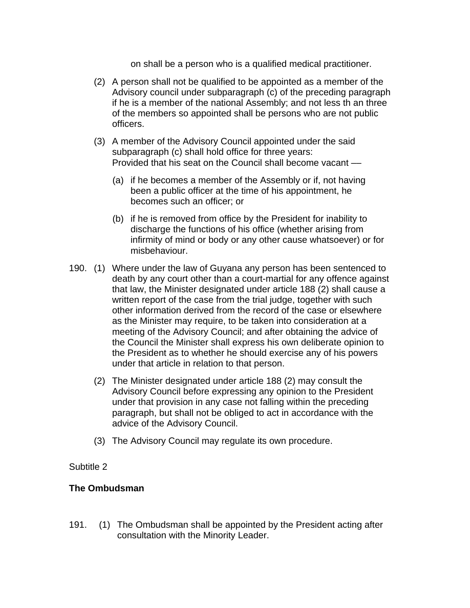on shall be a person who is a qualified medical practitioner.

- (2) A person shall not be qualified to be appointed as a member of the Advisory council under subparagraph (c) of the preceding paragraph if he is a member of the national Assembly; and not less th an three of the members so appointed shall be persons who are not public officers.
- (3) A member of the Advisory Council appointed under the said subparagraph (c) shall hold office for three years: Provided that his seat on the Council shall become vacant ––
	- (a) if he becomes a member of the Assembly or if, not having been a public officer at the time of his appointment, he becomes such an officer; or
	- (b) if he is removed from office by the President for inability to discharge the functions of his office (whether arising from infirmity of mind or body or any other cause whatsoever) or for misbehaviour.
- 190. (1) Where under the law of Guyana any person has been sentenced to death by any court other than a court-martial for any offence against that law, the Minister designated under article 188 (2) shall cause a written report of the case from the trial judge, together with such other information derived from the record of the case or elsewhere as the Minister may require, to be taken into consideration at a meeting of the Advisory Council; and after obtaining the advice of the Council the Minister shall express his own deliberate opinion to the President as to whether he should exercise any of his powers under that article in relation to that person.
	- (2) The Minister designated under article 188 (2) may consult the Advisory Council before expressing any opinion to the President under that provision in any case not falling within the preceding paragraph, but shall not be obliged to act in accordance with the advice of the Advisory Council.
	- (3) The Advisory Council may regulate its own procedure.

### Subtitle 2

## **The Ombudsman**

191. (1) The Ombudsman shall be appointed by the President acting after consultation with the Minority Leader.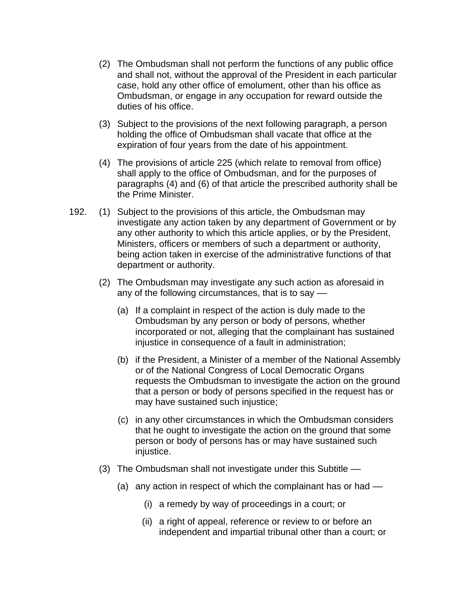- (2) The Ombudsman shall not perform the functions of any public office and shall not, without the approval of the President in each particular case, hold any other office of emolument, other than his office as Ombudsman, or engage in any occupation for reward outside the duties of his office.
- (3) Subject to the provisions of the next following paragraph, a person holding the office of Ombudsman shall vacate that office at the expiration of four years from the date of his appointment.
- (4) The provisions of article 225 (which relate to removal from office) shall apply to the office of Ombudsman, and for the purposes of paragraphs (4) and (6) of that article the prescribed authority shall be the Prime Minister.
- 192. (1) Subject to the provisions of this article, the Ombudsman may investigate any action taken by any department of Government or by any other authority to which this article applies, or by the President, Ministers, officers or members of such a department or authority, being action taken in exercise of the administrative functions of that department or authority.
	- (2) The Ombudsman may investigate any such action as aforesaid in any of the following circumstances, that is to say  $-$ 
		- (a) If a complaint in respect of the action is duly made to the Ombudsman by any person or body of persons, whether incorporated or not, alleging that the complainant has sustained injustice in consequence of a fault in administration;
		- (b) if the President, a Minister of a member of the National Assembly or of the National Congress of Local Democratic Organs requests the Ombudsman to investigate the action on the ground that a person or body of persons specified in the request has or may have sustained such injustice;
		- (c) in any other circumstances in which the Ombudsman considers that he ought to investigate the action on the ground that some person or body of persons has or may have sustained such injustice.
	- (3) The Ombudsman shall not investigate under this Subtitle ––
		- (a) any action in respect of which the complainant has or had  $-$ 
			- (i) a remedy by way of proceedings in a court; or
			- (ii) a right of appeal, reference or review to or before an independent and impartial tribunal other than a court; or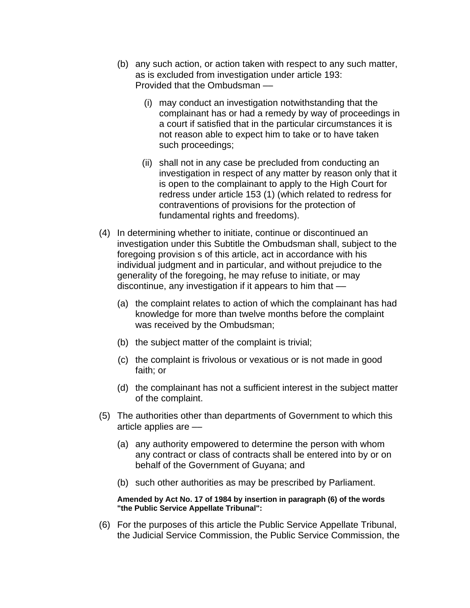- (b) any such action, or action taken with respect to any such matter, as is excluded from investigation under article 193: Provided that the Ombudsman ––
	- (i) may conduct an investigation notwithstanding that the complainant has or had a remedy by way of proceedings in a court if satisfied that in the particular circumstances it is not reason able to expect him to take or to have taken such proceedings;
	- (ii) shall not in any case be precluded from conducting an investigation in respect of any matter by reason only that it is open to the complainant to apply to the High Court for redress under article 153 (1) (which related to redress for contraventions of provisions for the protection of fundamental rights and freedoms).
- (4) In determining whether to initiate, continue or discontinued an investigation under this Subtitle the Ombudsman shall, subject to the foregoing provision s of this article, act in accordance with his individual judgment and in particular, and without prejudice to the generality of the foregoing, he may refuse to initiate, or may discontinue, any investigation if it appears to him that ––
	- (a) the complaint relates to action of which the complainant has had knowledge for more than twelve months before the complaint was received by the Ombudsman;
	- (b) the subject matter of the complaint is trivial;
	- (c) the complaint is frivolous or vexatious or is not made in good faith; or
	- (d) the complainant has not a sufficient interest in the subject matter of the complaint.
- (5) The authorities other than departments of Government to which this article applies are ––
	- (a) any authority empowered to determine the person with whom any contract or class of contracts shall be entered into by or on behalf of the Government of Guyana; and
	- (b) such other authorities as may be prescribed by Parliament.

**Amended by Act No. 17 of 1984 by insertion in paragraph (6) of the words "the Public Service Appellate Tribunal":** 

(6) For the purposes of this article the Public Service Appellate Tribunal, the Judicial Service Commission, the Public Service Commission, the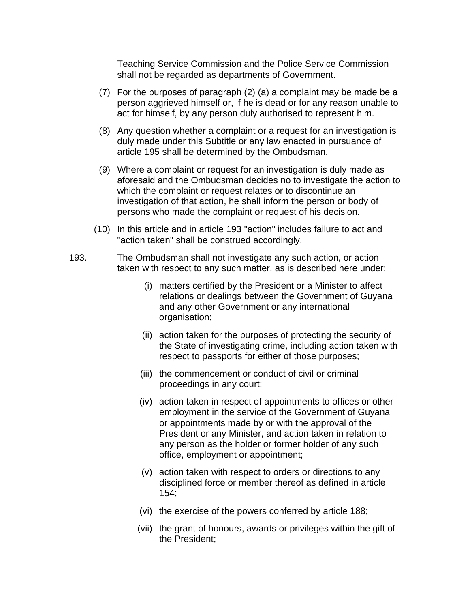Teaching Service Commission and the Police Service Commission shall not be regarded as departments of Government.

- (7) For the purposes of paragraph (2) (a) a complaint may be made be a person aggrieved himself or, if he is dead or for any reason unable to act for himself, by any person duly authorised to represent him.
- (8) Any question whether a complaint or a request for an investigation is duly made under this Subtitle or any law enacted in pursuance of article 195 shall be determined by the Ombudsman.
- (9) Where a complaint or request for an investigation is duly made as aforesaid and the Ombudsman decides no to investigate the action to which the complaint or request relates or to discontinue an investigation of that action, he shall inform the person or body of persons who made the complaint or request of his decision.
- (10) In this article and in article 193 "action" includes failure to act and "action taken" shall be construed accordingly.
- 193. The Ombudsman shall not investigate any such action, or action taken with respect to any such matter, as is described here under:
	- (i) matters certified by the President or a Minister to affect relations or dealings between the Government of Guyana and any other Government or any international organisation;
	- (ii) action taken for the purposes of protecting the security of the State of investigating crime, including action taken with respect to passports for either of those purposes;
	- (iii) the commencement or conduct of civil or criminal proceedings in any court;
	- (iv) action taken in respect of appointments to offices or other employment in the service of the Government of Guyana or appointments made by or with the approval of the President or any Minister, and action taken in relation to any person as the holder or former holder of any such office, employment or appointment;
	- (v) action taken with respect to orders or directions to any disciplined force or member thereof as defined in article 154;
	- (vi) the exercise of the powers conferred by article 188;
	- (vii) the grant of honours, awards or privileges within the gift of the President;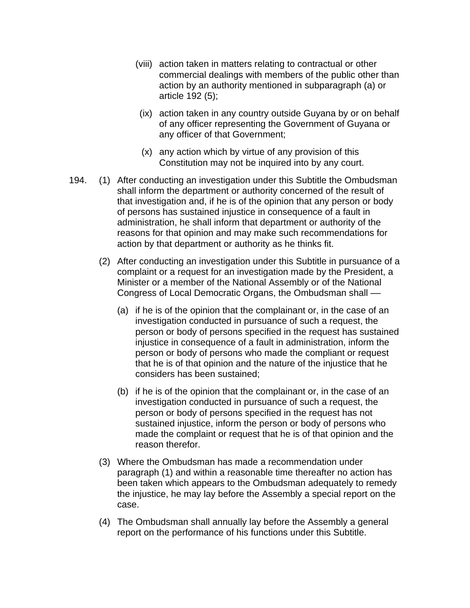- (viii) action taken in matters relating to contractual or other commercial dealings with members of the public other than action by an authority mentioned in subparagraph (a) or article 192 (5);
- (ix) action taken in any country outside Guyana by or on behalf of any officer representing the Government of Guyana or any officer of that Government;
- (x) any action which by virtue of any provision of this Constitution may not be inquired into by any court.
- 194. (1) After conducting an investigation under this Subtitle the Ombudsman shall inform the department or authority concerned of the result of that investigation and, if he is of the opinion that any person or body of persons has sustained injustice in consequence of a fault in administration, he shall inform that department or authority of the reasons for that opinion and may make such recommendations for action by that department or authority as he thinks fit.
	- (2) After conducting an investigation under this Subtitle in pursuance of a complaint or a request for an investigation made by the President, a Minister or a member of the National Assembly or of the National Congress of Local Democratic Organs, the Ombudsman shall ––
		- (a) if he is of the opinion that the complainant or, in the case of an investigation conducted in pursuance of such a request, the person or body of persons specified in the request has sustained injustice in consequence of a fault in administration, inform the person or body of persons who made the compliant or request that he is of that opinion and the nature of the injustice that he considers has been sustained;
		- (b) if he is of the opinion that the complainant or, in the case of an investigation conducted in pursuance of such a request, the person or body of persons specified in the request has not sustained injustice, inform the person or body of persons who made the complaint or request that he is of that opinion and the reason therefor.
	- (3) Where the Ombudsman has made a recommendation under paragraph (1) and within a reasonable time thereafter no action has been taken which appears to the Ombudsman adequately to remedy the injustice, he may lay before the Assembly a special report on the case.
	- (4) The Ombudsman shall annually lay before the Assembly a general report on the performance of his functions under this Subtitle.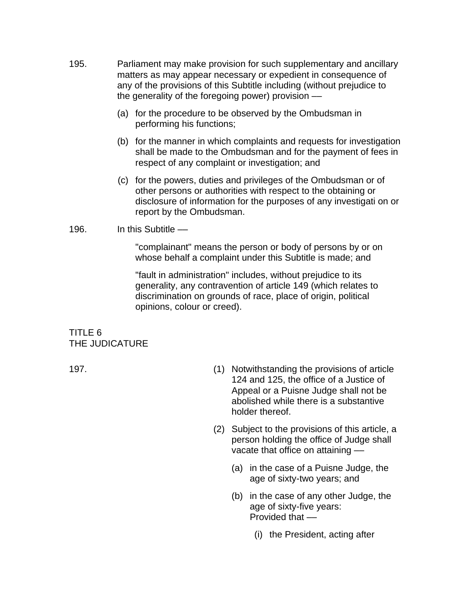- 195. Parliament may make provision for such supplementary and ancillary matters as may appear necessary or expedient in consequence of any of the provisions of this Subtitle including (without prejudice to the generality of the foregoing power) provision ––
	- (a) for the procedure to be observed by the Ombudsman in performing his functions;
	- (b) for the manner in which complaints and requests for investigation shall be made to the Ombudsman and for the payment of fees in respect of any complaint or investigation; and
	- (c) for the powers, duties and privileges of the Ombudsman or of other persons or authorities with respect to the obtaining or disclosure of information for the purposes of any investigati on or report by the Ombudsman.

### 196. In this Subtitle ––

"complainant" means the person or body of persons by or on whose behalf a complaint under this Subtitle is made; and

"fault in administration" includes, without prejudice to its generality, any contravention of article 149 (which relates to discrimination on grounds of race, place of origin, political opinions, colour or creed).

### TITLE 6 THE JUDICATURE

- 197. (1) Notwithstanding the provisions of article 124 and 125, the office of a Justice of Appeal or a Puisne Judge shall not be abolished while there is a substantive holder thereof.
	- (2) Subject to the provisions of this article, a person holding the office of Judge shall vacate that office on attaining ––
		- (a) in the case of a Puisne Judge, the age of sixty-two years; and
		- (b) in the case of any other Judge, the age of sixty-five years: Provided that ––
			- (i) the President, acting after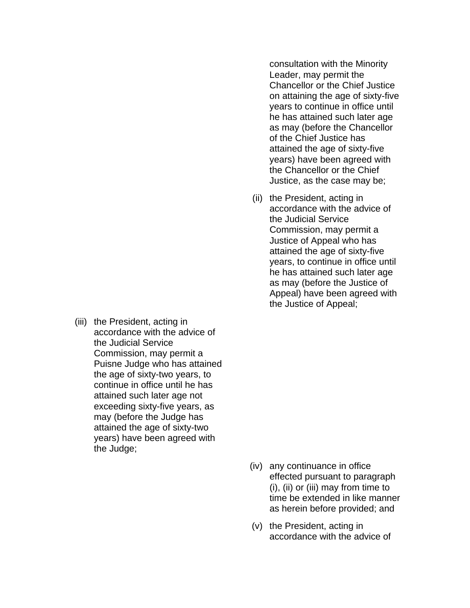(iii) the President, acting in accordance with the advice of the Judicial Service Commission, may permit a Puisne Judge who has attained the age of sixty-two years, to continue in office until he has attained such later age not exceeding sixty-five years, as may (before the Judge has attained the age of sixty-two years) have been agreed with the Judge;

- consultation with the Minority Leader, may permit the Chancellor or the Chief Justice on attaining the age of sixty-five years to continue in office until he has attained such later age as may (before the Chancellor of the Chief Justice has attained the age of sixty-five years) have been agreed with the Chancellor or the Chief Justice, as the case may be;
- (ii) the President, acting in accordance with the advice of the Judicial Service Commission, may permit a Justice of Appeal who has attained the age of sixty-five years, to continue in office until he has attained such later age as may (before the Justice of Appeal) have been agreed with the Justice of Appeal;

- (iv) any continuance in office effected pursuant to paragraph (i), (ii) or (iii) may from time to time be extended in like manner as herein before provided; and
- (v) the President, acting in accordance with the advice of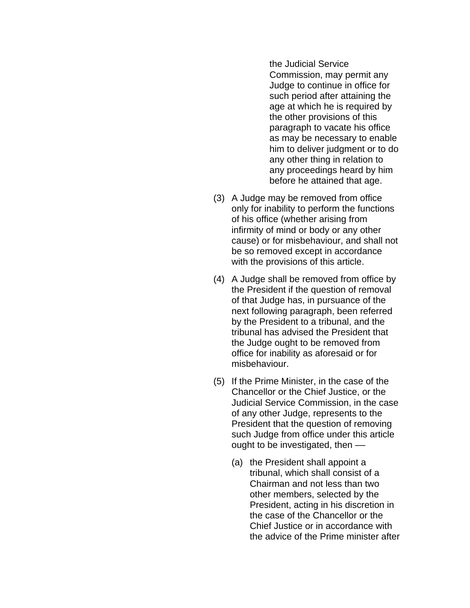the Judicial Service Commission, may permit any Judge to continue in office for such period after attaining the age at which he is required by the other provisions of this paragraph to vacate his office as may be necessary to enable him to deliver judgment or to do any other thing in relation to any proceedings heard by him before he attained that age.

- (3) A Judge may be removed from office only for inability to perform the functions of his office (whether arising from infirmity of mind or body or any other cause) or for misbehaviour, and shall not be so removed except in accordance with the provisions of this article.
- (4) A Judge shall be removed from office by the President if the question of removal of that Judge has, in pursuance of the next following paragraph, been referred by the President to a tribunal, and the tribunal has advised the President that the Judge ought to be removed from office for inability as aforesaid or for misbehaviour.
- (5) If the Prime Minister, in the case of the Chancellor or the Chief Justice, or the Judicial Service Commission, in the case of any other Judge, represents to the President that the question of removing such Judge from office under this article ought to be investigated, then ––
	- (a) the President shall appoint a tribunal, which shall consist of a Chairman and not less than two other members, selected by the President, acting in his discretion in the case of the Chancellor or the Chief Justice or in accordance with the advice of the Prime minister after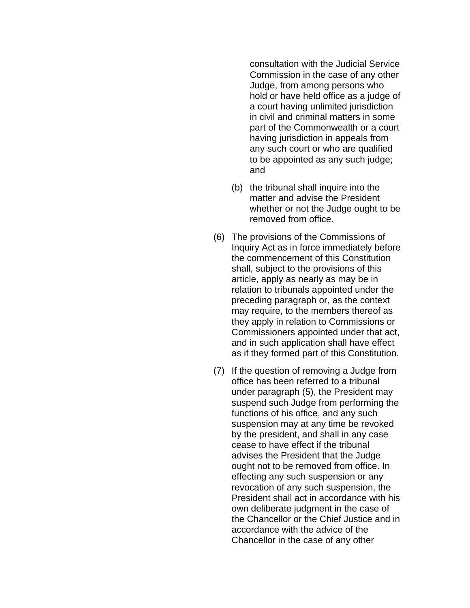consultation with the Judicial Service Commission in the case of any other Judge, from among persons who hold or have held office as a judge of a court having unlimited jurisdiction in civil and criminal matters in some part of the Commonwealth or a court having jurisdiction in appeals from any such court or who are qualified to be appointed as any such judge; and

- (b) the tribunal shall inquire into the matter and advise the President whether or not the Judge ought to be removed from office.
- (6) The provisions of the Commissions of Inquiry Act as in force immediately before the commencement of this Constitution shall, subject to the provisions of this article, apply as nearly as may be in relation to tribunals appointed under the preceding paragraph or, as the context may require, to the members thereof as they apply in relation to Commissions or Commissioners appointed under that act, and in such application shall have effect as if they formed part of this Constitution.
- (7) If the question of removing a Judge from office has been referred to a tribunal under paragraph (5), the President may suspend such Judge from performing the functions of his office, and any such suspension may at any time be revoked by the president, and shall in any case cease to have effect if the tribunal advises the President that the Judge ought not to be removed from office. In effecting any such suspension or any revocation of any such suspension, the President shall act in accordance with his own deliberate judgment in the case of the Chancellor or the Chief Justice and in accordance with the advice of the Chancellor in the case of any other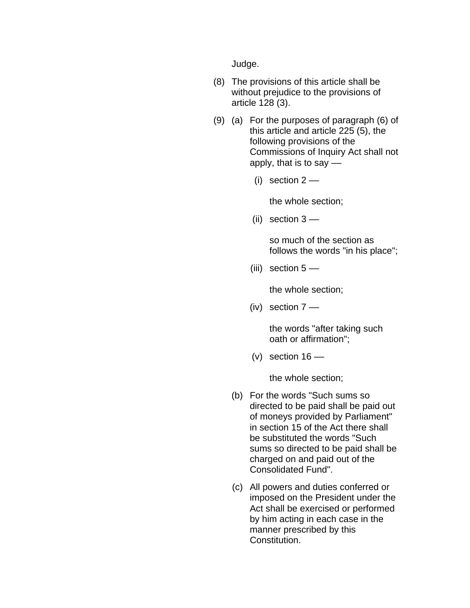Judge.

- (8) The provisions of this article shall be without prejudice to the provisions of article 128 (3).
- (9) (a) For the purposes of paragraph (6) of this article and article 225 (5), the following provisions of the Commissions of Inquiry Act shall not apply, that is to say ––
	- (i) section  $2 -$

the whole section;

(ii) section  $3 -$ 

so much of the section as follows the words "in his place";

(iii) section  $5 -$ 

the whole section;

(iv) section  $7 -$ 

the words "after taking such oath or affirmation";

(v) section  $16 -$ 

the whole section;

- (b) For the words "Such sums so directed to be paid shall be paid out of moneys provided by Parliament" in section 15 of the Act there shall be substituted the words "Such sums so directed to be paid shall be charged on and paid out of the Consolidated Fund".
- (c) All powers and duties conferred or imposed on the President under the Act shall be exercised or performed by him acting in each case in the manner prescribed by this Constitution.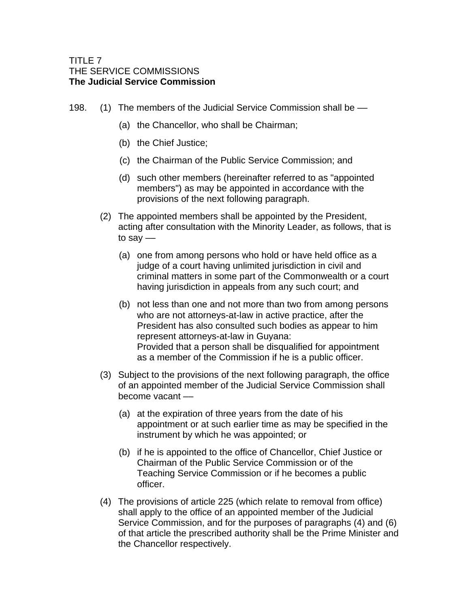# **The Judicial Service Commission** TITLE 7 THE SERVICE COMMISSIONS

- 198. (1) The members of the Judicial Service Commission shall be ––
	- (a) the Chancellor, who shall be Chairman;
	- (b) the Chief Justice;
	- (c) the Chairman of the Public Service Commission; and
	- (d) such other members (hereinafter referred to as "appointed members") as may be appointed in accordance with the provisions of the next following paragraph.
	- (2) The appointed members shall be appointed by the President, acting after consultation with the Minority Leader, as follows, that is to say ––
		- (a) one from among persons who hold or have held office as a judge of a court having unlimited jurisdiction in civil and criminal matters in some part of the Commonwealth or a court having jurisdiction in appeals from any such court; and
		- (b) not less than one and not more than two from among persons who are not attorneys-at-law in active practice, after the President has also consulted such bodies as appear to him represent attorneys-at-law in Guyana: Provided that a person shall be disqualified for appointment as a member of the Commission if he is a public officer.
	- (3) Subject to the provisions of the next following paragraph, the office of an appointed member of the Judicial Service Commission shall become vacant ––
		- (a) at the expiration of three years from the date of his appointment or at such earlier time as may be specified in the instrument by which he was appointed; or
		- (b) if he is appointed to the office of Chancellor, Chief Justice or Chairman of the Public Service Commission or of the Teaching Service Commission or if he becomes a public officer.
	- (4) The provisions of article 225 (which relate to removal from office) shall apply to the office of an appointed member of the Judicial Service Commission, and for the purposes of paragraphs (4) and (6) of that article the prescribed authority shall be the Prime Minister and the Chancellor respectively.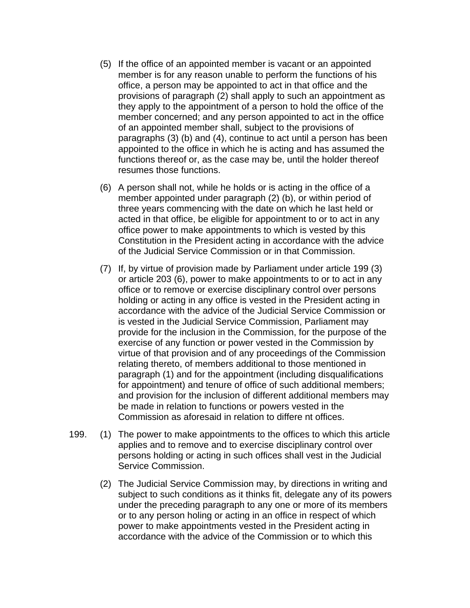- (5) If the office of an appointed member is vacant or an appointed member is for any reason unable to perform the functions of his office, a person may be appointed to act in that office and the provisions of paragraph (2) shall apply to such an appointment as they apply to the appointment of a person to hold the office of the member concerned; and any person appointed to act in the office of an appointed member shall, subject to the provisions of paragraphs (3) (b) and (4), continue to act until a person has been appointed to the office in which he is acting and has assumed the functions thereof or, as the case may be, until the holder thereof resumes those functions.
- (6) A person shall not, while he holds or is acting in the office of a member appointed under paragraph (2) (b), or within period of three years commencing with the date on which he last held or acted in that office, be eligible for appointment to or to act in any office power to make appointments to which is vested by this Constitution in the President acting in accordance with the advice of the Judicial Service Commission or in that Commission.
- (7) If, by virtue of provision made by Parliament under article 199 (3) or article 203 (6), power to make appointments to or to act in any office or to remove or exercise disciplinary control over persons holding or acting in any office is vested in the President acting in accordance with the advice of the Judicial Service Commission or is vested in the Judicial Service Commission, Parliament may provide for the inclusion in the Commission, for the purpose of the exercise of any function or power vested in the Commission by virtue of that provision and of any proceedings of the Commission relating thereto, of members additional to those mentioned in paragraph (1) and for the appointment (including disqualifications for appointment) and tenure of office of such additional members; and provision for the inclusion of different additional members may be made in relation to functions or powers vested in the Commission as aforesaid in relation to differe nt offices.
- 199. (1) The power to make appointments to the offices to which this article applies and to remove and to exercise disciplinary control over persons holding or acting in such offices shall vest in the Judicial Service Commission.
	- (2) The Judicial Service Commission may, by directions in writing and subject to such conditions as it thinks fit, delegate any of its powers under the preceding paragraph to any one or more of its members or to any person holing or acting in an office in respect of which power to make appointments vested in the President acting in accordance with the advice of the Commission or to which this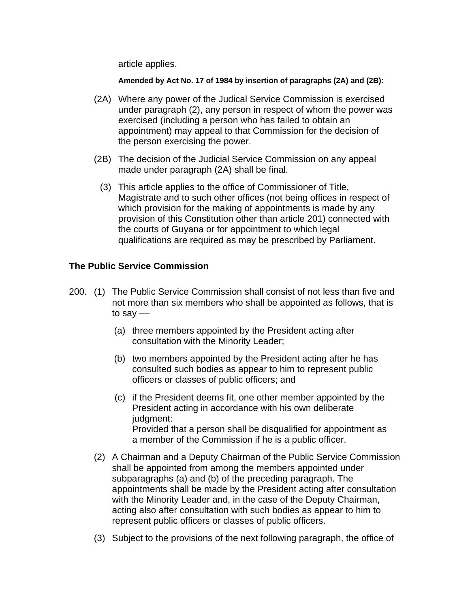article applies.

#### **Amended by Act No. 17 of 1984 by insertion of paragraphs (2A) and (2B):**

- (2A) Where any power of the Judical Service Commission is exercised under paragraph (2), any person in respect of whom the power was exercised (including a person who has failed to obtain an appointment) may appeal to that Commission for the decision of the person exercising the power.
- (2B) The decision of the Judicial Service Commission on any appeal made under paragraph (2A) shall be final.
	- (3) This article applies to the office of Commissioner of Title, Magistrate and to such other offices (not being offices in respect of which provision for the making of appointments is made by any provision of this Constitution other than article 201) connected with the courts of Guyana or for appointment to which legal qualifications are required as may be prescribed by Parliament.

### **The Public Service Commission**

- 200. (1) The Public Service Commission shall consist of not less than five and not more than six members who shall be appointed as follows, that is to say ––
	- (a) three members appointed by the President acting after consultation with the Minority Leader;
	- (b) two members appointed by the President acting after he has consulted such bodies as appear to him to represent public officers or classes of public officers; and
	- (c) if the President deems fit, one other member appointed by the President acting in accordance with his own deliberate judgment: Provided that a person shall be disqualified for appointment as a member of the Commission if he is a public officer.
	- (2) A Chairman and a Deputy Chairman of the Public Service Commission shall be appointed from among the members appointed under subparagraphs (a) and (b) of the preceding paragraph. The appointments shall be made by the President acting after consultation with the Minority Leader and, in the case of the Deputy Chairman, acting also after consultation with such bodies as appear to him to represent public officers or classes of public officers.
	- (3) Subject to the provisions of the next following paragraph, the office of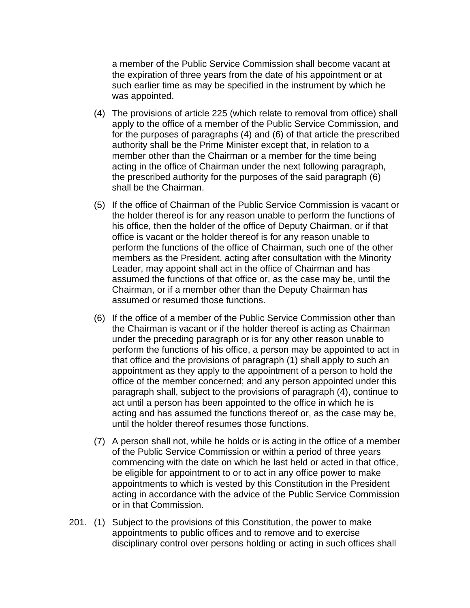a member of the Public Service Commission shall become vacant at the expiration of three years from the date of his appointment or at such earlier time as may be specified in the instrument by which he was appointed.

- (4) The provisions of article 225 (which relate to removal from office) shall apply to the office of a member of the Public Service Commission, and for the purposes of paragraphs (4) and (6) of that article the prescribed authority shall be the Prime Minister except that, in relation to a member other than the Chairman or a member for the time being acting in the office of Chairman under the next following paragraph, the prescribed authority for the purposes of the said paragraph (6) shall be the Chairman.
- (5) If the office of Chairman of the Public Service Commission is vacant or the holder thereof is for any reason unable to perform the functions of his office, then the holder of the office of Deputy Chairman, or if that office is vacant or the holder thereof is for any reason unable to perform the functions of the office of Chairman, such one of the other members as the President, acting after consultation with the Minority Leader, may appoint shall act in the office of Chairman and has assumed the functions of that office or, as the case may be, until the Chairman, or if a member other than the Deputy Chairman has assumed or resumed those functions.
- (6) If the office of a member of the Public Service Commission other than the Chairman is vacant or if the holder thereof is acting as Chairman under the preceding paragraph or is for any other reason unable to perform the functions of his office, a person may be appointed to act in that office and the provisions of paragraph (1) shall apply to such an appointment as they apply to the appointment of a person to hold the office of the member concerned; and any person appointed under this paragraph shall, subject to the provisions of paragraph (4), continue to act until a person has been appointed to the office in which he is acting and has assumed the functions thereof or, as the case may be, until the holder thereof resumes those functions.
- (7) A person shall not, while he holds or is acting in the office of a member of the Public Service Commission or within a period of three years commencing with the date on which he last held or acted in that office, be eligible for appointment to or to act in any office power to make appointments to which is vested by this Constitution in the President acting in accordance with the advice of the Public Service Commission or in that Commission.
- 201. (1) Subject to the provisions of this Constitution, the power to make appointments to public offices and to remove and to exercise disciplinary control over persons holding or acting in such offices shall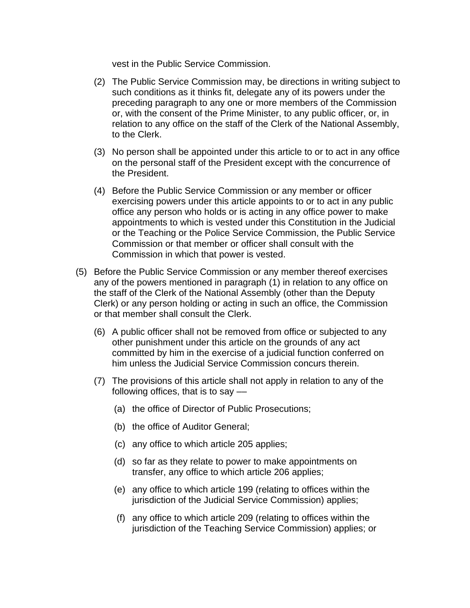vest in the Public Service Commission.

- (2) The Public Service Commission may, be directions in writing subject to such conditions as it thinks fit, delegate any of its powers under the preceding paragraph to any one or more members of the Commission or, with the consent of the Prime Minister, to any public officer, or, in relation to any office on the staff of the Clerk of the National Assembly, to the Clerk.
- (3) No person shall be appointed under this article to or to act in any office on the personal staff of the President except with the concurrence of the President.
- (4) Before the Public Service Commission or any member or officer exercising powers under this article appoints to or to act in any public office any person who holds or is acting in any office power to make appointments to which is vested under this Constitution in the Judicial or the Teaching or the Police Service Commission, the Public Service Commission or that member or officer shall consult with the Commission in which that power is vested.
- (5) Before the Public Service Commission or any member thereof exercises any of the powers mentioned in paragraph (1) in relation to any office on the staff of the Clerk of the National Assembly (other than the Deputy Clerk) or any person holding or acting in such an office, the Commission or that member shall consult the Clerk.
	- (6) A public officer shall not be removed from office or subjected to any other punishment under this article on the grounds of any act committed by him in the exercise of a judicial function conferred on him unless the Judicial Service Commission concurs therein.
	- (7) The provisions of this article shall not apply in relation to any of the following offices, that is to say ––
		- (a) the office of Director of Public Prosecutions;
		- (b) the office of Auditor General;
		- (c) any office to which article 205 applies;
		- (d) so far as they relate to power to make appointments on transfer, any office to which article 206 applies;
		- (e) any office to which article 199 (relating to offices within the jurisdiction of the Judicial Service Commission) applies;
		- (f) any office to which article 209 (relating to offices within the jurisdiction of the Teaching Service Commission) applies; or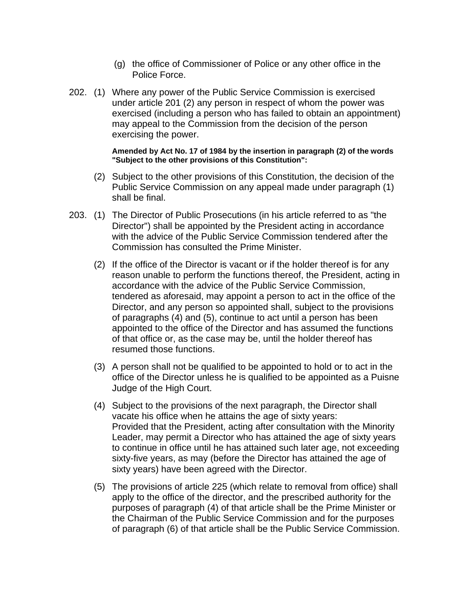- (g) the office of Commissioner of Police or any other office in the Police Force.
- 202. (1) Where any power of the Public Service Commission is exercised under article 201 (2) any person in respect of whom the power was exercised (including a person who has failed to obtain an appointment) may appeal to the Commission from the decision of the person exercising the power.

#### **Amended by Act No. 17 of 1984 by the insertion in paragraph (2) of the words "Subject to the other provisions of this Constitution":**

- (2) Subject to the other provisions of this Constitution, the decision of the Public Service Commission on any appeal made under paragraph (1) shall be final.
- 203. (1) The Director of Public Prosecutions (in his article referred to as "the Director") shall be appointed by the President acting in accordance with the advice of the Public Service Commission tendered after the Commission has consulted the Prime Minister.
	- (2) If the office of the Director is vacant or if the holder thereof is for any reason unable to perform the functions thereof, the President, acting in accordance with the advice of the Public Service Commission, tendered as aforesaid, may appoint a person to act in the office of the Director, and any person so appointed shall, subject to the provisions of paragraphs (4) and (5), continue to act until a person has been appointed to the office of the Director and has assumed the functions of that office or, as the case may be, until the holder thereof has resumed those functions.
	- (3) A person shall not be qualified to be appointed to hold or to act in the office of the Director unless he is qualified to be appointed as a Puisne Judge of the High Court.
	- (4) Subject to the provisions of the next paragraph, the Director shall vacate his office when he attains the age of sixty years: Provided that the President, acting after consultation with the Minority Leader, may permit a Director who has attained the age of sixty years to continue in office until he has attained such later age, not exceeding sixty-five years, as may (before the Director has attained the age of sixty years) have been agreed with the Director.
	- (5) The provisions of article 225 (which relate to removal from office) shall apply to the office of the director, and the prescribed authority for the purposes of paragraph (4) of that article shall be the Prime Minister or the Chairman of the Public Service Commission and for the purposes of paragraph (6) of that article shall be the Public Service Commission.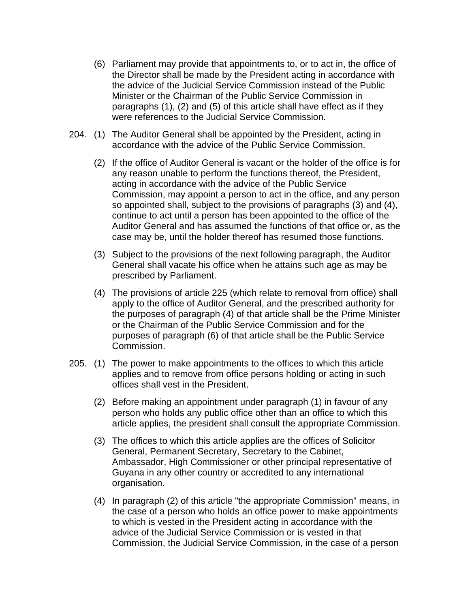- (6) Parliament may provide that appointments to, or to act in, the office of the Director shall be made by the President acting in accordance with the advice of the Judicial Service Commission instead of the Public Minister or the Chairman of the Public Service Commission in paragraphs (1), (2) and (5) of this article shall have effect as if they were references to the Judicial Service Commission.
- 204. (1) The Auditor General shall be appointed by the President, acting in accordance with the advice of the Public Service Commission.
	- (2) If the office of Auditor General is vacant or the holder of the office is for any reason unable to perform the functions thereof, the President, acting in accordance with the advice of the Public Service Commission, may appoint a person to act in the office, and any person so appointed shall, subject to the provisions of paragraphs (3) and (4), continue to act until a person has been appointed to the office of the Auditor General and has assumed the functions of that office or, as the case may be, until the holder thereof has resumed those functions.
	- (3) Subject to the provisions of the next following paragraph, the Auditor General shall vacate his office when he attains such age as may be prescribed by Parliament.
	- (4) The provisions of article 225 (which relate to removal from office) shall apply to the office of Auditor General, and the prescribed authority for the purposes of paragraph (4) of that article shall be the Prime Minister or the Chairman of the Public Service Commission and for the purposes of paragraph (6) of that article shall be the Public Service Commission.
- 205. (1) The power to make appointments to the offices to which this article applies and to remove from office persons holding or acting in such offices shall vest in the President.
	- (2) Before making an appointment under paragraph (1) in favour of any person who holds any public office other than an office to which this article applies, the president shall consult the appropriate Commission.
	- (3) The offices to which this article applies are the offices of Solicitor General, Permanent Secretary, Secretary to the Cabinet, Ambassador, High Commissioner or other principal representative of Guyana in any other country or accredited to any international organisation.
	- (4) In paragraph (2) of this article "the appropriate Commission" means, in the case of a person who holds an office power to make appointments to which is vested in the President acting in accordance with the advice of the Judicial Service Commission or is vested in that Commission, the Judicial Service Commission, in the case of a person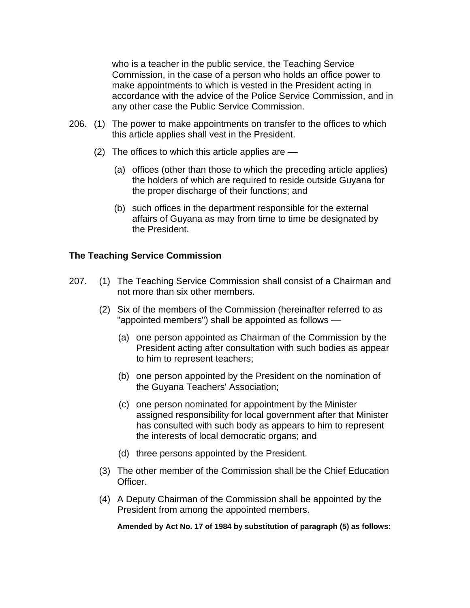who is a teacher in the public service, the Teaching Service Commission, in the case of a person who holds an office power to make appointments to which is vested in the President acting in accordance with the advice of the Police Service Commission, and in any other case the Public Service Commission.

- 206. (1) The power to make appointments on transfer to the offices to which this article applies shall vest in the President.
	- (2) The offices to which this article applies are  $-$ 
		- (a) offices (other than those to which the preceding article applies) the holders of which are required to reside outside Guyana for the proper discharge of their functions; and
		- (b) such offices in the department responsible for the external affairs of Guyana as may from time to time be designated by the President.

### **The Teaching Service Commission**

- 207. (1) The Teaching Service Commission shall consist of a Chairman and not more than six other members.
	- (2) Six of the members of the Commission (hereinafter referred to as "appointed members") shall be appointed as follows ––
		- (a) one person appointed as Chairman of the Commission by the President acting after consultation with such bodies as appear to him to represent teachers;
		- (b) one person appointed by the President on the nomination of the Guyana Teachers' Association;
		- (c) one person nominated for appointment by the Minister assigned responsibility for local government after that Minister has consulted with such body as appears to him to represent the interests of local democratic organs; and
		- (d) three persons appointed by the President.
	- (3) The other member of the Commission shall be the Chief Education Officer.
	- (4) A Deputy Chairman of the Commission shall be appointed by the President from among the appointed members.

**Amended by Act No. 17 of 1984 by substitution of paragraph (5) as follows:**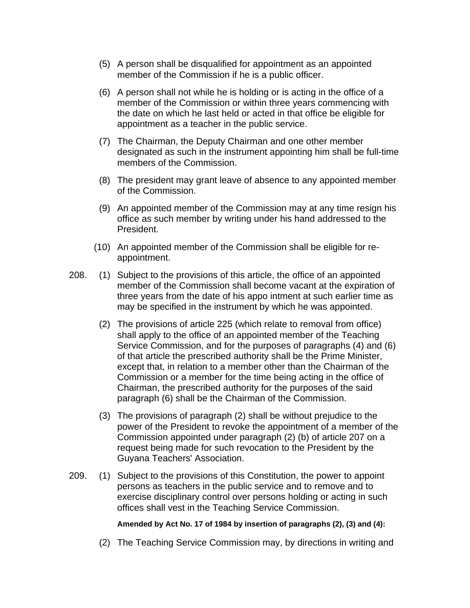- (5) A person shall be disqualified for appointment as an appointed member of the Commission if he is a public officer.
- (6) A person shall not while he is holding or is acting in the office of a member of the Commission or within three years commencing with the date on which he last held or acted in that office be eligible for appointment as a teacher in the public service.
- (7) The Chairman, the Deputy Chairman and one other member designated as such in the instrument appointing him shall be full-time members of the Commission.
- (8) The president may grant leave of absence to any appointed member of the Commission.
- (9) An appointed member of the Commission may at any time resign his office as such member by writing under his hand addressed to the President.
- (10) An appointed member of the Commission shall be eligible for reappointment.
- 208. (1) Subject to the provisions of this article, the office of an appointed member of the Commission shall become vacant at the expiration of three years from the date of his appo intment at such earlier time as may be specified in the instrument by which he was appointed.
	- (2) The provisions of article 225 (which relate to removal from office) shall apply to the office of an appointed member of the Teaching Service Commission, and for the purposes of paragraphs (4) and (6) of that article the prescribed authority shall be the Prime Minister, except that, in relation to a member other than the Chairman of the Commission or a member for the time being acting in the office of Chairman, the prescribed authority for the purposes of the said paragraph (6) shall be the Chairman of the Commission.
	- (3) The provisions of paragraph (2) shall be without prejudice to the power of the President to revoke the appointment of a member of the Commission appointed under paragraph (2) (b) of article 207 on a request being made for such revocation to the President by the Guyana Teachers' Association.
- 209. (1) Subject to the provisions of this Constitution, the power to appoint persons as teachers in the public service and to remove and to exercise disciplinary control over persons holding or acting in such offices shall vest in the Teaching Service Commission.

#### **Amended by Act No. 17 of 1984 by insertion of paragraphs (2), (3) and (4):**

(2) The Teaching Service Commission may, by directions in writing and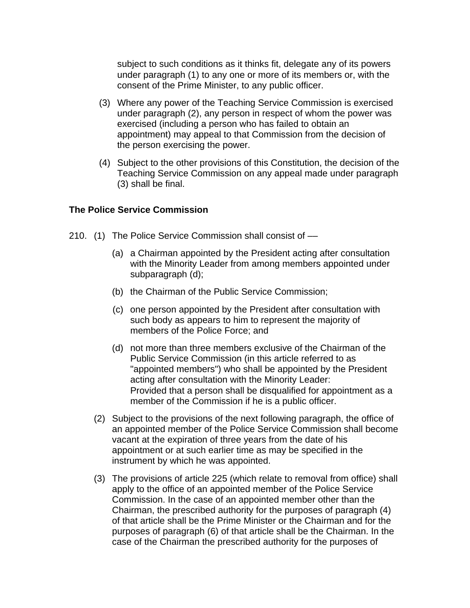subject to such conditions as it thinks fit, delegate any of its powers under paragraph (1) to any one or more of its members or, with the consent of the Prime Minister, to any public officer.

- (3) Where any power of the Teaching Service Commission is exercised under paragraph (2), any person in respect of whom the power was exercised (including a person who has failed to obtain an appointment) may appeal to that Commission from the decision of the person exercising the power.
- (4) Subject to the other provisions of this Constitution, the decision of the Teaching Service Commission on any appeal made under paragraph (3) shall be final.

#### **The Police Service Commission**

- 210. (1) The Police Service Commission shall consist of -
	- (a) a Chairman appointed by the President acting after consultation with the Minority Leader from among members appointed under subparagraph (d);
	- (b) the Chairman of the Public Service Commission;
	- (c) one person appointed by the President after consultation with such body as appears to him to represent the majority of members of the Police Force; and
	- (d) not more than three members exclusive of the Chairman of the Public Service Commission (in this article referred to as "appointed members") who shall be appointed by the President acting after consultation with the Minority Leader: Provided that a person shall be disqualified for appointment as a member of the Commission if he is a public officer.
	- (2) Subject to the provisions of the next following paragraph, the office of an appointed member of the Police Service Commission shall become vacant at the expiration of three years from the date of his appointment or at such earlier time as may be specified in the instrument by which he was appointed.
	- (3) The provisions of article 225 (which relate to removal from office) shall apply to the office of an appointed member of the Police Service Commission. In the case of an appointed member other than the Chairman, the prescribed authority for the purposes of paragraph (4) of that article shall be the Prime Minister or the Chairman and for the purposes of paragraph (6) of that article shall be the Chairman. In the case of the Chairman the prescribed authority for the purposes of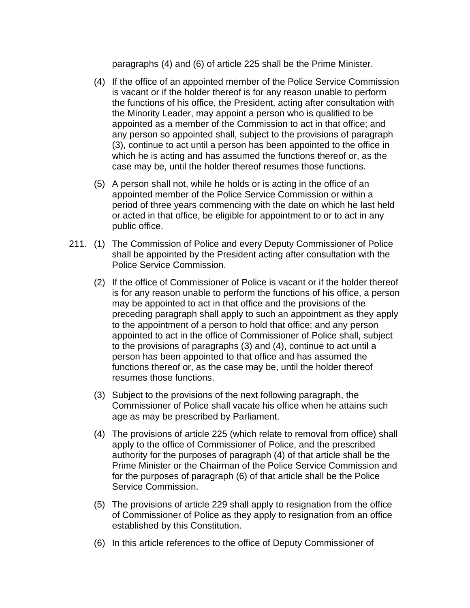paragraphs (4) and (6) of article 225 shall be the Prime Minister.

- (4) If the office of an appointed member of the Police Service Commission is vacant or if the holder thereof is for any reason unable to perform the functions of his office, the President, acting after consultation with the Minority Leader, may appoint a person who is qualified to be appointed as a member of the Commission to act in that office; and any person so appointed shall, subject to the provisions of paragraph (3), continue to act until a person has been appointed to the office in which he is acting and has assumed the functions thereof or, as the case may be, until the holder thereof resumes those functions.
- (5) A person shall not, while he holds or is acting in the office of an appointed member of the Police Service Commission or within a period of three years commencing with the date on which he last held or acted in that office, be eligible for appointment to or to act in any public office.
- 211. (1) The Commission of Police and every Deputy Commissioner of Police shall be appointed by the President acting after consultation with the Police Service Commission.
	- (2) If the office of Commissioner of Police is vacant or if the holder thereof is for any reason unable to perform the functions of his office, a person may be appointed to act in that office and the provisions of the preceding paragraph shall apply to such an appointment as they apply to the appointment of a person to hold that office; and any person appointed to act in the office of Commissioner of Police shall, subject to the provisions of paragraphs (3) and (4), continue to act until a person has been appointed to that office and has assumed the functions thereof or, as the case may be, until the holder thereof resumes those functions.
	- (3) Subject to the provisions of the next following paragraph, the Commissioner of Police shall vacate his office when he attains such age as may be prescribed by Parliament.
	- (4) The provisions of article 225 (which relate to removal from office) shall apply to the office of Commissioner of Police, and the prescribed authority for the purposes of paragraph (4) of that article shall be the Prime Minister or the Chairman of the Police Service Commission and for the purposes of paragraph (6) of that article shall be the Police Service Commission.
	- (5) The provisions of article 229 shall apply to resignation from the office of Commissioner of Police as they apply to resignation from an office established by this Constitution.
	- (6) In this article references to the office of Deputy Commissioner of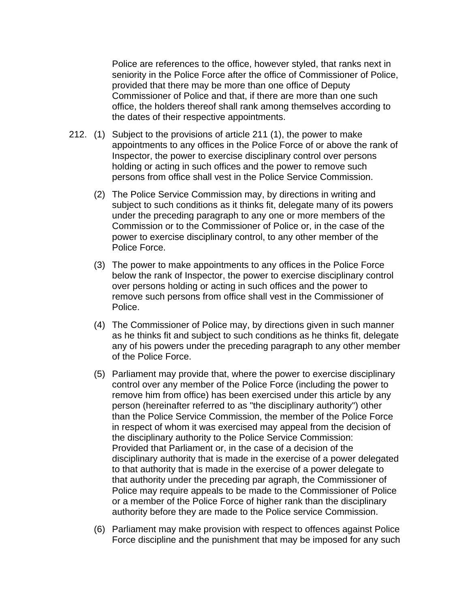Police are references to the office, however styled, that ranks next in seniority in the Police Force after the office of Commissioner of Police, provided that there may be more than one office of Deputy Commissioner of Police and that, if there are more than one such office, the holders thereof shall rank among themselves according to the dates of their respective appointments.

- 212. (1) Subject to the provisions of article 211 (1), the power to make appointments to any offices in the Police Force of or above the rank of Inspector, the power to exercise disciplinary control over persons holding or acting in such offices and the power to remove such persons from office shall vest in the Police Service Commission.
	- (2) The Police Service Commission may, by directions in writing and subject to such conditions as it thinks fit, delegate many of its powers under the preceding paragraph to any one or more members of the Commission or to the Commissioner of Police or, in the case of the power to exercise disciplinary control, to any other member of the Police Force.
	- (3) The power to make appointments to any offices in the Police Force below the rank of Inspector, the power to exercise disciplinary control over persons holding or acting in such offices and the power to remove such persons from office shall vest in the Commissioner of Police.
	- (4) The Commissioner of Police may, by directions given in such manner as he thinks fit and subject to such conditions as he thinks fit, delegate any of his powers under the preceding paragraph to any other member of the Police Force.
	- (5) Parliament may provide that, where the power to exercise disciplinary control over any member of the Police Force (including the power to remove him from office) has been exercised under this article by any person (hereinafter referred to as "the disciplinary authority") other than the Police Service Commission, the member of the Police Force in respect of whom it was exercised may appeal from the decision of the disciplinary authority to the Police Service Commission: Provided that Parliament or, in the case of a decision of the disciplinary authority that is made in the exercise of a power delegated to that authority that is made in the exercise of a power delegate to that authority under the preceding par agraph, the Commissioner of Police may require appeals to be made to the Commissioner of Police or a member of the Police Force of higher rank than the disciplinary authority before they are made to the Police service Commission.
	- (6) Parliament may make provision with respect to offences against Police Force discipline and the punishment that may be imposed for any such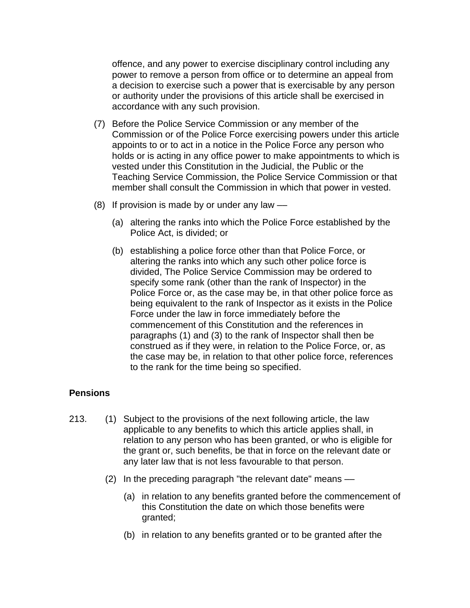offence, and any power to exercise disciplinary control including any power to remove a person from office or to determine an appeal from a decision to exercise such a power that is exercisable by any person or authority under the provisions of this article shall be exercised in accordance with any such provision.

- (7) Before the Police Service Commission or any member of the Commission or of the Police Force exercising powers under this article appoints to or to act in a notice in the Police Force any person who holds or is acting in any office power to make appointments to which is vested under this Constitution in the Judicial, the Public or the Teaching Service Commission, the Police Service Commission or that member shall consult the Commission in which that power in vested.
- $(8)$  If provision is made by or under any law  $-$ 
	- (a) altering the ranks into which the Police Force established by the Police Act, is divided; or
	- (b) establishing a police force other than that Police Force, or altering the ranks into which any such other police force is divided, The Police Service Commission may be ordered to specify some rank (other than the rank of Inspector) in the Police Force or, as the case may be, in that other police force as being equivalent to the rank of Inspector as it exists in the Police Force under the law in force immediately before the commencement of this Constitution and the references in paragraphs (1) and (3) to the rank of Inspector shall then be construed as if they were, in relation to the Police Force, or, as the case may be, in relation to that other police force, references to the rank for the time being so specified.

#### **Pensions**

- 213. (1) Subject to the provisions of the next following article, the law applicable to any benefits to which this article applies shall, in relation to any person who has been granted, or who is eligible for the grant or, such benefits, be that in force on the relevant date or any later law that is not less favourable to that person.
	- (2) In the preceding paragraph "the relevant date" means  $-$ 
		- (a) in relation to any benefits granted before the commencement of this Constitution the date on which those benefits were granted;
		- (b) in relation to any benefits granted or to be granted after the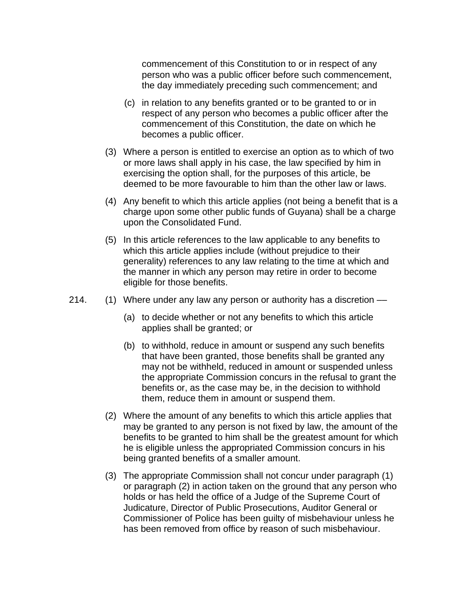commencement of this Constitution to or in respect of any person who was a public officer before such commencement, the day immediately preceding such commencement; and

- (c) in relation to any benefits granted or to be granted to or in respect of any person who becomes a public officer after the commencement of this Constitution, the date on which he becomes a public officer.
- (3) Where a person is entitled to exercise an option as to which of two or more laws shall apply in his case, the law specified by him in exercising the option shall, for the purposes of this article, be deemed to be more favourable to him than the other law or laws.
- (4) Any benefit to which this article applies (not being a benefit that is a charge upon some other public funds of Guyana) shall be a charge upon the Consolidated Fund.
- (5) In this article references to the law applicable to any benefits to which this article applies include (without prejudice to their generality) references to any law relating to the time at which and the manner in which any person may retire in order to become eligible for those benefits.
- 214. (1) Where under any law any person or authority has a discretion ––
	- (a) to decide whether or not any benefits to which this article applies shall be granted; or
	- (b) to withhold, reduce in amount or suspend any such benefits that have been granted, those benefits shall be granted any may not be withheld, reduced in amount or suspended unless the appropriate Commission concurs in the refusal to grant the benefits or, as the case may be, in the decision to withhold them, reduce them in amount or suspend them.
	- (2) Where the amount of any benefits to which this article applies that may be granted to any person is not fixed by law, the amount of the benefits to be granted to him shall be the greatest amount for which he is eligible unless the appropriated Commission concurs in his being granted benefits of a smaller amount.
	- (3) The appropriate Commission shall not concur under paragraph (1) or paragraph (2) in action taken on the ground that any person who holds or has held the office of a Judge of the Supreme Court of Judicature, Director of Public Prosecutions, Auditor General or Commissioner of Police has been guilty of misbehaviour unless he has been removed from office by reason of such misbehaviour.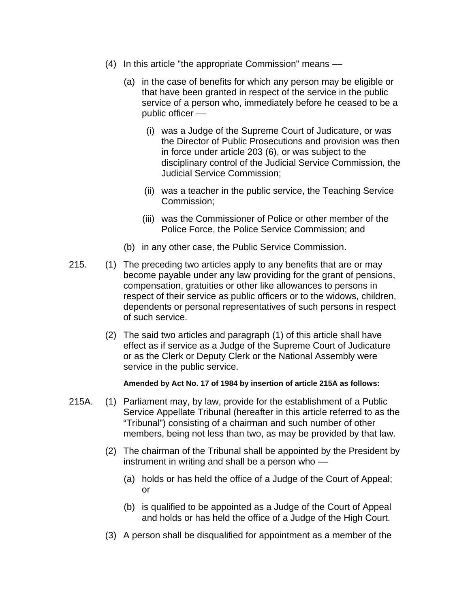- $(4)$  In this article "the appropriate Commission" means
	- (a) in the case of benefits for which any person may be eligible or that have been granted in respect of the service in the public service of a person who, immediately before he ceased to be a public officer ––
		- (i) was a Judge of the Supreme Court of Judicature, or was the Director of Public Prosecutions and provision was then in force under article 203 (6), or was subject to the disciplinary control of the Judicial Service Commission, the Judicial Service Commission;
		- (ii) was a teacher in the public service, the Teaching Service Commission;
		- (iii) was the Commissioner of Police or other member of the Police Force, the Police Service Commission; and
	- (b) in any other case, the Public Service Commission.
- 215. (1) The preceding two articles apply to any benefits that are or may become payable under any law providing for the grant of pensions, compensation, gratuities or other like allowances to persons in respect of their service as public officers or to the widows, children, dependents or personal representatives of such persons in respect of such service.
	- (2) The said two articles and paragraph (1) of this article shall have effect as if service as a Judge of the Supreme Court of Judicature or as the Clerk or Deputy Clerk or the National Assembly were service in the public service.

**Amended by Act No. 17 of 1984 by insertion of article 215A as follows:** 

- 215A. (1) Parliament may, by law, provide for the establishment of a Public Service Appellate Tribunal (hereafter in this article referred to as the "Tribunal") consisting of a chairman and such number of other members, being not less than two, as may be provided by that law.
	- (2) The chairman of the Tribunal shall be appointed by the President by instrument in writing and shall be a person who ––
		- (a) holds or has held the office of a Judge of the Court of Appeal; or
		- (b) is qualified to be appointed as a Judge of the Court of Appeal and holds or has held the office of a Judge of the High Court.
	- (3) A person shall be disqualified for appointment as a member of the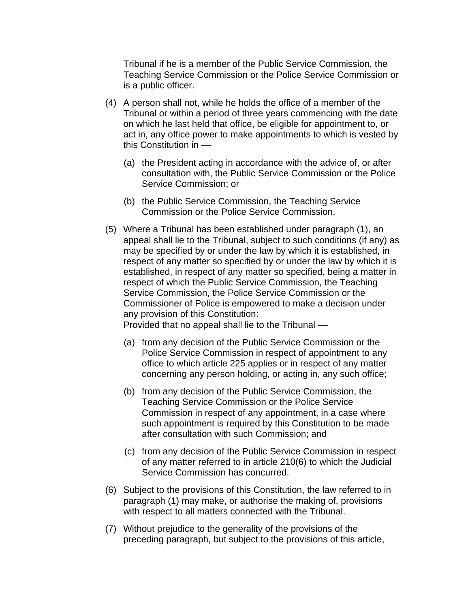Tribunal if he is a member of the Public Service Commission, the Teaching Service Commission or the Police Service Commission or is a public officer.

- (4) A person shall not, while he holds the office of a member of the Tribunal or within a period of three years commencing with the date on which he last held that office, be eligible for appointment to, or act in, any office power to make appointments to which is vested by this Constitution in ––
	- (a) the President acting in accordance with the advice of, or after consultation with, the Public Service Commission or the Police Service Commission; or
	- (b) the Public Service Commission, the Teaching Service Commission or the Police Service Commission.
- (5) Where a Tribunal has been established under paragraph (1), an appeal shall lie to the Tribunal, subject to such conditions (if any) as may be specified by or under the law by which it is established, in respect of any matter so specified by or under the law by which it is established, in respect of any matter so specified, being a matter in respect of which the Public Service Commission, the Teaching Service Commission, the Police Service Commission or the Commissioner of Police is empowered to make a decision under any provision of this Constitution:

Provided that no appeal shall lie to the Tribunal -

- (a) from any decision of the Public Service Commission or the Police Service Commission in respect of appointment to any office to which article 225 applies or in respect of any matter concerning any person holding, or acting in, any such office;
- (b) from any decision of the Public Service Commission, the Teaching Service Commission or the Police Service Commission in respect of any appointment, in a case where such appointment is required by this Constitution to be made after consultation with such Commission; and
- (c) from any decision of the Public Service Commission in respect of any matter referred to in article 210(6) to which the Judicial Service Commission has concurred.
- (6) Subject to the provisions of this Constitution, the law referred to in paragraph (1) may make, or authorise the making of, provisions with respect to all matters connected with the Tribunal.
- (7) Without prejudice to the generality of the provisions of the preceding paragraph, but subject to the provisions of this article,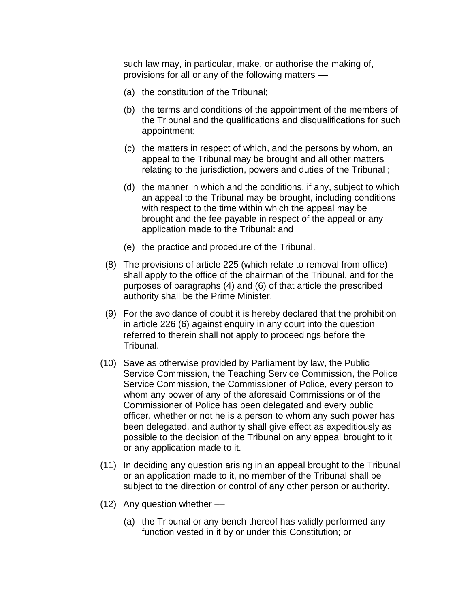such law may, in particular, make, or authorise the making of, provisions for all or any of the following matters –

- (a) the constitution of the Tribunal;
- (b) the terms and conditions of the appointment of the members of the Tribunal and the qualifications and disqualifications for such appointment;
- (c) the matters in respect of which, and the persons by whom, an appeal to the Tribunal may be brought and all other matters relating to the jurisdiction, powers and duties of the Tribunal ;
- (d) the manner in which and the conditions, if any, subject to which an appeal to the Tribunal may be brought, including conditions with respect to the time within which the appeal may be brought and the fee payable in respect of the appeal or any application made to the Tribunal: and
- (e) the practice and procedure of the Tribunal.
- (8) The provisions of article 225 (which relate to removal from office) shall apply to the office of the chairman of the Tribunal, and for the purposes of paragraphs (4) and (6) of that article the prescribed authority shall be the Prime Minister.
- (9) For the avoidance of doubt it is hereby declared that the prohibition in article 226 (6) against enquiry in any court into the question referred to therein shall not apply to proceedings before the Tribunal.
- (10) Save as otherwise provided by Parliament by law, the Public Service Commission, the Teaching Service Commission, the Police Service Commission, the Commissioner of Police, every person to whom any power of any of the aforesaid Commissions or of the Commissioner of Police has been delegated and every public officer, whether or not he is a person to whom any such power has been delegated, and authority shall give effect as expeditiously as possible to the decision of the Tribunal on any appeal brought to it or any application made to it.
- (11) In deciding any question arising in an appeal brought to the Tribunal or an application made to it, no member of the Tribunal shall be subject to the direction or control of any other person or authority.
- $(12)$  Any question whether ––
	- (a) the Tribunal or any bench thereof has validly performed any function vested in it by or under this Constitution; or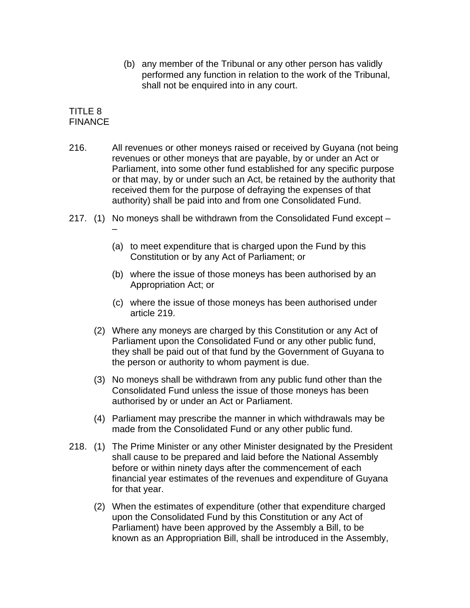(b) any member of the Tribunal or any other person has validly performed any function in relation to the work of the Tribunal, shall not be enquired into in any court.

# TITLE 8 FINANCE

–

- 216. All revenues or other moneys raised or received by Guyana (not being revenues or other moneys that are payable, by or under an Act or Parliament, into some other fund established for any specific purpose or that may, by or under such an Act, be retained by the authority that received them for the purpose of defraying the expenses of that authority) shall be paid into and from one Consolidated Fund.
- 217. (1) No moneys shall be withdrawn from the Consolidated Fund except
	- (a) to meet expenditure that is charged upon the Fund by this Constitution or by any Act of Parliament; or
	- (b) where the issue of those moneys has been authorised by an Appropriation Act; or
	- (c) where the issue of those moneys has been authorised under article 219.
	- (2) Where any moneys are charged by this Constitution or any Act of Parliament upon the Consolidated Fund or any other public fund, they shall be paid out of that fund by the Government of Guyana to the person or authority to whom payment is due.
	- (3) No moneys shall be withdrawn from any public fund other than the Consolidated Fund unless the issue of those moneys has been authorised by or under an Act or Parliament.
	- (4) Parliament may prescribe the manner in which withdrawals may be made from the Consolidated Fund or any other public fund.
- 218. (1) The Prime Minister or any other Minister designated by the President shall cause to be prepared and laid before the National Assembly before or within ninety days after the commencement of each financial year estimates of the revenues and expenditure of Guyana for that year.
	- (2) When the estimates of expenditure (other that expenditure charged upon the Consolidated Fund by this Constitution or any Act of Parliament) have been approved by the Assembly a Bill, to be known as an Appropriation Bill, shall be introduced in the Assembly,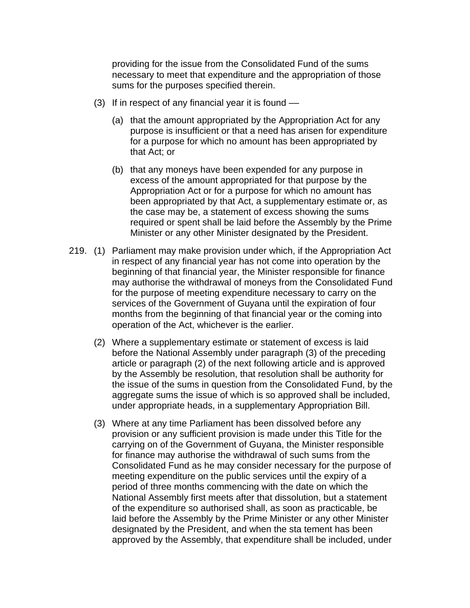providing for the issue from the Consolidated Fund of the sums necessary to meet that expenditure and the appropriation of those sums for the purposes specified therein.

- $(3)$  If in respect of any financial year it is found  $-$ 
	- (a) that the amount appropriated by the Appropriation Act for any purpose is insufficient or that a need has arisen for expenditure for a purpose for which no amount has been appropriated by that Act; or
	- (b) that any moneys have been expended for any purpose in excess of the amount appropriated for that purpose by the Appropriation Act or for a purpose for which no amount has been appropriated by that Act, a supplementary estimate or, as the case may be, a statement of excess showing the sums required or spent shall be laid before the Assembly by the Prime Minister or any other Minister designated by the President.
- 219. (1) Parliament may make provision under which, if the Appropriation Act in respect of any financial year has not come into operation by the beginning of that financial year, the Minister responsible for finance may authorise the withdrawal of moneys from the Consolidated Fund for the purpose of meeting expenditure necessary to carry on the services of the Government of Guyana until the expiration of four months from the beginning of that financial year or the coming into operation of the Act, whichever is the earlier.
	- (2) Where a supplementary estimate or statement of excess is laid before the National Assembly under paragraph (3) of the preceding article or paragraph (2) of the next following article and is approved by the Assembly be resolution, that resolution shall be authority for the issue of the sums in question from the Consolidated Fund, by the aggregate sums the issue of which is so approved shall be included, under appropriate heads, in a supplementary Appropriation Bill.
	- (3) Where at any time Parliament has been dissolved before any provision or any sufficient provision is made under this Title for the carrying on of the Government of Guyana, the Minister responsible for finance may authorise the withdrawal of such sums from the Consolidated Fund as he may consider necessary for the purpose of meeting expenditure on the public services until the expiry of a period of three months commencing with the date on which the National Assembly first meets after that dissolution, but a statement of the expenditure so authorised shall, as soon as practicable, be laid before the Assembly by the Prime Minister or any other Minister designated by the President, and when the sta tement has been approved by the Assembly, that expenditure shall be included, under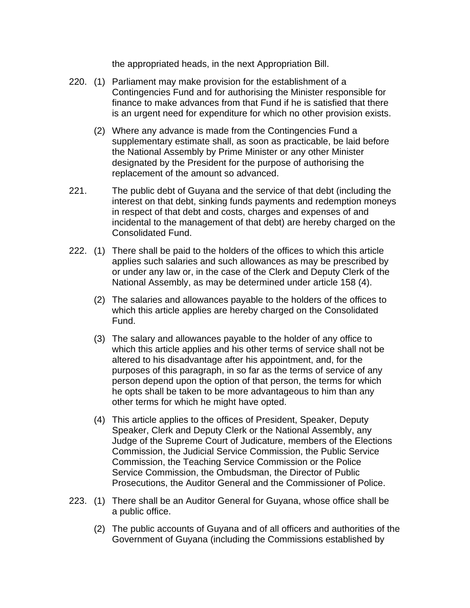the appropriated heads, in the next Appropriation Bill.

- 220. (1) Parliament may make provision for the establishment of a Contingencies Fund and for authorising the Minister responsible for finance to make advances from that Fund if he is satisfied that there is an urgent need for expenditure for which no other provision exists.
	- (2) Where any advance is made from the Contingencies Fund a supplementary estimate shall, as soon as practicable, be laid before the National Assembly by Prime Minister or any other Minister designated by the President for the purpose of authorising the replacement of the amount so advanced.
- 221. The public debt of Guyana and the service of that debt (including the interest on that debt, sinking funds payments and redemption moneys in respect of that debt and costs, charges and expenses of and incidental to the management of that debt) are hereby charged on the Consolidated Fund.
- 222. (1) There shall be paid to the holders of the offices to which this article applies such salaries and such allowances as may be prescribed by or under any law or, in the case of the Clerk and Deputy Clerk of the National Assembly, as may be determined under article 158 (4).
	- (2) The salaries and allowances payable to the holders of the offices to which this article applies are hereby charged on the Consolidated Fund.
	- (3) The salary and allowances payable to the holder of any office to which this article applies and his other terms of service shall not be altered to his disadvantage after his appointment, and, for the purposes of this paragraph, in so far as the terms of service of any person depend upon the option of that person, the terms for which he opts shall be taken to be more advantageous to him than any other terms for which he might have opted.
	- (4) This article applies to the offices of President, Speaker, Deputy Speaker, Clerk and Deputy Clerk or the National Assembly, any Judge of the Supreme Court of Judicature, members of the Elections Commission, the Judicial Service Commission, the Public Service Commission, the Teaching Service Commission or the Police Service Commission, the Ombudsman, the Director of Public Prosecutions, the Auditor General and the Commissioner of Police.
- 223. (1) There shall be an Auditor General for Guyana, whose office shall be a public office.
	- (2) The public accounts of Guyana and of all officers and authorities of the Government of Guyana (including the Commissions established by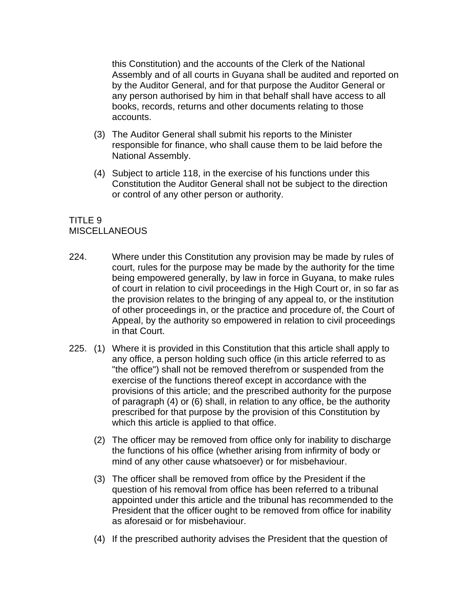this Constitution) and the accounts of the Clerk of the National Assembly and of all courts in Guyana shall be audited and reported on by the Auditor General, and for that purpose the Auditor General or any person authorised by him in that behalf shall have access to all books, records, returns and other documents relating to those accounts.

- (3) The Auditor General shall submit his reports to the Minister responsible for finance, who shall cause them to be laid before the National Assembly.
- (4) Subject to article 118, in the exercise of his functions under this Constitution the Auditor General shall not be subject to the direction or control of any other person or authority.

# TITLE 9 **MISCELLANEOUS**

- 224. Where under this Constitution any provision may be made by rules of court, rules for the purpose may be made by the authority for the time being empowered generally, by law in force in Guyana, to make rules of court in relation to civil proceedings in the High Court or, in so far as the provision relates to the bringing of any appeal to, or the institution of other proceedings in, or the practice and procedure of, the Court of Appeal, by the authority so empowered in relation to civil proceedings in that Court.
- 225. (1) Where it is provided in this Constitution that this article shall apply to any office, a person holding such office (in this article referred to as "the office") shall not be removed therefrom or suspended from the exercise of the functions thereof except in accordance with the provisions of this article; and the prescribed authority for the purpose of paragraph (4) or (6) shall, in relation to any office, be the authority prescribed for that purpose by the provision of this Constitution by which this article is applied to that office.
	- (2) The officer may be removed from office only for inability to discharge the functions of his office (whether arising from infirmity of body or mind of any other cause whatsoever) or for misbehaviour.
	- (3) The officer shall be removed from office by the President if the question of his removal from office has been referred to a tribunal appointed under this article and the tribunal has recommended to the President that the officer ought to be removed from office for inability as aforesaid or for misbehaviour.
	- (4) If the prescribed authority advises the President that the question of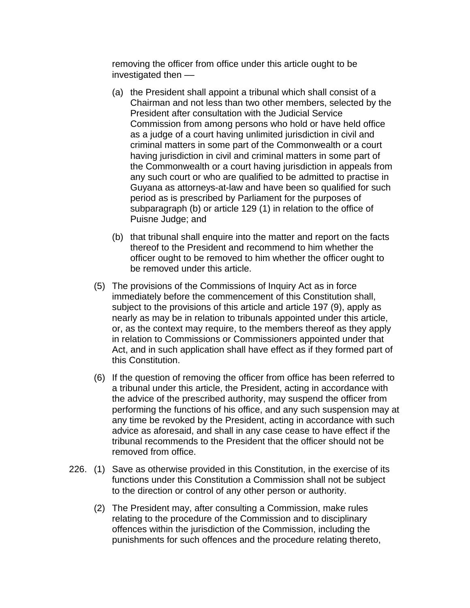removing the officer from office under this article ought to be investigated then ––

- (a) the President shall appoint a tribunal which shall consist of a Chairman and not less than two other members, selected by the President after consultation with the Judicial Service Commission from among persons who hold or have held office as a judge of a court having unlimited jurisdiction in civil and criminal matters in some part of the Commonwealth or a court having jurisdiction in civil and criminal matters in some part of the Commonwealth or a court having jurisdiction in appeals from any such court or who are qualified to be admitted to practise in Guyana as attorneys-at-law and have been so qualified for such period as is prescribed by Parliament for the purposes of subparagraph (b) or article 129 (1) in relation to the office of Puisne Judge; and
- (b) that tribunal shall enquire into the matter and report on the facts thereof to the President and recommend to him whether the officer ought to be removed to him whether the officer ought to be removed under this article.
- (5) The provisions of the Commissions of Inquiry Act as in force immediately before the commencement of this Constitution shall, subject to the provisions of this article and article 197 (9), apply as nearly as may be in relation to tribunals appointed under this article, or, as the context may require, to the members thereof as they apply in relation to Commissions or Commissioners appointed under that Act, and in such application shall have effect as if they formed part of this Constitution.
- (6) If the question of removing the officer from office has been referred to a tribunal under this article, the President, acting in accordance with the advice of the prescribed authority, may suspend the officer from performing the functions of his office, and any such suspension may at any time be revoked by the President, acting in accordance with such advice as aforesaid, and shall in any case cease to have effect if the tribunal recommends to the President that the officer should not be removed from office.
- 226. (1) Save as otherwise provided in this Constitution, in the exercise of its functions under this Constitution a Commission shall not be subject to the direction or control of any other person or authority.
	- (2) The President may, after consulting a Commission, make rules relating to the procedure of the Commission and to disciplinary offences within the jurisdiction of the Commission, including the punishments for such offences and the procedure relating thereto,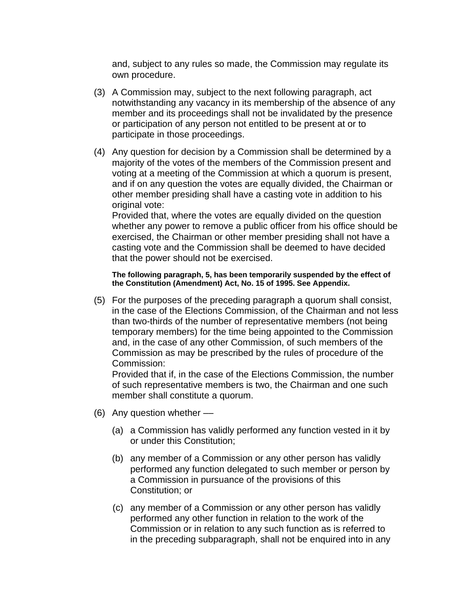and, subject to any rules so made, the Commission may regulate its own procedure.

- (3) A Commission may, subject to the next following paragraph, act notwithstanding any vacancy in its membership of the absence of any member and its proceedings shall not be invalidated by the presence or participation of any person not entitled to be present at or to participate in those proceedings.
- (4) Any question for decision by a Commission shall be determined by a majority of the votes of the members of the Commission present and voting at a meeting of the Commission at which a quorum is present, and if on any question the votes are equally divided, the Chairman or other member presiding shall have a casting vote in addition to his original vote:

Provided that, where the votes are equally divided on the question whether any power to remove a public officer from his office should be exercised, the Chairman or other member presiding shall not have a casting vote and the Commission shall be deemed to have decided that the power should not be exercised.

#### **The following paragraph, 5, has been temporarily suspended by the effect of the Constitution (Amendment) Act, No. 15 of 1995. See Appendix.**

(5) For the purposes of the preceding paragraph a quorum shall consist, in the case of the Elections Commission, of the Chairman and not less than two-thirds of the number of representative members (not being temporary members) for the time being appointed to the Commission and, in the case of any other Commission, of such members of the Commission as may be prescribed by the rules of procedure of the Commission:

Provided that if, in the case of the Elections Commission, the number of such representative members is two, the Chairman and one such member shall constitute a quorum.

- (6) Any question whether ––
	- (a) a Commission has validly performed any function vested in it by or under this Constitution;
	- (b) any member of a Commission or any other person has validly performed any function delegated to such member or person by a Commission in pursuance of the provisions of this Constitution; or
	- (c) any member of a Commission or any other person has validly performed any other function in relation to the work of the Commission or in relation to any such function as is referred to in the preceding subparagraph, shall not be enquired into in any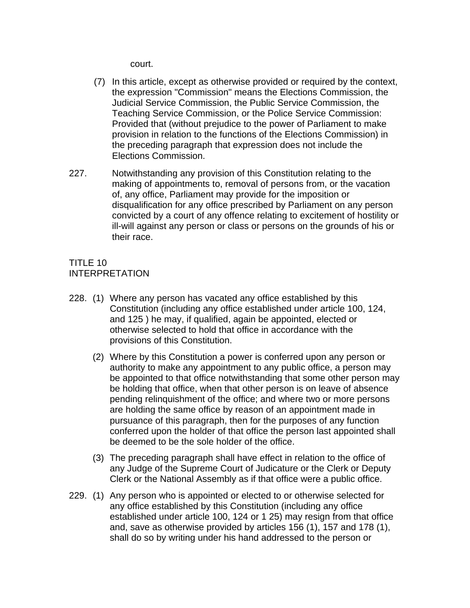court.

- (7) In this article, except as otherwise provided or required by the context, the expression "Commission" means the Elections Commission, the Judicial Service Commission, the Public Service Commission, the Teaching Service Commission, or the Police Service Commission: Provided that (without prejudice to the power of Parliament to make provision in relation to the functions of the Elections Commission) in the preceding paragraph that expression does not include the Elections Commission.
- 227. Notwithstanding any provision of this Constitution relating to the making of appointments to, removal of persons from, or the vacation of, any office, Parliament may provide for the imposition or disqualification for any office prescribed by Parliament on any person convicted by a court of any offence relating to excitement of hostility or ill-will against any person or class or persons on the grounds of his or their race.

## TITLE 10 INTERPRETATION

- 228. (1) Where any person has vacated any office established by this Constitution (including any office established under article 100, 124, and 125 ) he may, if qualified, again be appointed, elected or otherwise selected to hold that office in accordance with the provisions of this Constitution.
	- (2) Where by this Constitution a power is conferred upon any person or authority to make any appointment to any public office, a person may be appointed to that office notwithstanding that some other person may be holding that office, when that other person is on leave of absence pending relinquishment of the office; and where two or more persons are holding the same office by reason of an appointment made in pursuance of this paragraph, then for the purposes of any function conferred upon the holder of that office the person last appointed shall be deemed to be the sole holder of the office.
	- (3) The preceding paragraph shall have effect in relation to the office of any Judge of the Supreme Court of Judicature or the Clerk or Deputy Clerk or the National Assembly as if that office were a public office.
- 229. (1) Any person who is appointed or elected to or otherwise selected for any office established by this Constitution (including any office established under article 100, 124 or 1 25) may resign from that office and, save as otherwise provided by articles 156 (1), 157 and 178 (1), shall do so by writing under his hand addressed to the person or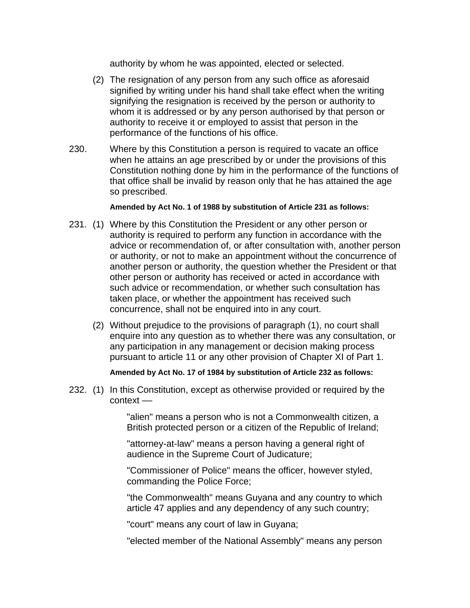authority by whom he was appointed, elected or selected.

- (2) The resignation of any person from any such office as aforesaid signified by writing under his hand shall take effect when the writing signifying the resignation is received by the person or authority to whom it is addressed or by any person authorised by that person or authority to receive it or employed to assist that person in the performance of the functions of his office.
- 230. Where by this Constitution a person is required to vacate an office when he attains an age prescribed by or under the provisions of this Constitution nothing done by him in the performance of the functions of that office shall be invalid by reason only that he has attained the age so prescribed.

#### **Amended by Act No. 1 of 1988 by substitution of Article 231 as follows:**

- 231. (1) Where by this Constitution the President or any other person or authority is required to perform any function in accordance with the advice or recommendation of, or after consultation with, another person or authority, or not to make an appointment without the concurrence of another person or authority, the question whether the President or that other person or authority has received or acted in accordance with such advice or recommendation, or whether such consultation has taken place, or whether the appointment has received such concurrence, shall not be enquired into in any court.
	- (2) Without prejudice to the provisions of paragraph (1), no court shall enquire into any question as to whether there was any consultation, or any participation in any management or decision making process pursuant to article 11 or any other provision of Chapter XI of Part 1.

#### **Amended by Act No. 17 of 1984 by substitution of Article 232 as follows:**

232. (1) In this Constitution, except as otherwise provided or required by the context ––

> "alien" means a person who is not a Commonwealth citizen, a British protected person or a citizen of the Republic of Ireland;

"attorney-at-law" means a person having a general right of audience in the Supreme Court of Judicature;

"Commissioner of Police" means the officer, however styled, commanding the Police Force;

"the Commonwealth" means Guyana and any country to which article 47 applies and any dependency of any such country;

"court" means any court of law in Guyana;

"elected member of the National Assembly" means any person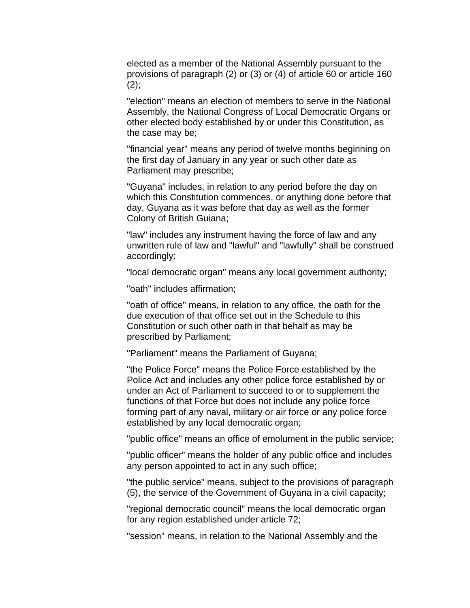elected as a member of the National Assembly pursuant to the provisions of paragraph (2) or (3) or (4) of article 60 or article 160  $(2)$ ;

"election" means an election of members to serve in the National Assembly, the National Congress of Local Democratic Organs or other elected body established by or under this Constitution, as the case may be;

"financial year" means any period of twelve months beginning on the first day of January in any year or such other date as Parliament may prescribe;

 "Guyana" includes, in relation to any period before the day on which this Constitution commences, or anything done before that day, Guyana as it was before that day as well as the former Colony of British Guiana;

"law" includes any instrument having the force of law and any unwritten rule of law and "lawful" and "lawfully" shall be construed accordingly;

"local democratic organ" means any local government authority;

"oath" includes affirmation;

"oath of office" means, in relation to any office, the oath for the due execution of that office set out in the Schedule to this Constitution or such other oath in that behalf as may be prescribed by Parliament;

"Parliament" means the Parliament of Guyana;

"the Police Force" means the Police Force established by the Police Act and includes any other police force established by or under an Act of Parliament to succeed to or to supplement the functions of that Force but does not include any police force forming part of any naval, military or air force or any police force established by any local democratic organ;

"public office" means an office of emolument in the public service;

"public officer" means the holder of any public office and includes any person appointed to act in any such office;

"the public service" means, subject to the provisions of paragraph (5), the service of the Government of Guyana in a civil capacity;

"regional democratic council" means the local democratic organ for any region established under article 72;

"session" means, in relation to the National Assembly and the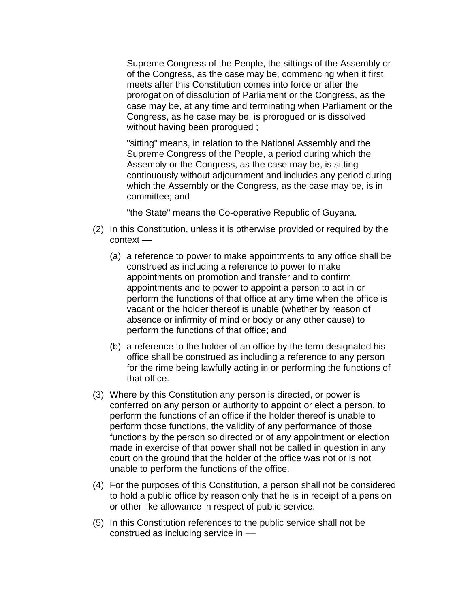Supreme Congress of the People, the sittings of the Assembly or of the Congress, as the case may be, commencing when it first meets after this Constitution comes into force or after the prorogation of dissolution of Parliament or the Congress, as the case may be, at any time and terminating when Parliament or the Congress, as he case may be, is prorogued or is dissolved without having been prorogued ;

"sitting" means, in relation to the National Assembly and the Supreme Congress of the People, a period during which the Assembly or the Congress, as the case may be, is sitting continuously without adjournment and includes any period during which the Assembly or the Congress, as the case may be, is in committee; and

"the State" means the Co-operative Republic of Guyana.

- (2) In this Constitution, unless it is otherwise provided or required by the context ––
	- (a) a reference to power to make appointments to any office shall be construed as including a reference to power to make appointments on promotion and transfer and to confirm appointments and to power to appoint a person to act in or perform the functions of that office at any time when the office is vacant or the holder thereof is unable (whether by reason of absence or infirmity of mind or body or any other cause) to perform the functions of that office; and
	- (b) a reference to the holder of an office by the term designated his office shall be construed as including a reference to any person for the rime being lawfully acting in or performing the functions of that office.
- (3) Where by this Constitution any person is directed, or power is conferred on any person or authority to appoint or elect a person, to perform the functions of an office if the holder thereof is unable to perform those functions, the validity of any performance of those functions by the person so directed or of any appointment or election made in exercise of that power shall not be called in question in any court on the ground that the holder of the office was not or is not unable to perform the functions of the office.
- (4) For the purposes of this Constitution, a person shall not be considered to hold a public office by reason only that he is in receipt of a pension or other like allowance in respect of public service.
- (5) In this Constitution references to the public service shall not be construed as including service in ––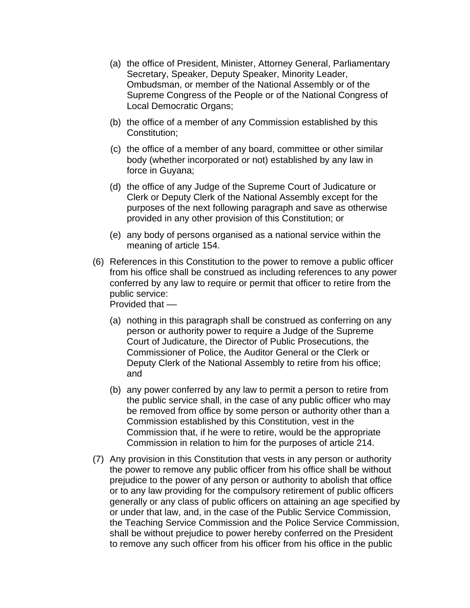- (a) the office of President, Minister, Attorney General, Parliamentary Secretary, Speaker, Deputy Speaker, Minority Leader, Ombudsman, or member of the National Assembly or of the Supreme Congress of the People or of the National Congress of Local Democratic Organs;
- (b) the office of a member of any Commission established by this Constitution;
- (c) the office of a member of any board, committee or other similar body (whether incorporated or not) established by any law in force in Guyana;
- (d) the office of any Judge of the Supreme Court of Judicature or Clerk or Deputy Clerk of the National Assembly except for the purposes of the next following paragraph and save as otherwise provided in any other provision of this Constitution; or
- (e) any body of persons organised as a national service within the meaning of article 154.
- (6) References in this Constitution to the power to remove a public officer from his office shall be construed as including references to any power conferred by any law to require or permit that officer to retire from the public service:

Provided that –

- (a) nothing in this paragraph shall be construed as conferring on any person or authority power to require a Judge of the Supreme Court of Judicature, the Director of Public Prosecutions, the Commissioner of Police, the Auditor General or the Clerk or Deputy Clerk of the National Assembly to retire from his office; and
- (b) any power conferred by any law to permit a person to retire from the public service shall, in the case of any public officer who may be removed from office by some person or authority other than a Commission established by this Constitution, vest in the Commission that, if he were to retire, would be the appropriate Commission in relation to him for the purposes of article 214.
- (7) Any provision in this Constitution that vests in any person or authority the power to remove any public officer from his office shall be without prejudice to the power of any person or authority to abolish that office or to any law providing for the compulsory retirement of public officers generally or any class of public officers on attaining an age specified by or under that law, and, in the case of the Public Service Commission, the Teaching Service Commission and the Police Service Commission, shall be without prejudice to power hereby conferred on the President to remove any such officer from his officer from his office in the public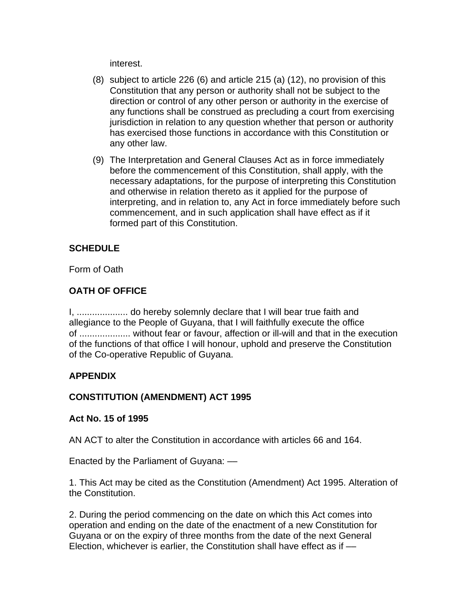interest.

- (8) subject to article 226 (6) and article 215 (a) (12), no provision of this Constitution that any person or authority shall not be subject to the direction or control of any other person or authority in the exercise of any functions shall be construed as precluding a court from exercising jurisdiction in relation to any question whether that person or authority has exercised those functions in accordance with this Constitution or any other law.
- (9) The Interpretation and General Clauses Act as in force immediately before the commencement of this Constitution, shall apply, with the necessary adaptations, for the purpose of interpreting this Constitution and otherwise in relation thereto as it applied for the purpose of interpreting, and in relation to, any Act in force immediately before such commencement, and in such application shall have effect as if it formed part of this Constitution.

# **SCHEDULE**

Form of Oath

# **OATH OF OFFICE**

I, .................... do hereby solemnly declare that I will bear true faith and allegiance to the People of Guyana, that I will faithfully execute the office of .................... without fear or favour, affection or ill-will and that in the execution of the functions of that office I will honour, uphold and preserve the Constitution of the Co-operative Republic of Guyana.

# **APPENDIX**

# APPENDIX<br>CONSTITUTION (AMENDMENT) ACT 1995<br>Act No. 15 of 1995

## Act No. 15 of 1995

AN ACT to alter the Constitution in accordance with articles 66 and 164.

Enacted by the Parliament of Guyana: ––

1. This Act may be cited as the Constitution (Amendment) Act 1995. Alteration of the Constitution.

2. During the period commencing on the date on which this Act comes into operation and ending on the date of the enactment of a new Constitution for Guyana or on the expiry of three months from the date of the next General Election, whichever is earlier, the Constitution shall have effect as if  $-$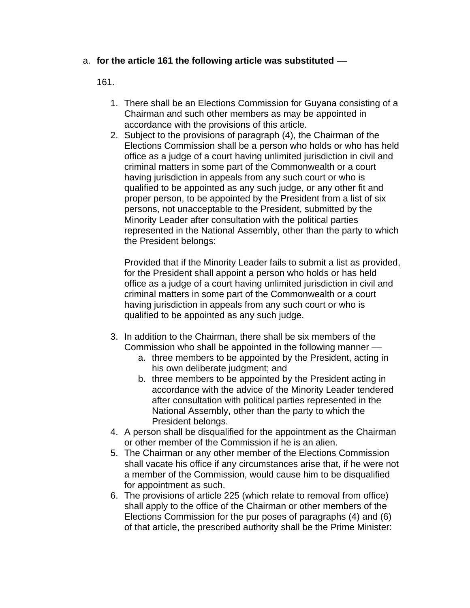# a. **for the article 161 the following article was substituted** ––

161.

- 1. There shall be an Elections Commission for Guyana consisting of a Chairman and such other members as may be appointed in accordance with the provisions of this article.
- 2. Subject to the provisions of paragraph (4), the Chairman of the Elections Commission shall be a person who holds or who has held office as a judge of a court having unlimited jurisdiction in civil and criminal matters in some part of the Commonwealth or a court having jurisdiction in appeals from any such court or who is qualified to be appointed as any such judge, or any other fit and proper person, to be appointed by the President from a list of six persons, not unacceptable to the President, submitted by the Minority Leader after consultation with the political parties represented in the National Assembly, other than the party to which the President belongs:

Provided that if the Minority Leader fails to submit a list as provided, for the President shall appoint a person who holds or has held office as a judge of a court having unlimited jurisdiction in civil and criminal matters in some part of the Commonwealth or a court having jurisdiction in appeals from any such court or who is qualified to be appointed as any such judge.

- 3. In addition to the Chairman, there shall be six members of the Commission who shall be appointed in the following manner ––
	- a. three members to be appointed by the President, acting in his own deliberate judgment; and
	- b. three members to be appointed by the President acting in accordance with the advice of the Minority Leader tendered after consultation with political parties represented in the National Assembly, other than the party to which the President belongs.
- 4. A person shall be disqualified for the appointment as the Chairman or other member of the Commission if he is an alien.
- 5. The Chairman or any other member of the Elections Commission shall vacate his office if any circumstances arise that, if he were not a member of the Commission, would cause him to be disqualified for appointment as such.
- 6. The provisions of article 225 (which relate to removal from office) shall apply to the office of the Chairman or other members of the Elections Commission for the pur poses of paragraphs (4) and (6) of that article, the prescribed authority shall be the Prime Minister: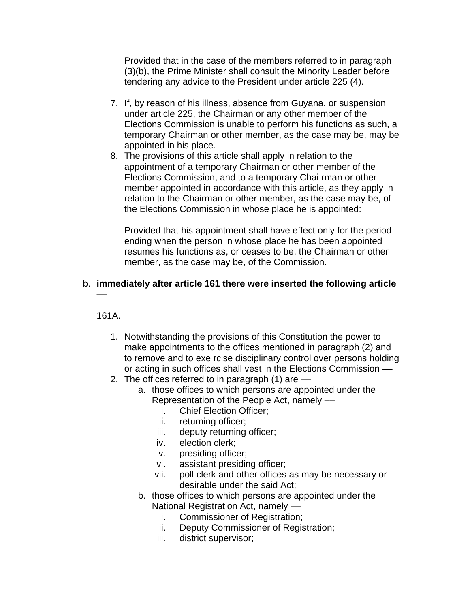Provided that in the case of the members referred to in paragraph (3)(b), the Prime Minister shall consult the Minority Leader before tendering any advice to the President under article 225 (4).

- appointed in his place. 7. If, by reason of his illness, absence from Guyana, or suspension under article 225, the Chairman or any other member of the Elections Commission is unable to perform his functions as such, a temporary Chairman or other member, as the case may be, may be
- 8. The provisions of this article shall apply in relation to the appointment of a temporary Chairman or other member of the Elections Commission, and to a temporary Chai rman or other member appointed in accordance with this article, as they apply in relation to the Chairman or other member, as the case may be, of the Elections Commission in whose place he is appointed:

Provided that his appointment shall have effect only for the period ending when the person in whose place he has been appointed resumes his functions as, or ceases to be, the Chairman or other member, as the case may be, of the Commission.

## b. **immediately after article 161 there were inserted the following article**

161A.

––

- 1. Notwithstanding the provisions of this Constitution the power to make appointments to the offices mentioned in paragraph (2) and to remove and to exe rcise disciplinary control over persons holding or acting in such offices shall vest in the Elections Commission ––
- 2. The offices referred to in paragraph (1) are ––
	- a. those offices to which persons are appointed under the Representation of the People Act, namely ––
		- i. Chief Election Officer;
		- ii. returning officer;
		- iii. deputy returning officer;
		- iv. election clerk;
		- v. presiding officer;
		- vi. assistant presiding officer;
		- vii. poll clerk and other offices as may be necessary or desirable under the said Act;
		- b. those offices to which persons are appointed under the National Registration Act, namely ––
			- i. Commissioner of Registration;
			- ii. Deputy Commissioner of Registration;
			- iii. district supervisor;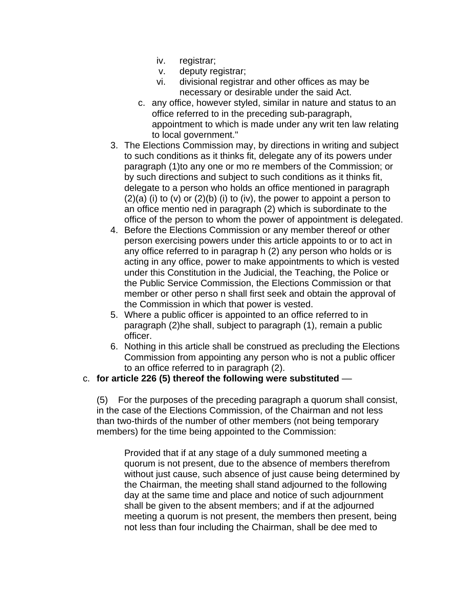- iv. registrar;
- v. deputy registrar;
- vi. divisional registrar and other offices as may be necessary or desirable under the said Act.
- c. any office, however styled, similar in nature and status to an office referred to in the preceding sub-paragraph, appointment to which is made under any writ ten law relating to local government."
- office of the person to whom the power of appointment is delegated. 3. The Elections Commission may, by directions in writing and subject to such conditions as it thinks fit, delegate any of its powers under paragraph (1)to any one or mo re members of the Commission; or by such directions and subject to such conditions as it thinks fit, delegate to a person who holds an office mentioned in paragraph  $(2)(a)$  (i) to  $(v)$  or  $(2)(b)$  (i) to  $(iv)$ , the power to appoint a person to an office mentio ned in paragraph (2) which is subordinate to the
- 4. Before the Elections Commission or any member thereof or other person exercising powers under this article appoints to or to act in any office referred to in paragrap h (2) any person who holds or is acting in any office, power to make appointments to which is vested under this Constitution in the Judicial, the Teaching, the Police or the Public Service Commission, the Elections Commission or that member or other perso n shall first seek and obtain the approval of the Commission in which that power is vested.
- 5. Where a public officer is appointed to an office referred to in paragraph (2)he shall, subject to paragraph (1), remain a public officer.
- 6. Nothing in this article shall be construed as precluding the Elections Commission from appointing any person who is not a public officer to an office referred to in paragraph (2).

## c. **for article 226 (5) thereof the following were substituted** ––

 (5) For the purposes of the preceding paragraph a quorum shall consist, in the case of the Elections Commission, of the Chairman and not less than two-thirds of the number of other members (not being temporary members) for the time being appointed to the Commission:

Provided that if at any stage of a duly summoned meeting a quorum is not present, due to the absence of members therefrom without just cause, such absence of just cause being determined by the Chairman, the meeting shall stand adjourned to the following day at the same time and place and notice of such adjournment shall be given to the absent members; and if at the adjourned meeting a quorum is not present, the members then present, being not less than four including the Chairman, shall be dee med to